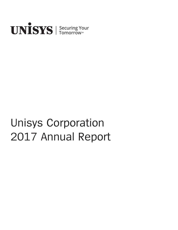

# Unisys Corporation 2017 Annual Report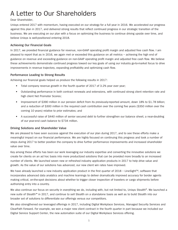# A Letter to Our Shareholders

#### Dear Shareholder,

Unisys entered 2017 with momentum, having executed on our strategy for a full year in 2016. We accelerated our progress against this plan in 2017, and delivered strong results that reflect continued progress in our strategic transition of the business. We are executing on our plan with a focus on optimizing the business to continue driving upside over time, and believe Unisys is well-positioned entering 2018.

#### **Achieving Our Financial Goals**

In 2017, we provided financial guidance for revenue, non-GAAP operating profit margin and adjusted free cash flow. I am pleased to report that as in 2016, we again met or exceeded this guidance on all metrics – achieving the high end of guidance on revenue and exceeding guidance on non-GAAP operating profit margin and adjusted free cash flow. We believe these achievements demonstrate continued progress toward our key goals of using our industry go-to-market focus to drive improvements in revenue trajectory, expanding profitability and optimizing cash flow.

### **Performance Leading to Strong Results**

Achieving our financial goals helped us produce the following results in 2017:

- Total company revenue growth in the fourth quarter of 2017 of 3.2% year over year;
- Outstanding performance in both contract renewals and extensions, with continued strong client retention rate and high client Net Promoter Scores;
- Improvement of \$390 million in our pension deficit from its previously-reported amount, down 18% to \$1.78 billion; and a reduction of \$300 million in the required cash contribution over the coming five years (\$350 million over the coming 10 years) relative to prior estimates; and
- A successful raise of \$440 million of senior secured debt to further strengthen our balance sheet; a near-doubling of our year-end cash balance to \$734 million.

#### **Driving Solutions and Shareholder Value**

We are pleased to have seen success against the execution of our plan during 2017, and to see these efforts make a meaningful impact on our financial performance. We are highly focused on continuing this progress and took a number of steps during 2017 to better position the company to drive further performance improvements and increased shareholder value over time.

Key among these efforts has been our work leveraging our industry expertise and converting the innovative solutions we create for clients on an ad hoc basis into more productized solutions that can be provided more broadly to an increased number of clients. We launched seven new or refreshed industry application products in 2017 to help drive value and growth. As the value of our solutions has advanced, our new client win rates have improved.

We have already launched a new industry application product in the first quarter of 2018 - LineSight™, software that incorporates advanced data analytics and machine learnings to deliver dramatically improved accuracy for border agents making critical, on-the-spot decisions about whether to trigger closer inspection of travelers or cargo shipments before authorizing entry into a country.

We also continue our focus on security in everything we do, including with, but not limited to, Unisys Stealth®. We launched a new suite of Stealth™ in 2017, and continue to sell Stealth on a standalone basis as well as to build Stealth into our broader set of solutions to differentiate our offerings versus our competitors.

We also strengthened our leveraged offerings in 2017, including Digital Workplace Services, Managed Security Services and ClearPath Forward. For example, we won a major new client contract in the fourth quarter in part because we included our Digital Service Support Center, the new automation suite of our Digital Workplace Services offering.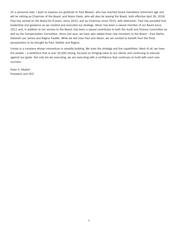On a personal note, I want to express our gratitude to Paul Weaver, who has reached board mandatory retirement age and will be retiring as Chairman of the Board, and Alison Davis, who will also be leaving the Board, both effective April 26, 2018. Paul has served on the Board for 8 years, since 2010, and as Chairman since 2015, with distinction. Paul has provided true leadership and guidance as we created and executed our strategy. Alison has been a valued member of our Board since 2011 and, in addition to her service to the Board, has been a valued contributor to both the Audit and Finance Committee as well as the Compensation Committee. Since last year, we have also added three new members to the Board – Paul Martin, Deborah Lee James and Regina Paolillo. While we will miss Paul and Alison, we are excited to benefit from the fresh perspectives to be brought by Paul, Debbie and Regina.

Unisys is a company whose momentum is steadily building. We have the strategy and the capabilities. Most of all, we have the people – a workforce that is over 20,000 strong, focused on bringing value to our clients and continuing to execute against our goals. Not only are we executing, we are executing with a confidence that continues to build with each new success.

Peter A. Altabef President and CEO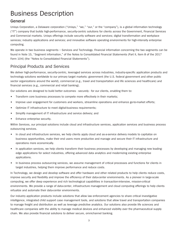# Business Description

# **General**

Unisys Corporation, a Delaware corporation ("Unisys," "we," "our," or the "company"), is a global information technology ("IT") company that builds high-performance, security-centric solutions for clients across the Government, Financial Services and Commercial markets. Unisys offerings include security software and services; digital transformation and workplace services; industry applications and services; and innovative software operating environments for high-intensity enterprise computing.

We operate in two business segments – Services and Technology. Financial information concerning the two segments can be found in Note 15, "Segment information," of the Notes to Consolidated Financial Statements (Part II, Item 8 of the 2017 Form 10-K) (the "Notes to Consolidated Financial Statements").

# Principal Products and Services

We deliver high-performance, security-centric, leveraged services across industries, industry-specific application products and technology solutions worldwide to our primary target markets: government (the U.S. federal government and other public sector organizations around the world), commercial (e.g., travel and transportation and life sciences and healthcare) and financial services (e.g., commercial and retail banking).

Our solutions are designed to build better outcomes - securely - for our clients, enabling them to:

- Transform core business processes to compete more effectively in their markets;
- Improve user engagement for customers and workers, streamline operations and enhance go-to-market efforts;
- Optimize IT infrastructure to meet digital-business requirements;
- Simplify management of IT infrastructure and service delivery; and
- Enhance enterprise security.

Within Services, our principal solutions include cloud and infrastructure services, application services and business process outsourcing services.

- In cloud and infrastructure services, we help clients apply cloud and as-a-service delivery models to capitalize on business opportunities, make their end users more productive and manage and secure their IT infrastructure and operations more economically.
- In application services, we help clients transform their business processes by developing and managing new leadingedge applications for select industries, offering advanced data analytics and modernizing existing enterprise applications.
- In business process outsourcing services, we assume management of critical processes and functions for clients in target industries, helping them improve performance and reduce costs.

In Technology, we design and develop software and offer hardware and other related products to help clients reduce costs, improve security and flexibility and improve the efficiency of their data-center environments. As a pioneer in large-scale computing, we offer deep experience and rich technological capabilities in transaction-intensive, mission-critical environments. We provide a range of data-center, infrastructure management and cloud computing offerings to help clients virtualize and automate their data-center environments.

Our industry application products include solutions that allow law enforcement agencies to share critical investigative intelligence, integrated child support case management tools, and solutions that allow travel and transportation companies to manage freight and distribution as well as leverage predictive analytics. Our solutions also provide life sciences and healthcare companies with the ability to manage medical devices and enhanced visibility over the pharmaceutical supply chain. We also provide financial solutions to deliver secure, omnichannel banking.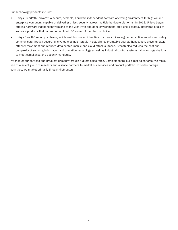Our Technology products include:

- Unisys ClearPath Forward®, a secure, scalable, hardware-independent software operating environment for high-volume enterprise computing capable of delivering Unisys security across multiple hardware platforms. In 2016, Unisys began offering hardware-independent versions of the ClearPath operating environment, providing a tested, integrated stack of software products that can run on an Intel x86 server of the client's choice.
- Unisys Stealth<sup>®</sup> security software, which enables trusted identities to access micro-segmented critical assets and safely communicate through secure, encrypted channels. Stealth™ establishes irrefutable user authentication, prevents lateral attacker movement and reduces data center, mobile and cloud attack surfaces. Stealth also reduces the cost and complexity of securing information and operation technology as well as industrial control systems, allowing organizations to meet compliance and security mandates.

We market our services and products primarily through a direct sales force. Complementing our direct sales force, we make use of a select group of resellers and alliance partners to market our services and product portfolio. In certain foreign countries, we market primarily through distributors.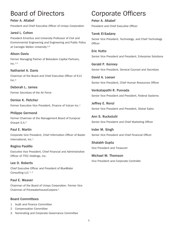# Board of Directors

**Peter A. Altabef** President and Chief Executive Officer of Unisys Corporation

**Jared L. Cohon** President Emeritus and University Professor of Civil and Environmental Engineering and Engineering and Public Policy at Carnegie Mellon University 2,3

**Alison Davis** Former Managing Partner of Belvedere Capital Partners,  $Inc.<sup>1,2</sup>$ 

# **Nathaniel A. Davis**

Chairman of the Board and Chief Executive Officer of K12  $Inc.<sup>3</sup>$ 

**Deborah L. James** Former Secretary of the Air Force

**Denise K. Fletcher** Former Executive Vice President, Finance of Vulcan Inc.<sup>1</sup>

**Philippe Germond** Former Chairman of the Management Board of Europcar Groupe S.A.3

## **Paul E. Martin**

Corporate Vice President, Chief Information Officer of Baxter International, Inc.1

# **Regina Paolillo**

Executive Vice President, Chief Financial and Administrative Officer of TTEC Holdings, Inc.

**Lee D. Roberts** Chief Executive Officer and President of BlueWater Consulting LLC 1, 2

**Paul E. Weaver** Chairman of the Board of Unisys Corporation. Former Vice Chairman of PricewaterhouseCoopers <sup>2</sup>

### **Board Committees**

1 Audit and Finance Committee

2 Compensation Committee

3 Nominating and Corporate Governance Committee

# Corporate Officers

**Peter A. Altabef** President and Chief Executive Officer

# **Tarek El-Sadany**

Senior Vice President, Technology, and Chief Technology **Officer** 

**Eric Hutto** Senior Vice President and President, Enterprise Solutions

**Gerald P. Kenney** Senior Vice President, General Counsel and Secretary

**David A. Loeser** Senior Vice President, Chief Human Resources Officer

**Venkatapathi R. Puvvada** Senior Vice President and President, Federal Systems

**Jeffrey E. Renzi** Senior Vice President and President, Global Sales

**Ann S. Ruckstuhl** Senior Vice President and Chief Marketing Officer

**Inder M. Singh** Senior Vice President and Chief Financial Officer

**Shalabh Gupta** Vice President and Treasurer

**Michael M. Thomson** Vice President and Corporate Controller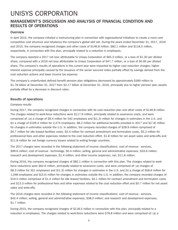# UNISYS CORPORATION

# **MANAGEMENT'S DISCUSSION AND ANALYSIS OF FINANCIAL CONDITION AND RESULTS OF OPERATIONS**

#### **Overview**

In April 2015, the company initiated a restructuring plan in connection with organizational initiatives to create a more cost competitive cost structure and rebalance the company's global skill set. During the years ended December 31, 2017, 2016 and 2015, the company recognized charges and other costs of \$146.8 million, \$82.1 million and \$118.5 million, respectively, in connection with this plan, principally related to a reduction in employees.

The company reported a 2017 net loss attributable to Unisys Corporation of \$65.3 million, or a loss of \$1.30 per diluted share, compared with a 2016 net loss attributable to Unisys Corporation of \$47.7 million, or a loss of \$0.95 per diluted share. The company's results of operations in the current year were impacted by higher cost reduction charges, higher interest expense principally caused by the issuance of the senior secured notes partially offset by savings derived from the cost reduction actions and lower income tax expense.

The company's underfunded defined benefit pension plan obligations decreased by approximately \$390 million to \$1.78 billion at December 31, 2017 from \$2.17 billion at December 31, 2016, principally due to higher pension plan assets partially offset by a decrease in discount rates.

#### **Results of operations**

#### *Company results*

During 2017, the company recognized charges in connection with its cost reduction plan and other costs of \$146.8 million. The charges related to work-force reductions were \$117.9 million, principally related to severance costs, and were comprised of: (a) a charge of \$9.4 million for 542 employees and \$(1.3) million for changes in estimates in the U.S. and (b) a charge of \$109.4 million for 2,274 employees, \$8.2 million for additional benefits provided in 2017 and \$(7.8) million for changes in estimates outside the U.S. In addition, the company recorded charges of \$28.9 million comprised of \$4.7 million for idle leased facilities costs, \$5.4 million for contract amendment and termination costs, \$5.2 million for professional fees and other expenses related to the cost reduction effort, \$1.8 million for net asset sales and write-offs and \$11.8 million for net foreign currency losses related to exiting foreign countries.

The 2017 charges were recorded in the following statement of income classifications: cost of revenue - services, \$99.6 million; cost of revenue - technology, \$0.4 million; selling, general and administrative expenses, \$33.6 million; research and development expenses, \$1.4 million; and other income (expense), net, \$11.8 million.

During 2016, the company recognized charges of \$82.1 million in connection with this plan. The charges related to workforce reductions were \$62.6 million, principally related to severance costs, and were comprised of: (a) charges of \$8.3 million for 351 employees and \$(1.3) million for changes in estimates in the U.S. and (b) a charge of \$58.6 million for 1,048 employees and \$(3.0) million for changes in estimates outside the U.S. In addition, the company recorded charges of \$19.5 million comprised of \$1.4 million for idle leased facilities, \$4.1 million for contract amendment and termination costs and \$13.3 million for professional fees and other expenses related to the cost reduction effort and \$0.7 million for net asset sales and write-offs.

The 2016 charges were recorded in the following statement of income classifications: cost of revenue - services, \$42.4 million; selling, general and administrative expenses, \$38.0 million; and research and development expenses, \$1.7 million.

During 2015, the company recognized charges of \$118.5 million in connection with this plan, principally related to a reduction in employees. The charges related to work-force reductions were \$78.8 million and were comprised of: (a) a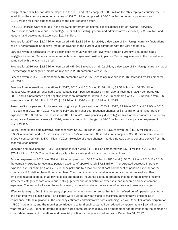charge of \$27.9 million for 700 employees in the U.S. and (b) a charge of \$50.9 million for 782 employees outside the U.S. In addition, the company recorded charges of \$39.7 million comprised of \$20.2 million for asset impairments and \$19.5 million for other expenses related to the cost reduction effort.

The 2015 charges were recorded in the following statement of income classifications: cost of revenue - services, \$52.3 million; cost of revenue - technology, \$0.3 million; selling, general and administrative expenses, \$53.5 million; and research and development expenses, \$12.4 million.

Revenue for 2017 was \$2.74 billion compared with \$2.82 billion for 2016, a decrease of 3%. Foreign currency fluctuations had a 1-percentage-point positive impact on revenue in the current year compared with the year-ago period.

Services revenue decreased 3% and Technology revenue was flat year over year. Foreign currency fluctuations had a negligible impact on Services revenue and a 1-percentage-point positive impact on Technology revenue in the current year compared with the year-ago period.

Revenue for 2016 was \$2.82 billion compared with 2015 revenue of \$3.02 billion, a decrease of 6%. Foreign currency had a 2-percentage-point negative impact on revenue in 2016 compared with 2015.

Services revenue in 2016 decreased by 8% compared with 2015. Technology revenue in 2016 increased by 1% compared with 2015.

Revenue from international operations in 2017, 2016 and 2015 was \$1.48 billion, \$1.51 billion and \$1.56 billion, respectively. Foreign currency had a 1-percentage-point positive impact on international revenue in 2017 compared with 2016, and a 4-percentage-point negative impact on international revenue in 2016 compared with 2015. Revenue from U.S. operations was \$1.26 billion in 2017, \$1.31 billion in 2016 and \$1.45 billion in 2015.

Gross profit as a percent of total revenue, or gross profit percent, was 17.4% in 2017, 19.8% in 2016 and 17.9% in 2015. The decline in 2017 from 2016 was principally due to higher cost reduction charges of \$57.6 million and higher pension expense of \$10.0 million. The increase in 2016 from 2015 was principally due to higher sales of the company's proprietary enterprise software and servers in 2016, lower cost reduction charges of \$10.2 million and lower pension expense of \$17.3 million.

Selling, general and administrative expenses were \$426.5 million in 2017 (15.6% of revenue), \$455.6 million in 2016 (16.2% of revenue) and \$519.6 million in 2015 (17.2% of revenue). Cost reduction charges of \$33.6 million were recorded in 2017 compared with \$38.0 million in 2016. Exclusive of these charges, the decline was due to benefits derived from the cost reduction actions.

Research and development ("R&D") expenses in 2017 were \$47.2 million compared with \$55.4 million in 2016 and \$76.4 million in 2015. The decline principally reflects savings due to cost reduction actions.

Pension expense for 2017 was \$92.4 million compared with \$82.7 million in 2016 and \$108.7 million in 2015. For 2018, the company expects to recognize pension expense of approximately \$72.8 million. The expected decrease in pension expense in 2018 compared with 2017 is principally due to a lower interest cost component of pension expense for the company's U.S. defined benefit pension plans. The company records pension income or expense, as well as other employee-related costs such as payroll taxes and medical insurance costs, in operating income in the following income statement categories: cost of revenue; selling, general and administrative expenses; and research and development expenses. The amount allocated to each category is based on where the salaries of active employees are charged.

Effective January 1, 2018, the company approved an amendment to reorganize its U.S. defined benefit pension plan from one plan into two distinct plans. Participants were divided between plans to maximize administrative efficiencies in compliance with all regulations. The company estimates administrative costs including Pension Benefit Guaranty Corporation ("PBGC") premiums, and the resulting contributions to fund such costs, will be reduced by approximately \$10 million per year through 2021. Benefits offered to plans' participants are unchanged. This amendment had no impact on the company's consolidated results of operations and financial position for the year ended and as of December 31, 2017.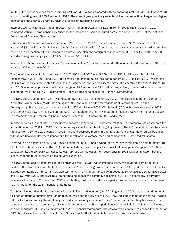In 2017, the company reported an operating profit of \$4.6 million compared with an operating profit of \$47.6 million in 2016 and an operating loss of \$55.1 million in 2015. The current year principally reflects higher cost reduction charges and higher pension expense partially offset by savings due to cost reduction actions.

Interest expense was \$52.8 million in 2017, \$27.4 million in 2016 and \$11.9 million in 2015. The increase in 2017 compared with 2016 was principally caused by the issuance of senior secured notes (see Note 9, "Debt," of the Notes to Consolidated Financial Statements).

Other income (expense), net was expense of \$23.9 million in 2017, compared with income of \$0.3 million in 2016 and income of \$8.2 million in 2015. Included in 2017 were \$11.8 million of net foreign currency losses related to exiting foreign countries in connection with the company's restructuring plan and foreign exchange losses of \$9.9 million. 2016 and 2015 included foreign exchange gains of \$2.3 million and \$8.1 million.

Income (loss) before income taxes in 2017 was a loss of \$72.1 million compared with income of \$20.5 million in 2016 and a loss of \$58.8 million in 2015.

The (benefit) provision for income taxes in 2017, 2016 and 2015 was \$(5.5) million, \$57.2 million and \$44.4 million, respectively. In 2017, 2016 and 2015, the provision for income taxes includes a benefit of \$4.6 million, \$16.4 million and \$5.4 million, respectively, related to changes in judgment on the realizability of certain of its deferred tax assets. The 2016 and 2015 income tax provisions include a charge of \$3.5 million and \$9.1 million, respectively, due to reductions in the UK income tax rate (see Note 7, "Income taxes," of the Notes to Consolidated Financial Statements).

The Tax Cuts and Jobs Act ("TCJA") was enacted by the U.S. on December 22, 2017. The TCJA eliminates the corporate Alternative Minimum Tax ("AMT") beginning in 2018, and also provides for refunds of all remaining AMT credits. Consequently, the company recorded a benefit of \$50.4 million in 2017. Of this total, \$9.1 million was received in 2017, and approximately \$7.2 million will be received in 2018 under Internal Revenue Code section 168(k)(4) of the prior tax law. The remainder, \$34.1 million, will be refundable under the TCJA between 2019 and 2022.

In addition to AMT repeal, the TCJA includes extensive changes to U.S. corporate taxation. The company has considered the implications of the TCJA for 2017 financial reporting as well as implications going forward. The U.S. federal tax rate has been reduced from 35% to 21% effective in 2018. This rate decrease results in a remeasurement of U.S. deferred tax balances, with no net financial statement impact due to the valuation allowance recorded against all U.S. deferred tax assets.

There will be no expiration of U.S. tax losses generated in 2018 and beyond, but such losses will only be able to offset 80% of future U.S. taxable income. The TJCA did not include any law changes for losses that were generated prior to 2018; and consequently, the company can utilize its U.S. tax loss carryforwards from years prior to 2018 without limitation, but the losses continue to be subject to a twenty-year expiration.

The TCJA introduced a "base erosion and anti-abuse tax" ("BEAT") which imposes a new minimum tax computed on a modified U.S. taxable income that adds back certain "base eroding payments" to offshore related parties. These addbacks include such items as interest and service payments. The minimum tax will be imposed at 5% for 2018, 10% for 2019-2025, and 12.5% from 2026. The BEAT has the potential to impact the company beginning in 2018. The company is currently assessing the impact. To the extent BEAT is applicable, it will be recorded as a period cost when incurred, and consequently has no impact on the 2017 financial statements.

The TCJA also introduced a tax on "global intangible low-taxed income" ("GILTI"). Beginning in 2018, rather than deferring the taxation of offshore earnings until repatriation as had been the law prior to 2018, U.S. taxable income each year will include GILTI, which is essentially the net foreign subsidiaries' earnings above a routine 10% return on their tangible assets. The company has made an accounting policy election to treat the GILTI as a period cost when included in U.S. taxable income, and consequently GILTI has no impact on the 2017 financial statements. The company will continue to assess the impact of GILTI, but does not expect it to result in a U.S. cash tax for the forseeable future due to tax loss carryforwards.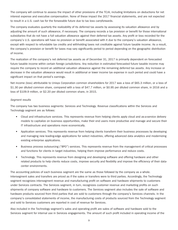The company will continue to assess the impact of other provisions of the TCJA, including limitations on deductions for net interest expense and executive compensation. None of these impact the 2017 financial statements, and are not expected to result in a U.S. cash tax for the forseeable future due to tax loss carryforwards.

The company evaluates quarterly the realizability of its deferred tax assets by assessing its valuation allowance and by adjusting the amount of such allowance, if necessary. The company records a tax provision or benefit for those international subsidiaries that do not have a full valuation allowance against their deferred tax assets. Any profit or loss recorded for the company's U.S. operations will have no provision or benefit associated with it due to the company's valuation allowance, except with respect to refundable tax credits and withholding taxes not creditable against future taxable income. As a result, the company's provision or benefit for taxes may vary significantly period to period depending on the geographic distribution of income.

The realization of the company's net deferred tax assets as of December 31, 2017 is primarily dependent on forecasted future taxable income within certain foreign jurisdictions. Any reduction in estimated forecasted future taxable income may require the company to record an additional valuation allowance against the remaining deferred tax assets. Any increase or decrease in the valuation allowance would result in additional or lower income tax expense in such period and could have a significant impact on that period's earnings.

Net income (loss) attributable to Unisys Corporation common shareholders for 2017 was a loss of \$65.3 million, or a loss of \$1.30 per diluted common share, compared with a loss of \$47.7 million, or \$0.95 per diluted common share, in 2016 and a loss of \$109.9 million, or \$2.20 per diluted common share, in 2015.

#### *Segment results*

The company has two business segments: Services and Technology. Revenue classifications within the Services and Technology segment are as follows:

- Cloud and infrastructure services. This represents revenue from helping clients apply cloud and as-a-service delivery models to capitalize on business opportunities, make their end users more productive and manage and secure their IT infrastructure and operations more economically.
- Application services. This represents revenue from helping clients transform their business processes by developing and managing new leading-edge applications for select industries, offering advanced data analytics and modernizing existing enterprise applications.
- Business process outsourcing ("BPO") services. This represents revenue from the management of critical processes and functions for clients in target industries, helping them improve performance and reduce costs.
- Technology. This represents revenue from designing and developing software and offering hardware and other related products to help clients reduce costs, improve security and flexibility and improve the efficiency of their datacenter environments.

The accounting policies of each business segment are the same as those followed by the company as a whole. Intersegment sales and transfers are priced as if the sales or transfers were to third parties. Accordingly, the Technology segment recognizes intersegment revenue and manufacturing profit on software and hardware shipments to customers under Services contracts. The Services segment, in turn, recognizes customer revenue and marketing profits on such shipments of company software and hardware to customers. The Services segment also includes the sale of software and hardware products sourced from third parties that are sold to customers through the company's Services channels. In the company's consolidated statements of income, the manufacturing costs of products sourced from the Technology segment and sold to Services customers are reported in cost of revenue for Services.

Also included in the Technology segment's sales and operating profit are sales of software and hardware sold to the Services segment for internal use in Services engagements. The amount of such profit included in operating income of the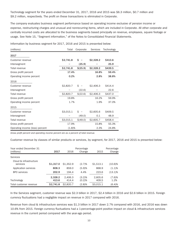Technology segment for the years ended December 31, 2017, 2016 and 2015 was \$6.3 million, \$0.7 million and \$9.2 million, respectively. The profit on these transactions is eliminated in Corporate.

The company evaluates business segment performance based on operating income exclusive of pension income or expense, restructuring charges and unusual and nonrecurring items, which are included in Corporate. All other corporate and centrally incurred costs are allocated to the business segments based principally on revenue, employees, square footage or usage. See Note 15, "Segment information," of the Notes to Consolidated Financial Statements.

Information by business segment for 2017, 2016 and 2015 is presented below:

| (millions)                      | Total     | Corporate    | <b>Services</b> | Technology |
|---------------------------------|-----------|--------------|-----------------|------------|
| 2017                            |           |              |                 |            |
| Customer revenue                | \$2,741.8 | \$ –         | \$2,328.2       | \$413.6    |
| Intersegment                    |           | (25.9)       |                 | 25.9       |
| Total revenue                   | \$2,741.8 | \$(25.9)     | \$2,328.2       | \$439.5    |
| Gross profit percent            | 17.4%     |              | 16.8%           | 59.4%      |
| Operating income percent        | 0.2%      |              | 2.8%            | 38.8%      |
| 2016                            |           |              |                 |            |
| Customer revenue                | \$2,820.7 | \$ –         | \$2,406.3       | \$414.4    |
| Intersegment                    |           | (22.6)       |                 | 22.6       |
| Total revenue                   | \$2,820.7 | $$^{(22.6)}$ | \$2,406.3       | \$437.0    |
| Gross profit percent            | 19.8%     |              | 16.2%           | 59.9%      |
| Operating income percent        | 1.7%      |              | 1.9%            | 37.0%      |
| 2015                            |           |              |                 |            |
| Customer revenue                | \$3,015.1 | \$ –         | \$2,605.6       | \$409.5    |
| Intersegment                    |           | (49.0)       | 0.1             | 48.9       |
| Total revenue                   | \$3,015.1 | \$(49.0)     | \$2,605.7       | \$458.4    |
| Gross profit percent            | 17.9%     |              | 15.8%           | 55.3%      |
| Operating income (loss) percent | (1.8)%    |              | 2.3%            | 24.8%      |

*Gross profit percent and operating income percent are as a percent of total revenue.*

Customer revenue by classes of similar products or services, by segment, for 2017, 2016 and 2015 is presented below:

| Year ended December 31<br>(millions) | 2017             | 2016             | Percentage<br>Change | 2015             | Percentage<br>Change |
|--------------------------------------|------------------|------------------|----------------------|------------------|----------------------|
| Services                             |                  |                  |                      |                  |                      |
| Cloud & infrastructure<br>services   | \$1,317.0        | \$1,352.9        | (2.7)%               | \$1,513.1        | (10.6)%              |
| Application services                 | 808.3            | 859.0            | (5.9)%               | 868.9            | $(1.1)\%$            |
| <b>BPO</b> services                  | 202.9            | 194.4            | 4.4%                 | 223.6            | $(13.1)\%$           |
| Technology                           | 2,328.2<br>413.6 | 2,406.3<br>414.4 | $(3.2)\%$<br>(0.2)%  | 2,605.6<br>409.5 | (7.6)%<br>1.2%       |
| Total customer revenue               | \$2,741.8        | \$2,820.7        | (2.8)%               | \$3,015.1        | (6.4)%               |

In the Services segment, customer revenue was \$2.3 billion in 2017, \$2.4 billion in 2016 and \$2.6 billion in 2015. Foreign currency fluctuations had a negligible impact on revenue in 2017 compared with 2016.

Revenue from cloud & infrastructure services was \$1.3 billion in 2017 down 2.7% compared with 2016, and 2016 was down 10.6% from 2015. Foreign currency fluctuations had a 1-percentage-point positive impact on cloud & infrastructure services revenue in the current period compared with the year-ago period.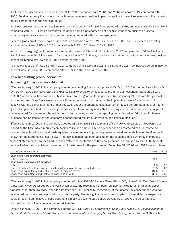Application services revenue decreased 5.9% for 2017 compared with 2016, and 2016 was down 1.1% compared with 2015. Foreign currency fluctuations had a 1-percentage-point positive impact on application services revenue in the current period compared with the year-ago period.

Business process outsourcing services revenue increased 4.4% in 2017 compared with 2016, and was down 13.1% in 2016 compared with 2015. Foreign currency fluctuations had a 4-percentage-point negative impact on business process outsourcing services revenue in the current period compared with the year-ago period.

Services gross profit percent was 16.8% in 2017 compared with 16.2% in 2016 and 15.8% in 2015. Services operating income percent was 2.8% in 2017 compared with 1.9% in 2016 and 2.3% in 2015.

In the Technology segment, customer revenue decreased 0.2% to \$413.6 million in 2017 compared with \$414.4 million in 2016. Revenue in 2016 increased 1.2% compared with 2015. Foreign currency translation had a 1-percentage-point positive impact on Technology revenue in 2017 compared with 2016.

Technology gross profit was 59.4% in 2017 compared with 59.9% in 2016 and 55.3% in 2015. Technology operating income percent was 38.8% in 2017 compared with 37.0% in 2016 and 24.8% in 2015.

#### **New accounting pronouncements**

#### **Accounting Pronouncements Adopted**

Effective January 1, 2017, the company adopted Accounting Standards Update ("ASU") No. 2017-04 *Intangibles - Goodwill and Other (Topic 350): Simplifying the Test for Goodwill Impairment* issued by the Financial Accounting Standards Board ("FASB") which simplifies how an entity is required to test goodwill for impairment by eliminating Step 2 from the goodwill impairment test. Step 2 measures a goodwill impairment loss by comparing the implied fair value of a reporting unit's goodwill with the carrying amount of that goodwill. Under the amended guidance, an entity will perform its annual or interim goodwill impairment test by comparing the fair value of a reporting unit with its carrying amount. An impairment charge will be recognized for the amount by which the carrying amount exceeds the reporting unit's fair value. Adoption of this new guidance had no impact on the company's consolidated results of operations and financial position.

Effective January 1, 2017, the company adopted ASU No. 2016-18 *Statement of Cash Flows (Topic 230) - Restricted Cash* issued by the FASB which requires companies to include amounts generally described as restricted cash or restricted cash equivalents with cash and cash equivalents when reconciling the beginning-of-period and end-of-period total amounts shown on the statement of cash flows. The new guidance has been applied on retrospective basis whereby prior-period financial statements have been adjusted to reflect the application of the new guidance, as required by the FASB. Amounts reclassified in the consolidated statements of cash flows for the years ended December 31, 2016 and 2015 are as follows:

| Year ended December 31,                                                       | 2016          | 2015  |
|-------------------------------------------------------------------------------|---------------|-------|
| Cash flows from operating activities                                          |               |       |
| Other assets                                                                  | \$(1.9) \$2.6 |       |
| Cash flows from investing activities                                          |               |       |
| Other                                                                         | 1.6           | (2.3) |
| Effect of exchange rate changes on cash, cash equivalents and restricted cash | (0.8)         | (4.6) |
| Cash, cash equivalents and restricted cash, beginning of year                 | 31.6          | 35.9  |
| Cash, cash equivalents and restricted cash, end of year                       | 30.5          | 31.6  |

Effective January 1, 2017, the company adopted ASU No. 2016-16 *Income Taxes (Topic 740): Intra-Entity Transfers of Assets Other Than Inventory* issued by the FASB which allows the recognition of deferred income taxes for an intra-entity asset transfer, other than inventory, when the transfer occurs. Historically, recognition of the income tax consequence was not recognized until the asset was sold to an outside party. The new guidance has been applied on a modified retrospective basis through a cumulative-effect adjustment directly to accumulated deficit. At January 1, 2017, the adjustment to accumulated deficit was an increase of \$4.4 million.

Effective January 1, 2017, the company adopted ASU No. 2016-15 *Statement of Cash Flows (Topic 230): Classification of Certain Cash Receipts and Cash Payments (a consensus of the Emerging Issues Task Force)*, issued by the FASB which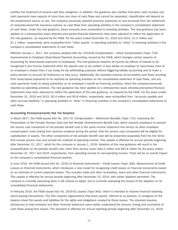clarifies the treatment of several cash flow categories. In addition, the guidance also clarifies that when cash receipts and cash payments have aspects of more than one class of cash flows and cannot be separated, classification will depend on the predominant source or use. The company previously reported premium payments on and proceeds from the settlement of corporate-owned life insurance policies as cash flows from operating activities in the company's consolidated statement of cash flows. Under the new guidance, these amounts were reclassified to investing activities. The new guidance has been applied on a retrospective basis whereby prior-period financial statements have been adjusted to reflect the application of the new guidance, as required by the FASB. For the years ended December 31, 2016 and 2015, \$1.5 million and \$1.1 million, respectively, were reclassified from "other assets" in operating activities to "other" in investing activities in the company's consolidated statements of cash flows.

Effective January 1, 2017, the company adopted ASU No. 2016-09 *Compensation—Stock Compensation (Topic 718): Improvements to Employee Share-Based Payment Accounting*, issued by the FASB, which changes certain aspects of accounting for share-based payments to employees. The new guidance requires all income tax effects of awards to be recognized in the income statement when the awards vest or are settled. It also allows an employer to repurchase more of an employee's shares than it can today for tax withholding purposes without triggering liability accounting and to make a policy election to account for forfeitures as they occur. Additionally, the standard requires all tax-related cash flows resulting from share-based payments to be reported as operating activities on the consolidated statement of cash flows, and any cash payments made to taxing authorities on an employee's behalf as financing activities, which the company previously reported as operating activities. The new guidance has been applied on a retrospective basis whereby prior-period financial statements have been adjusted to reflect the application of the new guidance, as required by the FASB. For the years ended December 31, 2016 and 2015, \$0.4 million and \$0.8 million, respectively, were reclassified from "accounts payable and other accrued liabilities" in operating activities to "other" in financing activities in the company's consolidated statements of cash flows.

#### **Accounting Pronouncements Not Yet Adopted**

In March 2017, the FASB issued ASU No. 2017-07 *Compensation—Retirement Benefits (Topic 715): Improving the Presentation of Net Periodic Pension Cost and Net Periodic Postretirement Benefit Cost*, which requires employers to present the service cost component of net periodic benefit cost in the same income statement line item(s) as other employee compensation costs arising from services rendered during the period. Only the service cost component will be eligible for capitalization in assets. The other components of net periodic benefit cost will be presented separately from the line items that include service cost and outside the subtotal of operating income. This update is effective for annual periods beginning after December 15, 2017, which for the company is January 1, 2018. Adoption of this new guidance will result in the reclassification of net periodic benefit cost, other than service costs (\$92.5 million and \$81.6 million for the years ended December 31, 2017 and 2016, respectively), from operating income to non-operating income. There will be no overall impact on the company's consolidated financial position.

In June 2016, the FASB issued ASU No. 2016-13 *Financial Instruments—Credit Losses (Topic 326): Measurement of Credit Losses on Financial Instruments*, which introduces a new model for recognizing credit losses on financial instruments based on an estimate of current expected losses. This includes trade and other receivables, loans and other financial instruments. This update is effective for annual periods beginning after December 15, 2019, with earlier adoption permitted. The company is currently assessing when it will choose to adopt, and is currently evaluating the impact of the adoption on its consolidated financial statements.

In February 2016, the FASB issued ASU No. 2016-02 *Leases (Topic 842)*, which is intended to improve financial reporting about leasing transactions. The ASU requires organizations that lease assets, referred to as lessees, to recognize on the balance sheet the assets and liabilities for the rights and obligations created by those leases. The standard requires disclosures to help investors and other financial statement users better understand the amount, timing and uncertainty of cash flows arising from leases. The standard is effective for annual reporting periods beginning after December 15, 2018,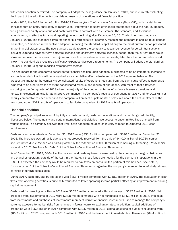with earlier adoption permitted. The company will adopt the new guidance on January 1, 2019, and is currently evaluating the impact of the adoption on its consolidated results of operations and financial position.

In May 2014, the FASB issued ASU No. 2014-09 *Revenue from Contracts with Customers (Topic 606)*, which establishes principles that an entity shall apply to report useful information to users of financial statements about the nature, amount, timing and uncertainty of revenue and cash flows from a contract with a customer. The standard, and its various amendments, is effective for annual reporting periods beginning after December 15, 2017, which for the company is January 1, 2018. The standard allows for either "full retrospective" adoption, meaning the standard is applied to all periods presented, or "modified retrospective" adoption, meaning the standard is applied only to the most current period presented in the financial statements. The new standard would require the company to recognize revenue for certain transactions, including extended payment term software licenses and short-term software licenses, sooner than the current rules would allow and require the company to recognize software license extensions and renewals, later than the current rules would allow. The standard also requires significantly expanded disclosure requirements. The company will adopt the standard on January 1, 2018 using the modified retrospective method.

The net impact to the company's consolidated financial position upon adoption is expected to be an immaterial increase to accumulated deficit which will be recognized as a cumulative effect adjustment to the 2018 opening balance. The prospective impact to the company's consolidated results of operations resulting from this cumulative effect adjustment is expected to be a net increase to 2018 consolidated revenue and results of operations, with most of that difference occurring in the first quarter of 2018 when the majority of the contractual terms of software license extensions and renewals, executed principally late in 2017, commence. The company's results of operations for 2017 and for 2018 will not be fully comparable to each other and the company will present supplemental disclosures about the actual effects of the new standard on 2018 results of operations to facilitate comparison to 2017 results of operations.

#### **Financial condition**

The company's principal sources of liquidity are cash on hand, cash from operations and its revolving credit facility, discussed below. The company and certain international subsidiaries have access to uncommitted lines of credit from various banks. The company believes that it will have adequate sources of liquidity to meet its expected 2018 cash requirements.

Cash and cash equivalents at December 31, 2017 were \$733.9 million compared with \$370.6 million at December 31, 2016. The increase was primarily due to the net proceeds received from the sale of \$440.0 million of 10.75% senior secured notes due 2022 and was partially offset by the redemption of \$95.0 million of remaining outstanding 6.25% senior notes due 2017. See Note 9, "Debt," of the Notes to Consolidated Financial Statements.

As of December 31, 2017, \$364.7 million of cash and cash equivalents were held by the company's foreign subsidiaries and branches operating outside of the U.S. In the future, if these funds are needed for the company's operations in the U.S., it is expected the company would be required to pay taxes on only a limited portion of this balance. See Note 7, "Income taxes," of the Notes to Consolidated Financial Statements regarding the company's intention to indefinitely reinvest earnings of foreign subsidiaries.

During 2017, cash provided by operations was \$166.4 million compared with \$218.2 million in 2016. The fluctuation in cash flows from operating activities is principally attributed to lower operating income partially offset by an improvement in working capital management.

Cash used for investing activities in 2017 was \$152.5 million compared with cash usage of \$182.1 million in 2016. Net proceeds from investments in 2017 were \$24.8 million compared with net purchases of \$34.1 million in 2016. Proceeds from investments and purchases of investments represent derivative financial instruments used to manage the company's currency exposure to market risks from changes in foreign currency exchange rates. In addition, capital additions of properties were \$25.8 million in 2017 compared with \$32.5 million in 2016, capital additions of outsourcing assets were \$86.3 million in 2017 compared with \$51.3 million in 2016 and the investment in marketable software was \$64.4 million in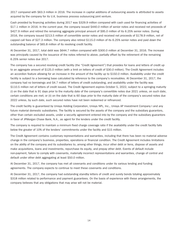2017 compared with \$63.3 million in 2016. The increase in capital additions of outsourcing assets is attributed to assets acquired by the company for its U.K. business process outsourcing joint venture.

Cash provided by financing activities during 2017 was \$329.9 million compared with cash used for financing activities of \$17.1 million in 2016. In the current year, the company issued \$440.0 million of senior notes and received net proceeds of \$427.9 million and retired the remaining aggregate principal amount of \$95.0 million of its 6.25% senior notes. During 2016, the company issued \$213.5 million of convertible senior notes and received net proceeds of \$178.9 million, net of capped call fees of \$27.3 million. The company also retired \$115.0 million of its 6.25% senior notes and paid down the outstanding balance of \$65.8 million of its revolving credit facility.

At December 31, 2017, total debt was \$644.7 million compared with \$300.0 million at December 31, 2016. The increase was principally caused by the issuance of the notes referred to above, partially offset by the retirement of the remaining 6.25% senior notes due 2017.

The company has a secured revolving credit facility (the "Credit Agreement") that provides for loans and letters of credit up to an aggregate amount of \$125.0 million (with a limit on letters of credit of \$30.0 million). The Credit Agreement includes an accordion feature allowing for an increase in the amount of the facility up to \$150.0 million. Availability under the credit facility is subject to a borrowing base calculated by reference to the company's receivables. At December 31, 2017, the company had no borrowings and \$4.7 million of letters of credit outstanding, and availability under the facility was \$110.5 million net of letters of credit issued. The Credit Agreement expires October 5, 2022, subject to a springing maturity (i) on the date that is 91 days prior to the maturity date of the company's convertible notes due 2021 unless, on such date, certain conditions are met; or (ii) on the date that is 60 days prior to the maturity date of the company's secured notes due 2022 unless, by such date, such secured notes have not been redeemed or refinanced.

The credit facility is guaranteed by Unisys Holding Corporation, Unisys NPL, Inc., Unisys AP Investment Company I and any future material domestic subsidiaries. The facility is secured by the assets of the company and the subsidiary guarantors, other than certain excluded assets, under a security agreement entered into by the company and the subsidiary guarantors in favor of JPMorgan Chase Bank, N.A., as agent for the lenders under the credit facility.

The company is required to maintain a minimum fixed charge coverage ratio if the availability under the credit facility falls below the greater of 10% of the lenders' commitments under the facility and \$15 million.

The Credit Agreement contains customary representations and warranties, including that there has been no material adverse change in the company's business, properties, operations or financial condition. The Credit Agreement includes limitations on the ability of the company and its subsidiaries to, among other things, incur other debt or liens, dispose of assets and make acquisitions, loans and investments, repurchase its equity, and prepay other debt. Events of default include non-payment, failure to comply with covenants, materially incorrect representations and warranties, change of control and default under other debt aggregating at least \$50.0 million.

At December 31, 2017, the company has met all covenants and conditions under its various lending and funding agreements. The company expects to continue to meet these covenants and conditions.

At December 31, 2017, the company had outstanding standby letters of credit and surety bonds totaling approximately \$318 million related to performance and payment guarantees. On the basis of experience with these arrangements, the company believes that any obligations that may arise will not be material.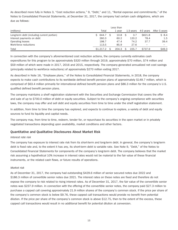As described more fully in Notes 3, "Cost reduction actions," 9, "Debt," and 11, "Rental expense and commitments," of the Notes to Consolidated Financial Statements, at December 31, 2017, the company had certain cash obligations, which are due as follows:

|                                            | Less than |           |        |       |           |       |           |               |
|--------------------------------------------|-----------|-----------|--------|-------|-----------|-------|-----------|---------------|
| (millions)                                 | Total     |           | 1 vear |       | 1-3 years |       | 4-5 years | After 5 years |
| Long-term debt (including current portion) |           | 644.7     |        | 10.8  |           | 3.7   | \$621.8   | \$8.4         |
| Interest payments on debt                  |           | 260.3     |        | 60.2  |           | 120.2 | 78.4      | 1.5           |
| Operating leases                           |           | 198.7     |        | 47.4  |           | 74.2  | 37.7      | 39.4          |
| Work-force reductions                      |           | 113.5     |        | 85.9  |           | 27.6  |           |               |
| Total                                      |           | \$1,217.2 |        | 204.3 |           | 225.7 | \$737.9   | \$49.3        |

In connection with the company's aforementioned cost reduction actions, the company currently estimates cash expenditures for this program to be approximately \$320 million through 2019, approximately \$70 million, \$74 million and \$59 million of which were made in 2017, 2016 and 2015, respectively. The company generated annualized net cost savings (principally related to workforce reductions) of approximately \$270 million exiting 2017.

As described in Note 16, "Employee plans," of the Notes to Consolidated Financial Statements, in 2018, the company expects to make cash contributions to its worldwide defined benefit pension plans of approximately \$149.7 million, which is comprised of \$63.4 million primarily for international defined benefit pension plans and \$86.3 million for the company's U.S. qualified defined benefit pension plans.

The company maintains a shelf registration statement with the Securities and Exchange Commission that covers the offer and sale of up to \$700.0 million of debt or equity securities. Subject to the company's ongoing compliance with securities laws, the company may offer and sell debt and equity securities from time to time under the shelf registration statement.

In addition, from time to time the company has explored, and expects to continue to explore, a variety of debt and equity sources to fund its liquidity and capital needs.

The company may, from time to time, redeem, tender for, or repurchase its securities in the open market or in privately negotiated transactions depending upon availability, market conditions and other factors.

### **Quantitative and Qualitative Disclosures About Market Risk**

#### *Interest rate risk*

The company has exposure to interest rate risk from its short-term and long-term debt. In general, the company's long-term debt is fixed rate and, to the extent it has any, its short-term debt is variable rate. See Note 9, "Debt," of the Notes to Consolidated Financial Statements for components of the company's long-term debt. The company believes that the market risk assuming a hypothetical 10% increase in interest rates would not be material to the fair value of these financial instruments, or the related cash flows, or future results of operations.

#### *Market risk*

As of December 31, 2017, the company had outstanding \$429.6 million of senior secured notes due 2022 and \$186.3 million of convertible senior notes due 2021. The interest rates on these notes are fixed and therefore do not expose the company to risk related to rising interest rates. As of December 31, 2017, the fair value of the convertible senior notes was \$237.9 million. In connection with the offering of the convertible senior notes, the company paid \$27.3 million to purchase a capped call covering approximately 21.9 million shares of the company's common stock. If the price per share of the company's common stock is below \$9.76, these capped call transactions would provide no benefit from potential dilution. If the price per share of the company's common stock is above \$12.75, then to the extent of the excess, these capped call transactions would result in no additional benefit for potential dilution at conversion.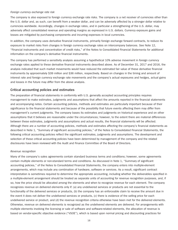#### *Foreign currency exchange rate risk*

The company is also exposed to foreign currency exchange rate risks. The company is a net receiver of currencies other than the U.S. dollar and, as such, can benefit from a weaker dollar, and can be adversely affected by a stronger dollar relative to currencies worldwide. Accordingly, changes in exchange rates, and in particular a strengthening of the U.S. dollar, may adversely affect consolidated revenue and operating margins as expressed in U.S. dollars. Currency exposure gains and losses are mitigated by purchasing components and incurring expenses in local currencies.

In addition, the company uses derivative financial instruments, primarily foreign exchange forward contracts, to reduce its exposure to market risks from changes in foreign currency exchange rates on intercompany balances. See Note 12, "Financial instruments and concentration of credit risks," of the Notes to Consolidated Financial Statements for additional information on the company's derivative financial instruments.

The company has performed a sensitivity analysis assuming a hypothetical 10% adverse movement in foreign currency exchange rates applied to these derivative financial instruments described above. As of December 31, 2017 and 2016, the analysis indicated that such market movements would have reduced the estimated fair value of these derivative financial instruments by approximately \$39 million and \$36 million, respectively. Based on changes in the timing and amount of interest rate and foreign currency exchange rate movements and the company's actual exposures and hedges, actual gains and losses in the future may differ from the above analysis.

#### **Critical accounting policies and estimates**

The preparation of financial statements in conformity with U.S. generally accepted accounting principles requires management to make estimates, judgments and assumptions that affect the amounts reported in the financial statements and accompanying notes. Certain accounting policies, methods and estimates are particularly important because of their significance to the financial statements and because of the possibility that future events affecting them may differ from management's current judgments. The company bases its estimates and judgments on historical experience and on other assumptions that it believes are reasonable under the circumstances; however, to the extent there are material differences between these estimates, judgments and assumptions and actual results, the financial statements will be affected. Although there are a number of accounting policies, methods and estimates affecting the company's financial statements as described in Note 1, "Summary of significant accounting policies," of the Notes to Consolidated Financial Statements, the following critical accounting policies reflect the significant estimates, judgments and assumptions. The development and selection of these critical accounting policies have been determined by management of the company and the related disclosures have been reviewed with the Audit and Finance Committee of the Board of Directors.

#### *Revenue recognition*

Many of the company's sales agreements contain standard business terms and conditions; however, some agreements contain multiple elements or non-standard terms and conditions. As discussed in Note 1, "Summary of significant accounting policies," of the Notes to Consolidated Financial Statements, the company enters into multiple-element arrangements, which may include any combination of hardware, software or services. As a result, significant contract interpretation is sometimes required to determine the appropriate accounting, including whether the deliverables specified in a multiple-element arrangement should be treated as separate units of accounting for revenue recognition purposes, and, if so, how the price should be allocated among the elements and when to recognize revenue for each element. The company recognizes revenue on delivered elements only if: (a) any undelivered services or products are not essential to the functionality of the delivered services or products, (b) the company has an enforceable claim to receive the amount due in the event it does not deliver the undelivered services or products, (c) there is evidence of the selling price for each undelivered service or product, and (d) the revenue recognition criteria otherwise have been met for the delivered elements. Otherwise, revenue on delivered elements is recognized as the undelivered elements are delivered. For arrangements with multiple elements involving the licensing or sale of software and software-related elements, the allocation of revenue is based on vendor-specific objective evidence ("VSOE"), which is based upon normal pricing and discounting practices for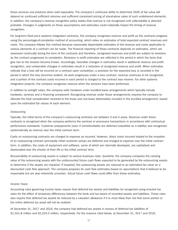those services and products when sold separately. The company's continued ability to determine VSOE of fair value will depend on continued sufficient volumes and sufficient consistent pricing of stand-alone sales of such undelivered elements. In addition, the company's revenue recognition policy states that revenue is not recognized until collectability is deemed probable. Changes in judgments on these assumptions and estimates could materially impact the timing of revenue recognition.

For long-term fixed price systems integration contracts, the company recognizes revenue and profit as the contracts progress using the percentage-of-completion method of accounting, which relies on estimates of total expected contract revenues and costs. The company follows this method because reasonably dependable estimates of the revenue and costs applicable to various elements of a contract can be made. The financial reporting of these contracts depends on estimates, which are assessed continually during the term of the contracts and therefore, recognized revenues and profit are subject to revisions as the contract progresses to completion. Revisions in profit estimates are reflected in the period in which the facts that give rise to the revision become known. Accordingly, favorable changes in estimates result in additional revenue and profit recognition, and unfavorable changes in estimates result in a reduction of recognized revenue and profit. When estimates indicate that a loss will be incurred on a contract upon completion, a provision for the expected loss is recorded in the period in which the loss becomes evident. As work progresses under a loss contract, revenue continues to be recognized, and a portion of the contract costs incurred in each period is charged to the contract loss reserve. For other systems integration projects, the company recognizes revenue when the services have been performed.

In addition to outright sales, the company sells hardware under bundled lease arrangements which typically include hardware, services and a financing component. Recognizing revenue under these arrangements requires the company to allocate the total consideration received to the lease and non-lease deliverables included in the bundled arrangement, based upon the estimated fair values of each element.

#### *Outsourcing*

Typically, the initial terms of the company's outsourcing contracts are between 3 and 5 years. Revenue under these contracts is recognized when the company performs the services or processes transactions in accordance with contractual performance standards. Customer prepayments (even if nonrefundable) are deferred (classified as a liability) and recognized systematically as revenue over the initial contract term.

Costs on outsourcing contracts are charged to expense as incurred. However, direct costs incurred related to the inception of an outsourcing contract (principally initial customer setup) are deferred and charged to expense over the initial contract term. In addition, the costs of equipment and software, some of which are internally developed, are capitalized and depreciated over the shorter of their life or the initial contract term.

Recoverability of outsourcing assets is subject to various business risks. Quarterly, the company compares the carrying value of the outsourcing assets with the undiscounted future cash flows expected to be generated by the outsourcing assets to determine if the assets are impaired. If impaired, the outsourcing assets are reduced to an estimated fair value on a discounted cash flow approach. The company prepares its cash flow estimates based on assumptions that it believes to be reasonable but are also inherently uncertain. Actual future cash flows could differ from these estimates.

#### *Income Taxes*

Accounting rules governing income taxes require that deferred tax assets and liabilities be recognized using enacted tax rates for the effect of temporary differences between the book and tax bases of recorded assets and liabilities. These rules also require that deferred tax assets be reduced by a valuation allowance if it is more likely than not that some portion or the entire deferred tax asset will not be realized.

At December 31, 2017 and 2016, the company had deferred tax assets in excess of deferred tax liabilities of \$1,551.8 million and \$2,224.5 million, respectively. For the reasons cited below, at December 31, 2017 and 2016,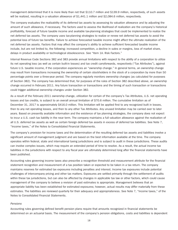management determined that it is more likely than not that \$110.7 million and \$139.9 million, respectively, of such assets will be realized, resulting in a valuation allowance of \$1,441.1 million and \$2,084.6 million, respectively.

The company evaluates the realizability of its deferred tax assets by assessing its valuation allowance and by adjusting the amount of such allowance, if necessary. The factors used to assess the likelihood of realization are the company's historical profitability, forecast of future taxable income and available tax-planning strategies that could be implemented to realize the net deferred tax assets. The company uses tax-planning strategies to realize or renew net deferred tax assets to avoid the potential loss of future tax benefits. Failure to achieve forecasted taxable income might affect the ultimate realization of the net deferred tax assets. Factors that may affect the company's ability to achieve sufficient forecasted taxable income include, but are not limited to, the following: increased competition, a decline in sales or margins, loss of market share, delays in product availability or technological obsolescence. See "Item 1A. Risk Factors."

Internal Revenue Code Sections 382 and 383 provide annual limitations with respect to the ability of a corporation to utilize its net operating loss (as well as certain built-in losses) and tax credit carryforwards, respectively ("Tax Attributes"), against future U.S. taxable income, if the corporation experiences an "ownership change." In general terms, an ownership change may result from transactions increasing the ownership of certain stockholders in the stock of a corporation by more than 50 percentage points over a three-year period. The company regularly monitors ownership changes (as calculated for purposes of Section 382). The company has determined that, for purposes of the rules of Section 382 described above, an ownership change occurred in February 2011. Any future transaction or transactions and the timing of such transaction or transactions could trigger additional ownership changes under Section 382.

As a result of the February 2011 ownership change, utilization for certain of the company's Tax Attributes, U.S. net operating losses and tax credits, is subject to an overall annual limitation of \$70.6 million. The cumulative limitation as of December 31, 2017 is approximately \$416.0 million. This limitation will be applied first to any recognized built in losses, then to any net operating losses, and then to any other Tax Attributes. Any unused limitation may be carried over to later years. Based on presently available information and the existence of tax planning strategies, the company does not expect to incur a U.S. cash tax liability in the near term. The company maintains a full valuation allowance against the realization of all U.S. deferred tax assets as well as certain foreign deferred tax assets in excess of deferred tax liabilities. See Note 7, "Income taxes," of the Notes to Consolidated Financial Statements.

The company's provision for income taxes and the determination of the resulting deferred tax assets and liabilities involve a significant amount of management judgment and are based on the best information available at the time. The company operates within federal, state and international taxing jurisdictions and is subject to audit in these jurisdictions. These audits can involve complex issues, which may require an extended period of time to resolve. As a result, the actual income tax liabilities in the jurisdictions with respect to any fiscal year are ultimately determined long after the financial statements have been published.

Accounting rules governing income taxes also prescribe a recognition threshold and measurement attribute for the financial statement recognition and measurement of a tax position taken or expected to be taken in a tax return. The company maintains reserves for estimated tax exposures including penalties and interest. Income tax exposures include potential challenges of intercompany pricing and other tax matters. Exposures are settled primarily through the settlement of audits within these tax jurisdictions, but can also be affected by changes in applicable tax law or other factors, which could cause management of the company to believe a revision of past estimates is appropriate. Management believes that an appropriate liability has been established for estimated exposures; however, actual results may differ materially from these estimates. The liabilities are reviewed quarterly for their adequacy and appropriateness. See Note 7, "Income taxes," of the Notes to Consolidated Financial Statements.

#### *Pensions*

Accounting rules governing defined benefit pension plans require that amounts recognized in financial statements be determined on an actuarial basis. The measurement of the company's pension obligations, costs and liabilities is dependent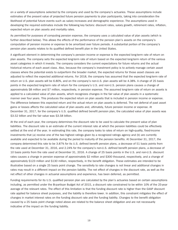on a variety of assumptions selected by the company and used by the company's actuaries. These assumptions include estimates of the present value of projected future pension payments to plan participants, taking into consideration the likelihood of potential future events such as salary increases and demographic experience. The assumptions used in developing the required estimates include the following key factors: discount rates, salary growth, retirement rates, inflation, expected return on plan assets and mortality rates.

As permitted for purposes of computing pension expense, the company uses a calculated value of plan assets (which is further described below). This allows the effects of the performance of the pension plan's assets on the company's computation of pension income or expense to be amortized over future periods. A substantial portion of the company's pension plan assets relates to its qualified defined benefit plan in the United States.

A significant element in determining the company's pension income or expense is the expected long-term rate of return on plan assets. The company sets the expected long-term rate of return based on the expected long-term return of the various asset categories in which it invests. The company considers the current expectations for future returns and the actual historical returns of each asset class. Also, because the company's investment policy is to actively manage certain asset classes where the potential exists to outperform the broader market, the expected returns for those asset classes are adjusted to reflect the expected additional returns. For 2018, the company has assumed that the expected long-term rate of return on U.S. plan assets will be 6.80%, and on the company's non-U.S. plan assets will be 4.38%. A change of 25 basis points in the expected long-term rate of return for the company's U.S. and non-U.S. pension plans causes a change of approximately \$8 million and \$7 million, respectively, in pension expense. The assumed long-term rate of return on assets is applied to a calculated value of plan assets, which recognizes changes in the fair value of plan assets in a systematic manner over four years. This produces the expected return on plan assets that is included in pension income or expense. The difference between this expected return and the actual return on plan assets is deferred. The net deferral of past asset gains or losses affects the calculated value of plan assets and, ultimately, future pension income or expense. At December 31, 2017, for the company's U.S. qualified defined benefit pension plan, the calculated value of plan assets was \$3.52 billion and the fair value was \$3.58 billion.

At the end of each year, the company determines the discount rate to be used to calculate the present value of plan liabilities. The discount rate is an estimate of the current interest rate at which the pension liabilities could be effectively settled at the end of the year. In estimating this rate, the company looks to rates of return on high-quality, fixed-income investments that (a) receive one of the two highest ratings given by a recognized ratings agency and (b) are currently available and expected to be available during the period to maturity of the pension benefits. At December 31, 2017, the company determined this rate to be 3.87% for its U.S. defined benefit pension plans, a decrease of 51 basis points from the rate used at December 31, 2016, and 2.24% for the company's non-U.S. defined benefit pension plans, a decrease of 10 basis points from the rate used at December 31, 2016. A change of 25 basis points in the U.S. and non-U.S. discount rates causes a change in pension expense of approximately \$2 million and \$300 thousand, respectively, and a change of approximately \$123 million and \$130 million, respectively, in the benefit obligation. These estimates are intended to be illustrative based on a single 25 basis point change. The sensitivity to rate changes is not linear and additional changes in rates may result in a different impact on the pension liability. The net effect of changes in the discount rate, as well as the net effect of other changes in actuarial assumptions and experience, has been deferred, as permitted.

Funding requirements for its U.S. qualified pension plan are calculated by the plan's actuaries based on certain assumptions including, as permitted under the Bi-partisan Budget Act of 2015, a discount rate constrained to be within 10% of the 25-year average of the relevant rates. The effect of this limitation is that the funding discount rate is higher than the GAAP discount rate applied for balance sheet purposes, and the liability is therefore lower. In addition, this constraint mitigates the effect of changes in market interest rates on the funding discount rate and the funding liability. Changes to the benefit obligation caused by a 25 basis point change noted above are related to the balance sheet obligation and are not necessarily indicative of the impact on the funding liability.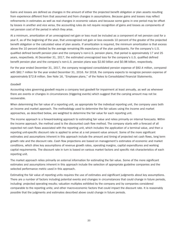Gains and losses are defined as changes in the amount of either the projected benefit obligation or plan assets resulting from experience different from that assumed and from changes in assumptions. Because gains and losses may reflect refinements in estimates as well as real changes in economic values and because some gains in one period may be offset by losses in another and vice versa, the accounting rules do not require recognition of gains and losses as components of net pension cost of the period in which they arise.

At a minimum, amortization of an unrecognized net gain or loss must be included as a component of net pension cost for a year if, as of the beginning of the year, that unrecognized net gain or loss exceeds 10 percent of the greater of the projected benefit obligation or the calculated value of plan assets. If amortization is required, the minimum amortization is that excess above the 10 percent divided by the average remaining life expectancy of the plan participants. For the company's U.S. qualified defined benefit pension plan and the company's non-U.S. pension plans, that period is approximately 17 and 25 years, respectively. At December 31, 2017, the estimated unrecognized loss for the company's U.S. qualified defined benefit pension plan and the company's non-U.S. pension plans was \$2.60 billion and \$0.98 billion, respectively.

For the year ended December 31, 2017, the company recognized consolidated pension expense of \$92.4 million, compared with \$82.7 million for the year ended December 31, 2016. For 2018, the company expects to recognize pension expense of approximately \$72.8 million. See Note 16, "Employee plans," of the Notes to Consolidated Financial Statements.

#### *Goodwill*

Accounting rules governing goodwill require a company test goodwill for impairment at least annually, as well as whenever there are events or changes in circumstances (triggering events) which suggest that the carrying amount may not be recoverable.

When determining the fair value of a reporting unit, as appropriate for the individual reporting unit, the company uses both an income and market approach. The methodology used to determine the fair values using the income and market approaches, as described below, are weighted to determine the fair value for each reporting unit.

The income approach is a forward-looking approach to estimating fair value and relies primarily on internal forecasts. Within the income approach, the method used is the discounted cash flow method. The company starts with a forecast of all expected net cash flows associated with the reporting unit, which includes the application of a terminal value, and then a reporting unit-specific discount rate is applied to arrive at a net present value amount. Some of the more significant estimates and assumptions inherent in this approach include the amount and timing of projected net cash flows, long term growth rate and the discount rate. Cash flow projections are based on management's estimates of economic and market conditions, which drive key assumptions of revenue growth rates, operating margins, capital expenditures and working capital requirements. The discount rate in turn is based on various market factors and specific risk characteristics of each reporting unit.

The market approach relies primarily on external information for estimating the fair value. Some of the more significant estimates and assumptions inherent in this approach include the selection of appropriate guideline companies and the selected performance metric used in this approach.

Estimating the fair value of reporting units requires the use of estimates and significant judgments about key assumptions. There are a number of factors including potential events and changes in circumstances that could change in future periods, including: projected operating results; valuation multiples exhibited by the company and by companies considered comparable to the reporting units; and other macro-economic factors that could impact the discount rate. It is reasonably possible that the judgments and estimates described above could change in future periods.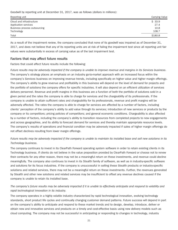Goodwill by reporting unit at December 31, 2017, was as follows (dollars in millions):

| Reporting unit               | <b>Carrying Value</b> |
|------------------------------|-----------------------|
| Cloud and infrastructure     | \$33.9                |
| Application services         | 27.4                  |
| Business process outsourcing | 10.8                  |
| Technology                   | 108.7                 |
| Total                        | \$180.8               |

As a result of the impairment review, the company concluded that none of its goodwill was impaired as of December 31, 2017, and does not believe that any of its reporting units are at risk of failing the impairment test since all reporting unit fair values were substantially in excess of carrying value as of the last impairment test.

### **Factors that may affect future results**

Factors that could affect future results include the following:

*Future results may be adversely impacted if the company is unable to improve revenue and margins in its Services business.* The company's strategy places an emphasis on an industry go-to-market approach with an increased focus within the company's Services business on improving revenue trends, including specifically on higher value and higher margin offerings. The company's ability to grow revenue and profitability in this business will depend on the level of demand for projects and the portfolio of solutions the company offers for specific industries. It will also depend on an efficient utilization of services delivery personnel. Revenue and profit margins in this business are a function of both the portfolio of solutions sold in a given period and the rates the company is able to charge for services and the chargeability of its professionals. If the company is unable to attain sufficient rates and chargeability for its professionals, revenue and profit margins will be adversely affected. The rates the company is able to charge for services are affected by a number of factors, including clients' perception of the company's ability to add value through its services; introduction of new services or products by the company or its competitors; pricing policies of competitors; and general economic conditions. Chargeability is also affected by a number of factors, including the company's ability to transition resources from completed projects to new engagements and across geographies, and its ability to forecast demand for services and thereby maintain appropriate resource levels. The company's results of operations and financial condition may be adversely impacted if sales of higher margin offerings do not offset declines resulting from lower margin offerings.

### *Future results may be adversely impacted if the company is unable to maintain its installed base and sell new solutions in its Technology business.*

The company continues to invest in its ClearPath Forward operating system software in order to retain existing clients in its Technology business. If clients do not believe in the value proposition provided by ClearPath Forward or choose not to renew their contracts for any other reason, there may not be a meaningful return on these investments, and revenue could decline meaningfully. The company also continues to invest in its Stealth family of software, as well as in industry-specific software and solutions for its focus industries. If the company is unsuccessful in selling these Stealth products or industry-specific solutions and related services, there may not be a meaningful return on these investments. Further, the revenues generated by Stealth and other new solutions and related services may be insufficient to offset any revenue declines caused if the company is unable to retain its installed base.

### *The company's future results may be adversely impacted if it is unable to effectively anticipate and respond to volatility and rapid technological innovation in its industry.*

The company operates in a highly volatile industry characterized by rapid technological innovation, evolving technology standards, short product life cycles and continually changing customer demand patterns. Future success will depend in part on the company's ability to anticipate and respond to these market trends and to design, develop, introduce, deliver or obtain new and innovative services and products on a timely and cost-effective basis using new delivery models such as cloud computing. The company may not be successful in anticipating or responding to changes in technology, industry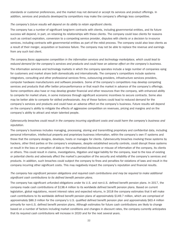standards or customer preferences, and the market may not demand or accept its services and product offerings. In addition, services and products developed by competitors may make the company's offerings less competitive.

#### *The company's future results will depend on its ability to retain significant clients.*

The company has a number of significant long-term contracts with clients, including governmental entities, and its future success will depend, in part, on retaining its relationships with these clients. The company could lose clients for reasons such as contract expiration, conversion to a competing service provider, disputes with clients or a decision to in-source services, including contracts with governmental entities as part of the rebid process. The company could also lose clients as a result of their merger, acquisition or business failure. The company may not be able to replace the revenue and earnings from any such lost client.

#### *The company faces aggressive competition in the information services and technology marketplace, which could lead to reduced demand for the company's services and products and could have an adverse effect on the company's business.*

The information services and technology markets in which the company operates include a large number of companies vying for customers and market share both domestically and internationally. The company's competitors include systems integrators, consulting and other professional services firms, outsourcing providers, infrastructure services providers, computer hardware manufacturers and software providers. Some of the company's competitors may develop competing services and products that offer better price-performance or that reach the market in advance of the company's offerings. Some competitors also have or may develop greater financial and other resources than the company, with enhanced ability to compete for market share, in some instances through significant economic incentives to secure contracts. Some also may be better able to compete for skilled professionals. Any of these factors could lead to reduced demand for the company's services and products and could have an adverse effect on the company's business. Future results will depend on the company's ability to mitigate the effects of aggressive competition on revenues, pricing and margins and on the company's ability to attract and retain talented people.

### *Cybersecurity breaches could result in the company incurring significant costs and could harm the company's business and reputation.*

The company's business includes managing, processing, storing and transmitting proprietary and confidential data, including personal information, intellectual property and proprietary business information, within the company's own IT systems and those that the company designs, develops, hosts or manages for clients. Cybersecurity breaches involving these systems by hackers, other third parties or the company's employees, despite established security controls, could disrupt these systems or result in the loss or corruption of data or the unauthorized disclosure or misuse of information of the company, its clients or others. This could result in claims, investigations, litigation and legal liability for the company, lead to the loss of existing or potential clients and adversely affect the market's perception of the security and reliability of the company's services and products. In addition, such breaches could subject the company to fines and penalties for violations of laws and result in the company incurring other significant costs. This may negatively impact the company's reputation and financial results.

### *The company has significant pension obligations and required cash contributions and may be required to make additional significant cash contributions to its defined benefit pension plans.*

The company has significant unfunded obligations under its U.S. and non-U.S. defined benefit pension plans. In 2017, the company made cash contributions of \$138.4 million to its worldwide defined benefit pension plans. Based on current legislation, global regulations, recent interest rates and expected returns, in 2018 the company estimates that it will make cash contributions to its worldwide defined benefit pension plans of approximately \$149.7 million, which are comprised of approximately \$86.3 million for the company's U.S. qualified defined benefit pension plan and approximately \$63.4 million primarily for non-U.S. defined benefit pension plans. Although estimates for future cash contributions are likely to change based on a number of factors including market conditions and changes in discount rates, the company currently anticipates that its required cash contributions will increase in 2020 and for the next several years.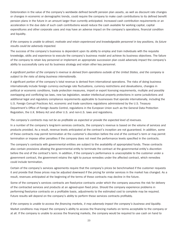Deterioration in the value of the company's worldwide defined benefit pension plan assets, as well as discount rate changes or changes in economic or demographic trends, could require the company to make cash contributions to its defined benefit pension plans in the future in an amount larger than currently anticipated. Increased cash contribution requirements or an acceleration in the due date of such cash contributions would reduce the cash available for working capital, capital expenditures and other corporate uses and may have an adverse impact on the company's operations, financial condition and liquidity.

### *If the company is unable to attract, motivate and retain experienced and knowledgeable personnel in key positions, its future results could be adversely impacted.*

The success of the company's business is dependent upon its ability to employ and train individuals with the requisite knowledge, skills and experience to execute the company's business model and achieve its business objectives. The failure of the company to retain key personnel or implement an appropriate succession plan could adversely impact the company's ability to successfully carry out its business strategy and retain other key personnel.

### *A significant portion of the company's revenue is derived from operations outside of the United States, and the company is subject to the risks of doing business internationally.*

A significant portion of the company's total revenue is derived from international operations. The risks of doing business internationally include foreign currency exchange rate fluctuations, currency restrictions and devaluations, changes in political or economic conditions, trade protection measures, import or export licensing requirements, multiple and possibly overlapping and conflicting tax laws, new tax legislation, weaker intellectual property protections in some jurisdictions and additional legal and regulatory compliance requirements applicable to businesses that operate internationally, including the U.S. Foreign Corrupt Practices Act, economic and trade sanctions regulations administered by the U.S. Treasury Department's Office of Foreign Assets Control, regulations in the European Union such as the General Data Protection Regulation, the U.K. Bribery Act and other U.S. and non-U.S. laws and regulations.

#### *The company's contracts may not be as profitable as expected or provide the expected level of revenues.*

In a number of the company's long-term services contracts, the company's revenue is based on the volume of services and products provided. As a result, revenue levels anticipated at the contract's inception are not guaranteed. In addition, some of these contracts may permit termination at the customer's discretion before the end of the contract's term or may permit termination or impose other penalties if the company does not meet the performance levels specified in the contracts.

The company's contracts with governmental entities are subject to the availability of appropriated funds. These contracts also contain provisions allowing the governmental entity to terminate the contract at the governmental entity's discretion before the end of the contract's term. In addition, if the company's performance is unacceptable to the customer under a government contract, the government retains the right to pursue remedies under the affected contract, which remedies could include termination.

Certain of the company's services agreements require that the company's prices be benchmarked if the customer requests it and provide that those prices may be adjusted downward if the pricing for similar services in the market has changed. As a result, revenues anticipated at the beginning of the terms of these contracts may decline in the future.

Some of the company's services contracts are fixed-price contracts under which the company assumes the risk for delivery of the contracted services and products at an agreed-upon fixed price. Should the company experience problems in performing fixed-price contracts on a profitable basis, adjustments to the estimated cost to complete may be required. Future results will depend on the company's ability to perform these services contracts profitably.

#### *If the company is unable to access the financing markets, it may adversely impact the company's business and liquidity.*

Market conditions may impact the company's ability to access the financing markets on terms acceptable to the company or at all. If the company is unable to access the financing markets, the company would be required to use cash on hand to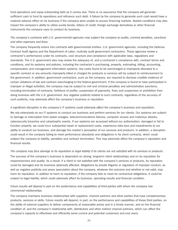fund operations and repay outstanding debt as it comes due. There is no assurance that the company will generate sufficient cash to fund its operations and refinance such debt. A failure by the company to generate such cash would have a material adverse effect on its business if the company were unable to access financing markets. Market conditions may also impact the company's ability to utilize surety bonds, letters of credit, foreign exchange derivatives or other financial instruments the company uses to conduct its business.

### *The company's contracts with U.S. governmental agencies may subject the company to audits, criminal penalties, sanctions and other expenses and fines.*

The company frequently enters into contracts with governmental entities. U.S. government agencies, including the Defense Contract Audit Agency and the Department of Labor, routinely audit government contractors. These agencies review a contractor's performance under its contracts, cost structure and compliance with applicable laws, regulations and standards. The U.S. government also may review the adequacy of, and a contractor's compliance with, contract terms and conditions, and its systems and policies, including the contractor's purchasing, property, estimating, billing, accounting, compensation and management information systems. Any costs found to be overcharged or improperly allocated to a specific contract or any amounts improperly billed or charged for products or services will be subject to reimbursement to the government. In addition, government contractors, such as the company, are required to disclose credible evidence of certain violations of law and contract overcharging to the federal government. If the company is found to have participated in improper or illegal activities, the company may be subject to civil and criminal penalties and administrative sanctions, including termination of contracts, forfeiture of profits, suspension of payments, fines and suspension or prohibition from doing business with the U.S. government. Any negative publicity related to such contracts, regardless of the accuracy of such publicity, may adversely affect the company's business or reputation.

#### *A significant disruption in the company's IT systems could adversely affect the company's business and reputation.*

We rely extensively on our IT systems to conduct our business and perform services for our clients. Our systems are subject to damage or interruption from power outages, telecommunications failures, computer viruses and malicious attacks, cybersecurity breaches and catastrophic events. If our systems are accessed without our authorization, damaged or fail to function properly, we could incur substantial repair or replacement costs, experience data loss and impediments to our ability to conduct our business, and damage the market's perception of our services and products. In addition, a disruption could result in the company failing to meet performance standards and obligations in its client contracts, which could subject the company to liability, penalties and contract termination. This may adversely affect the company's reputation and financial results.

#### *The company may face damage to its reputation or legal liability if its clients are not satisfied with its services or products.*

The success of the company's business is dependent on strong, long-term client relationships and on its reputation for responsiveness and quality. As a result, if a client is not satisfied with the company's services or products, its reputation could be damaged and its business adversely affected. Allegations by private litigants or regulators of improper conduct, as well as negative publicity and press speculation about the company, whatever the outcome and whether or not valid, may harm its reputation. In addition to harm to reputation, if the company fails to meet its contractual obligations, it could be subject to legal liability, which could adversely affect its business, operating results and financial condition.

#### *Future results will depend in part on the performance and capabilities of third parties with whom the company has commercial relationships.*

The company maintains business relationships with suppliers, channel partners and other parties that have complementary products, services or skills. Future results will depend, in part, on the performance and capabilities of these third parties, on the ability of external suppliers to deliver components at reasonable prices and in a timely manner, and on the financial condition of, and the company's relationship with, distributors and other indirect channel partners, which can affect the company's capacity to effectively and efficiently serve current and potential customers and end users.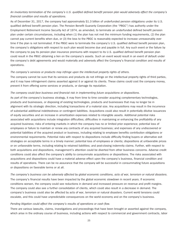*An involuntary termination of the company's U.S. qualified defined benefit pension plan would adversely affect the company's financial condition and results of operations.*

As of December 31, 2017, the company had approximately \$1.3 billion of underfunded pension obligations under its U.S. qualified defined benefit pension plan. The Pension Benefit Guaranty Corporation (the "PBGC") has authority under the Employment Retirement Income Security Act of 1974, as amended, to terminate an underfunded defined benefit pension plan under certain circumstances, including when (1) the plan has not met the minimum funding requirements, (2) the plan cannot pay current benefits when due, or (3) the loss to the PBGC is reasonably expected to increase unreasonably over time if the plan is not terminated. If the PBGC were to terminate the company's U.S. qualified defined benefit pension plan, the company's obligations with respect to such plan would become due and payable in full. Any such event or the failure by the company to pay its pension plan insurance premiums with respect to its U.S. qualified defined benefit pension plan could result in the PBGC obtaining a lien on the company's assets. Such an event would result in an event of default under the company's debt agreements and would materially and adversely affect the Company's financial condition and results of operations.

#### *The company's services or products may infringe upon the intellectual property rights of others.*

The company cannot be sure that its services and products do not infringe on the intellectual property rights of third parties, and it may have infringement claims asserted against it or against its clients. These claims could cost the company money, prevent it from offering some services or products, or damage its reputation.

#### *The company could face business and financial risk in implementing future acquisitions or dispositions.*

As part of the company's business strategy, it may from time to time consider acquiring complementary technologies, products and businesses, or disposing of existing technologies, products and businesses that may no longer be in alignment with its strategic direction, including transactions of a material size. Any acquisitions may result in the incurrence of substantial additional indebtedness or contingent liabilities. Acquisitions could also result in potentially dilutive issuances of equity securities and an increase in amortization expenses related to intangible assets. Additional potential risks associated with acquisitions include integration difficulties; difficulties in maintaining or enhancing the profitability of any acquired business; risks of entering markets in which the company has no or limited prior experience; potential loss of employees or failure to maintain or renew any contracts of any acquired business; and expenses of any undiscovered or potential liabilities of the acquired product or business, including relating to employee benefits contribution obligations or environmental requirements. Potential risks with respect to dispositions include difficulty finding buyers or alternative exit strategies on acceptable terms in a timely manner; potential loss of employees or clients; dispositions at unfavorable prices or on unfavorable terms, including relating to retained liabilities; and post-closing indemnity claims. Further, with respect to both acquisitions and dispositions, management's attention could be diverted from other business concerns. Adverse credit conditions could also affect the company's ability to consummate acquisitions or dispositions. The risks associated with acquisitions and dispositions could have a material adverse effect upon the company's business, financial condition and results of operations. There can be no assurance that the company will be successful in consummating future acquisitions or dispositions on favorable terms or at all.

#### *The company's business can be adversely affected by global economic conditions, acts of war, terrorism or natural disasters.*

The company's financial results have been impacted by the global economic slowdown in recent years. If economic conditions worsen, the company could see reductions in demand and increased pressure on revenue and profit margins. The company could also see a further consolidation of clients, which could also result in a decrease in demand. The company's business could also be affected by acts of war, terrorism or natural disasters. Current world tensions could escalate, and this could have unpredictable consequences on the world economy and on the company's business.

#### *Pending litigation could affect the company's results of operations or cash flow.*

There are various lawsuits, claims, investigations and proceedings that have been brought or asserted against the company, which arise in the ordinary course of business, including actions with respect to commercial and government contracts, labor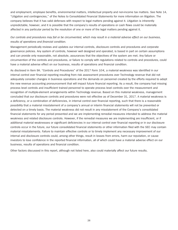and employment, employee benefits, environmental matters, intellectual property and non-income tax matters. See Note 14, "Litigation and contingencies," of the Notes to Consolidated Financial Statements for more information on litigation. The company believes that it has valid defenses with respect to legal matters pending against it. Litigation is inherently unpredictable, however, and it is possible that the company's results of operations or cash flows could be materially affected in any particular period by the resolution of one or more of the legal matters pending against it.

### *Our controls and procedures may fail or be circumvented, which may result in a material adverse effect on our business, results of operations and financial condition.*

Management periodically reviews and updates our internal controls, disclosure controls and procedures and corporate governance policies. Any system of controls, however well designed and operated, is based in part on certain assumptions and can provide only reasonable, not absolute, assurances that the objectives of the system are met. Any failure or circumvention of the controls and procedures, or failure to comply with regulations related to controls and procedures, could have a material adverse effect on our business, results of operations and financial condition.

As disclosed in Item 9A. "Controls and Procedures" of the 2017 Form 10-K, a material weakness was identified in our internal control over financial reporting resulting from risk assessment procedures over Technology revenue that did not adequately consider changes in business operations and the demands on personnel created by the efforts required to adopt the new revenue accounting pronouncement that will impact future financial reporting. As a result, the company had missing process level controls and insufficient trained personnel to operate process level controls over the measurement and recognition of multiple-element arrangements within Technology revenue. Based on this material weakness, management concluded that our disclosure controls and procedures were not effective as of December 31, 2017. A material weakness is a deficiency, or a combination of deficiencies, in internal control over financial reporting, such that there is a reasonable possibility that a material misstatement of a company's annual or interim financial statements will not be prevented or detected on a timely basis. The material weakness did not result in any misstatement of the Company's consolidated financial statements for any period presented and we are implementing remedial measures intended to address the material weakness and related disclosure controls. However, if the remedial measures we are implementing are insufficient, or if additional material weaknesses or significant deficiencies in our internal control over financial reporting or in our disclosure controls occur in the future, our future consolidated financial statements or other information filed with the SEC may contain material misstatements. Failure to maintain effective controls or to timely implement any necessary improvement of our internal and disclosure controls could, among other things, result in losses from errors, harm our reputation, or cause investors to lose confidence in the reported financial information, all of which could have a material adverse effect on our business, results of operations and financial condition.

Other factors discussed in this report, although not listed here, also could materially affect our future results.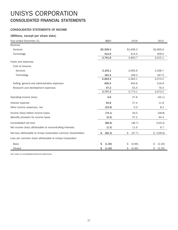# UNISYS CORPORATION **CONSOLIDATED FINANCIAL STATEMENTS**

### **CONSOLIDATED STATEMENTS OF INCOME**

#### **(Millions, except per share data)**

| Year ended December 31,                                         | 2017         | 2016         | 2015         |
|-----------------------------------------------------------------|--------------|--------------|--------------|
| Revenue                                                         |              |              |              |
| Services                                                        | \$2,328.2    | \$2,406.3    | \$2,605.6    |
| Technology                                                      | 413.6        | 414.4        | 409.5        |
|                                                                 | 2,741.8      | 2,820.7      | 3,015.1      |
| Costs and expenses                                              |              |              |              |
| Cost of revenue:                                                |              |              |              |
| Services                                                        | 2,102.1      | 2,092.9      | 2,306.7      |
| Technology                                                      | 161.4        | 169.2        | 167.5        |
|                                                                 | 2,263.5      | 2,262.1      | 2,474.2      |
| Selling, general and administrative expenses                    | 426.5        | 455.6        | 519.6        |
| Research and development expenses                               | 47.2         | 55.4         | 76.4         |
|                                                                 | 2,737.2      | 2,773.1      | 3,070.2      |
| Operating income (loss)                                         | 4.6          | 47.6         | (55.1)       |
| Interest expense                                                | 52.8         | 27.4         | 11.9         |
| Other income (expense), net                                     | (23.9)       | 0.3          | 8.2          |
| Income (loss) before income taxes                               | (72.1)       | 20.5         | (58.8)       |
| (Benefit) provision for income taxes                            | (5.5)        | 57.2         | 44.4         |
| Consolidated net loss                                           | (66.6)       | (36.7)       | (103.2)      |
| Net income (loss) attributable to noncontrolling interests      | (1.3)        | 11.0         | 6.7          |
| Net loss attributable to Unisys Corporation common shareholders | (65.3)<br>\$ | \$<br>(47.7) | \$ (109.9)   |
| Loss per common share attributable to Unisys Corporation        |              |              |              |
| <b>Basic</b>                                                    | \$<br>(1.30) | \$<br>(0.95) | \$<br>(2.20) |
| <b>Diluted</b>                                                  | \$<br>(1.30) | \$<br>(0.95) | \$<br>(2.20) |

*See notes to consolidated financial statements*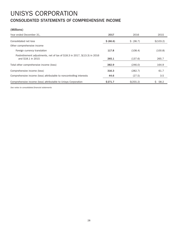# UNISYS CORPORATION **CONSOLIDATED STATEMENTS OF COMPREHENSIVE INCOME**

### **(Millions)**

| Year ended December 31,                                                                          | 2017      | 2016      | 2015      |
|--------------------------------------------------------------------------------------------------|-----------|-----------|-----------|
| Consolidated net loss                                                                            | \$ (66.6) | \$ (36.7) | \$(103.2) |
| Other comprehensive income                                                                       |           |           |           |
| Foreign currency translation                                                                     | 117.8     | (108.4)   | (100.8)   |
| Postretirement adjustments, net of tax of \$18.3 in 2017, \$(13.3) in 2016<br>and \$18.1 in 2015 | 265.1     | (137.6)   | 265.7     |
| Total other comprehensive income (loss)                                                          | 382.9     | (246.0)   | 164.9     |
| Comprehensive income (loss)                                                                      | 316.3     | (282.7)   | 61.7      |
| Comprehensive income (loss) attributable to noncontrolling interests                             | 44.6      | (27.5)    | 3.5       |
| Comprehensive income (loss) attributable to Unisys Corporation                                   | \$271.7   | S(255.2)  | 58.2<br>S |

*See notes to consolidated financial statements*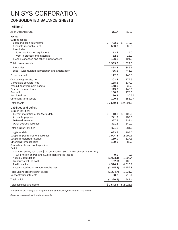# UNISYS CORPORATION **CONSOLIDATED BALANCE SHEETS**

### **(Millions)**

| As of December 31,                                                        |    | 2017             |   | 2016             |
|---------------------------------------------------------------------------|----|------------------|---|------------------|
| Assets                                                                    |    |                  |   |                  |
| Current assets                                                            |    |                  |   |                  |
| Cash and cash equivalents                                                 | Ś  | 733.9            | S | 370.6            |
| Accounts receivable, net                                                  |    | 503.3            |   | 505.8            |
| Inventories:                                                              |    | 13.6             |   | 14.0             |
| Parts and finished equipment<br>Work in process and materials             |    | 12.5             |   | 15.0             |
| Prepaid expenses and other current assets                                 |    | 126.2            |   | 121.9            |
| Total current assets                                                      |    | 1,389.5          |   | 1,027.3          |
| Properties                                                                |    | 898.8            |   | 886.6            |
| Less – Accumulated depreciation and amortization                          |    | 756.3            |   | 741.3            |
| Properties, net                                                           |    | 142.5            |   | 145.3            |
| Outsourcing assets, net                                                   |    | 202.3            |   | 172.5            |
| Marketable software, net                                                  |    | 138.3            |   | 137.0            |
| Prepaid postretirement assets                                             |    | 148.3            |   | 33.3             |
| Deferred income taxes                                                     |    | 119.9            |   | 146.1            |
| Goodwill                                                                  |    | 180.8            |   | 178.6            |
| Restricted cash                                                           |    | 30.2             |   | $30.5*$          |
| Other long-term assets                                                    |    | 190.6            |   | $151.0*$         |
| Total assets                                                              |    | \$2,542.4        |   | \$2,021.6        |
| Liabilities and deficit                                                   |    |                  |   |                  |
| Current liabilities:                                                      |    |                  |   |                  |
| Current maturities of long-term debt                                      | \$ | 10.8             | Ŝ | 106.0            |
| Accounts payable                                                          |    | 241.8            |   | 189.0            |
| Deferred revenue                                                          |    | 327.5            |   | 337.4            |
| Other accrued liabilities                                                 |    | 391.5            |   | 349.2            |
| Total current liabilities                                                 |    | 971.6            |   | 981.6            |
| Long-term debt                                                            |    | 633.9            |   | 194.0            |
| Long-term postretirement liabilities<br>Long-term deferred revenue        |    | 2,004.4<br>159.0 |   | 2,292.6<br>117.6 |
| Other long-term liabilities                                               |    | 100.0            |   | 83.2             |
| Commitments and contingencies                                             |    |                  |   |                  |
| Deficit:                                                                  |    |                  |   |                  |
| Common stock, par value \$.01 per share (150.0 million shares authorized; |    |                  |   |                  |
| 53.4 million shares and 52.8 million shares issued)                       |    | 0.5              |   | 0.5              |
| Accumulated deficit                                                       |    | (1,963.1)        |   | (1,893.4)        |
| Treasury stock, at cost                                                   |    | (102.7)          |   | (100.5)          |
| Paid-in capital                                                           |    | 4,526.4          |   | 4,515.2          |
| Accumulated other comprehensive loss                                      |    | (3, 815.8)       |   | (4, 152.8)       |
| Total Unisys stockholders' deficit                                        |    | (1, 354.7)       |   | (1,631.0)        |
| Noncontrolling interests                                                  |    | 28.2             |   | (16.4)           |
| Total deficit                                                             |    | (1,326.5)        |   | (1,647.4)        |
| Total liabilities and deficit                                             |    | \$2,542.4        |   | \$2,021.6        |

*\*Amounts were changed to conform to the current-year presentation. See Note 5*

*See notes to consolidated financial statements*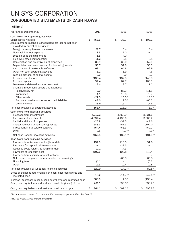# UNISYS CORPORATION **CONSOLIDATED STATEMENTS OF CASH FLOWS**

### **(Millions)**

| Year ended December 31,                                                          | 2017                     | 2016                     | 2015                     |
|----------------------------------------------------------------------------------|--------------------------|--------------------------|--------------------------|
| Cash flows from operating activities                                             |                          |                          |                          |
| Consolidated net loss                                                            | \$<br>(66.6)             | \$<br>(36.7)             | \$<br>(103.2)            |
| Adjustments to reconcile consolidated net loss to net cash                       |                          |                          |                          |
| provided by operating activities:                                                |                          |                          |                          |
| Foreign currency transaction losses                                              | 21.7                     | 0.4                      | 8.4                      |
| Non-cash interest expense                                                        | 9.5                      | 7.0                      |                          |
| Loss on debt extinguishment                                                      | 1.5                      | 4.0                      |                          |
| Employee stock compensation                                                      | 11.2                     | 9.5                      | 9.4                      |
| Depreciation and amortization of properties                                      | 39.7                     | 38.9                     | 57.5                     |
| Depreciation and amortization of outsourcing assets                              | 53.7                     | 51.9                     | 55.7                     |
| Amortization of marketable software                                              | 63.1                     | 64.8                     | 66.9                     |
| Other non-cash operating activities                                              | 3.2                      | 1.9                      | 4.6                      |
| Loss on disposal of capital assets                                               | 5.0                      | 6.2                      | 9.7                      |
| Pension contributions                                                            | (138.4)                  | (132.5)                  | (148.3)                  |
| Pension expense                                                                  | 92.4                     | 82.7                     | 108.7                    |
| Decrease in deferred income taxes, net                                           | 3.4                      | 2.7                      | 1.2                      |
| Changes in operating assets and liabilities:                                     |                          |                          |                          |
| Receivables, net                                                                 | 5.9                      | 87.3                     | (11.5)                   |
| Inventories                                                                      | 4.1                      | 15.3                     | (3.7)                    |
| Other assets                                                                     | (27.5)                   | $16.5*$                  | $18.1*$                  |
| Accounts payable and other accrued liabilities                                   | 48.6                     | $7.5*$                   | $(60.3)*$                |
| Other liabilities                                                                | 35.9                     | (9.2)                    | (7.5)                    |
| Net cash provided by operating activities                                        | 166.4                    | 218.2                    | $5.7*$                   |
| Cash flows from investing activities                                             |                          |                          |                          |
| Proceeds from investments                                                        | 4,717.2                  | 4,455.9                  | 3,831.6                  |
| Purchases of investments                                                         | (4,692.4)                | (4,490.0)                | (3,806.2)                |
| Capital additions of properties                                                  | (25.8)                   | (32.5)                   | (49.6)                   |
| Capital additions of outsourcing assets                                          | (86.3)                   | (51.3)                   | (102.0)                  |
| Investment in marketable software                                                | (64.4)                   | (63.3)                   | (62.1)                   |
| Other                                                                            | (0.8)                    | $(0.9)^*$                | $7.0*$                   |
| Net cash used for investing activities                                           | (152.5)                  | $(182.1)^*$              | $(181.3)^*$              |
|                                                                                  |                          |                          |                          |
| Cash flows from financing activities                                             |                          |                          |                          |
| Proceeds from issuance of long-term debt                                         | 452.9                    | 213.5                    | 31.8                     |
| Payments for capped call transactions                                            |                          | (27.3)                   | $\overline{\phantom{0}}$ |
| Issuance costs relating to long-term debt                                        | (12.1)                   | (7.3)                    |                          |
| Payments of long-term debt                                                       | (107.5)                  | (129.8)                  | (10.4)                   |
| Proceeds from exercise of stock options                                          |                          | $\overline{\phantom{0}}$ | 3.7                      |
| Net (payments) proceeds from short-term borrowings                               | $\overline{\phantom{0}}$ | (65.8)                   | 65.8                     |
| Financing fees<br>Other                                                          | (1.1)<br>(2.3)           | $(0.4)^*$                | (0.3)<br>$(0.8)$ *       |
| Net cash provided by (used for) financing activities                             | 329.9                    | $(17.1)^*$               | 89.8*                    |
|                                                                                  |                          |                          |                          |
| Effect of exchange rate changes on cash, cash equivalents and<br>restricted cash | 19.2                     | $(14.7)^*$               | $(47.6)^*$               |
| Increase (decrease) in cash, cash equivalents and restricted cash                | 363.0                    | $4.3*$                   | $(133.4)^*$              |
| Cash, cash equivalents and restricted cash, beginning of year                    | 401.1                    | 396.8*                   | $530.2*$                 |
| Cash, cash equivalents and restricted cash, end of year                          | 764.1<br>\$              | $401.1*$<br>\$           | 396.8*<br>S              |

*\*Amounts were changed to conform to the current-year presentation. See Note 5*

*See notes to consolidated financial statements.*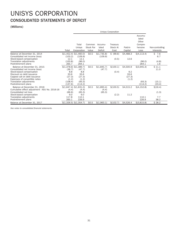# UNISYS CORPORATION **CONSOLIDATED STATEMENTS OF DEFICIT**

### **(Millions)**

|                                                |         |                                |                              |                             | Unisys Corporation           |                    |                                                         |                                     |
|------------------------------------------------|---------|--------------------------------|------------------------------|-----------------------------|------------------------------|--------------------|---------------------------------------------------------|-------------------------------------|
|                                                | Total   | Total<br>Unisys<br>Corporation | Common<br>Stock Par<br>Value | Accumu-<br>lated<br>Deficit | Treasury<br>Stock At<br>Cost | Paid-in<br>Capital | Accumu-<br>lated<br>Other<br>Compre-<br>hensive<br>Loss | Non-controlling<br><b>Interests</b> |
| Balance at December 31, 2014                   |         | \$(1,452.4) \$(1,460.0)        | \$0.5                        | \$(1,735.8)                 | \$ (99.6)                    | \$4,488.3          | \$(4,113.4)                                             | \$<br>7.6                           |
| Consolidated net income (loss)                 | (103.2) | (109.9)                        |                              | (109.9)                     |                              |                    |                                                         | 6.7                                 |
| Stock-based compensation                       | 12.1    | 12.1                           |                              |                             | (0.5)                        | 12.6               |                                                         |                                     |
| Translation adjustments                        | (100.8) | (96.0)                         |                              |                             |                              |                    | (96.0)                                                  | (4.8)                               |
| Postretirement plans                           | 265.7   | 264.1                          |                              |                             |                              |                    | 264.1                                                   | $1.6\,$                             |
| Balance at December 31, 2015                   |         | \$(1,378.6) \$(1,389.7)        | \$0.5                        | \$(1,845.7)                 | \$(100.1)                    | \$4,500.9          | $$$ (3,945.3)                                           | \$11.1                              |
| Consolidated net income (loss)                 | (36.7)  | (47.7)                         |                              | (47.7)                      |                              |                    |                                                         | 11.0                                |
| Stock-based compensation                       | 8.8     | 8.8                            |                              |                             | (0.4)                        | 9.2                |                                                         |                                     |
| Discount on debt issuance                      | 33.6    | 33.6                           |                              |                             |                              | 33.6               |                                                         |                                     |
| Capped call on debt issuance                   | (27.3)  | (27.3)                         |                              |                             |                              | (27.3)             |                                                         |                                     |
| Expenses of convertible notes                  | (1.2)   | (1.2)                          |                              |                             |                              | (1.2)              |                                                         |                                     |
| Translation adjustments                        | (108.4) | (93.3)                         |                              |                             |                              |                    | (93.3)                                                  | (15.1)                              |
| Postretirement plans                           | (137.6) | (114.2)                        |                              |                             |                              |                    | (114.2)                                                 | (23.4)                              |
| Balance at December 31, 2016                   |         | \$(1,647.4) \$(1,631.0)        | \$0.5                        | \$(1,893.4)                 | \$(100.5)                    | \$4,515.2          | \$(4,152.8)                                             | \$(16.4)                            |
| Cumulative effect adjustment - ASU No. 2016-16 | (4.4)   | (4.4)                          |                              | (4.4)                       |                              |                    |                                                         |                                     |
| Consolidated net loss                          | (66.6)  | (65.3)                         |                              | (65.3)                      |                              |                    |                                                         | (1.3)                               |
| Stock-based compensation                       | 9.0     | 9.0                            |                              |                             | (2.2)                        | 11.2               |                                                         |                                     |
| Translation adjustments                        | 117.8   | 110.1                          |                              |                             |                              |                    | 110.1                                                   | 7.7                                 |
| Postretirement plans                           | 265.1   | 226.9                          |                              |                             |                              |                    | 226.9                                                   | 38.2                                |
| Balance at December 31, 2017                   |         | $\$(1,326.5) \$(1,354.7)$      | \$0.5                        | \$(1,963.1)                 | \$(102.7)                    | \$4,526.4          | $$$ (3,815.8)                                           | \$28.2                              |

*See notes to consolidated financial statements.*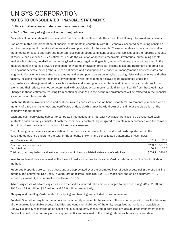# UNISYS CORPORATION **NOTES TO CONSOLIDATED FINANCIAL STATEMENTS**

#### **(Dollars in millions, except share and per share amounts)**

#### **Note 1 – Summary of significant accounting policies**

**Principles of consolidation** The consolidated financial statements include the accounts of all majority-owned subsidiaries.

**Use of estimates** The preparation of financial statements in conformity with U.S. generally accepted accounting principles requires management to make estimates and assumptions about future events. These estimates and assumptions affect the amounts of assets and liabilities reported, disclosures about contingent assets and liabilities and the reported amounts of revenue and expenses. Such estimates include the valuation of accounts receivable, inventories, outsourcing assets, marketable software, goodwill and other long-lived assets, legal contingencies, indemnifications, assumptions used in the measurement of progress toward completion for systems integration projects, income taxes and retirement and other postemployment benefits, among others. These estimates and assumptions are based on management's best estimates and judgment. Management evaluates its estimates and assumptions on an ongoing basis using historical experience and other factors, including the current economic environment, which management believes to be reasonable under the circumstances. Management adjusts such estimates and assumptions when facts and circumstances dictate. As future events and their effects cannot be determined with precision, actual results could differ significantly from these estimates. Changes in those estimates resulting from continuing changes in the economic environment will be reflected in the financial statements in future periods.

**Cash and Cash equivalents** Cash and cash equivalents consists of cash on hand, short-term investments purchased with a maturity of three months or less and certificates of deposit which may be withdrawn at any time at the discretion of the company without penalty.

Cash and cash equivalents subject to contractual restrictions and not readily available are classified as restricted cash. Restricted cash primarily consists of cash the company is contractually obligated to maintain in accordance with the terms of its U.K. business process outsourcing joint venture agreement.

The following table provides a reconciliation of cash and cash equivalents and restricted cash reported within the consolidated balance sheets to the total of the amounts shown in the consolidated statements of cash flows.

| As of December 31,                                                                                  | 2017            | 2016 |
|-----------------------------------------------------------------------------------------------------|-----------------|------|
| Cash and cash equivalents                                                                           | \$733.9 \$370.6 |      |
| Restricted cash                                                                                     | 30.2            | 30.5 |
| Total cash, cash equivalents and restricted cash shown in the consolidated statements of cash flows | \$764.1 \$401.1 |      |

**Inventories** Inventories are valued at the lower of cost and net realizable value. Cost is determined on the first-in, first-out method.

**Properties** Properties are carried at cost and are depreciated over the estimated lives of such assets using the straight-line method. The estimated lives used, in years, are as follows: buildings,  $20 - 50$ ; machinery and office equipment,  $4 - 7$ ; rental equipment, 4; and internal-use software,  $3 - 10$ .

**Advertising costs** All advertising costs are expensed as incurred. The amount charged to expense during 2017, 2016 and 2015 was \$1.6 million, \$2.7 million and \$4.9 million, respectively.

**Shipping and handling** Costs related to shipping and handling are included in cost of revenue.

**Goodwill** Goodwill arising from the acquisition of an entity represents the excess of the cost of acquisition over the fair value of the acquired identifiable assets, liabilities and contingent liabilities of the entity recognized at the date of acquisition. Goodwill is initially recognized as an asset and is subsequently measured at cost less any accumulated impairment losses. Goodwill is held in the currency of the acquired entity and revalued to the closing rate at each balance sheet date.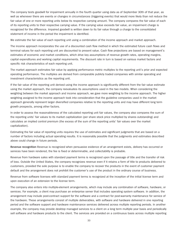The company tests goodwill for impairment annually in the fourth quarter using data as of September 30th of that year, as well as whenever there are events or changes in circumstances (triggering events) that would more likely than not reduce the fair value of one or more reporting units below its respective carrying amount. The company compares the fair value of each of its reporting units to their respective carrying value. If the carrying value exceeds fair value, an impairment charge is recognized for the difference. Impaired goodwill is written down to its fair value through a charge to the consolidated statement of income in the period the impairment is identified.

We estimate the fair value of each reporting unit using a combination of the income approach and market approach.

The income approach incorporates the use of a discounted cash flow method in which the estimated future cash flows and terminal values for each reporting unit are discounted to present value. Cash flow projections are based on management's estimates of economic and market conditions, which drive key assumptions of revenue growth rates, operating margins, capital expenditures and working capital requirements. The discount rate in turn is based on various market factors and specific risk characteristics of each reporting unit.

The market approach estimates fair value by applying performance metric multiples to the reporting unit's prior and expected operating performance. The multiples are derived from comparable publicly traded companies with similar operating and investment characteristics as the reporting unit.

If the fair value of the reporting unit derived using the income approach is significantly different from the fair value estimate using the market approach, the company reevaluates its assumptions used in the two models. When considering the weighting between the market approach and income approach, we gave more weighting to the income approach. The higher weighting assigned to the income approach took into consideration that the guideline companies used in the market approach generally represent larger diversified companies relative to the reporting units and may have different long term growth prospects, among other factors.

In order to assess the reasonableness of the calculated reporting unit fair values, the company also compares the sum of the reporting units' fair values to its market capitalization (per share stock price multiplied by shares outstanding) and calculates an implied control premium (the excess of the sum of the reporting units' fair values over the market capitalization).

Estimating the fair value of reporting units requires the use of estimates and significant judgments that are based on a number of factors including actual operating results. It is reasonably possible that the judgments and estimates described above could change in future periods.

**Revenue recognition** Revenue is recognized when persuasive evidence of an arrangement exists, delivery has occurred or services have been rendered, the fee is fixed or determinable, and collectability is probable.

Revenue from hardware sales with standard payment terms is recognized upon the passage of title and the transfer of risk of loss. Outside the United States, the company recognizes revenue even if it retains a form of title to products delivered to customers, provided the sole purpose is to enable the company to recover the products in the event of customer payment default and the arrangement does not prohibit the customer's use of the product in the ordinary course of business.

Revenue from software licenses with standard payment terms is recognized at the inception of the initial license term and upon execution of an extension to the license term.

The company also enters into multiple-element arrangements, which may include any combination of software, hardware, or services. For example, a client may purchase an enterprise server that includes operating system software. In addition, the arrangement may include post-contract support for the software and a contract for post-warranty maintenance for service of the hardware. These arrangements consist of multiple deliverables, with software and hardware delivered in one reporting period and the software support and hardware maintenance services delivered across multiple reporting periods. In another example, the company may provide desktop managed services to a client on a long term multiple year basis and periodically sell software and hardware products to the client. The services are provided on a continuous basis across multiple reporting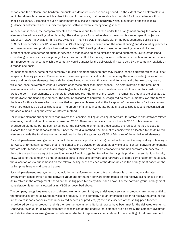periods and the software and hardware products are delivered in one reporting period. To the extent that a deliverable in a multiple-deliverable arrangement is subject to specific guidance, that deliverable is accounted for in accordance with such specific guidance. Examples of such arrangements may include leased hardware which is subject to specific leasing guidance or software which is subject to specific software revenue recognition guidance.

In these transactions, the company allocates the total revenue to be earned under the arrangement among the various elements based on a selling price hierarchy. The selling price for a deliverable is based on its vendor specific objective evidence ("VSOE") if available, third party evidence ("TPE") if VSOE is not available, or the best estimated selling price ("ESP") if neither VSOE nor TPE is available. VSOE of selling price is based upon the normal pricing and discounting practices for those services and products when sold separately. TPE of selling price is based on evaluating largely similar and interchangeable competitor products or services in standalone sales to similarly situated customers. ESP is established considering factors such as margin objectives, discounts off of list prices, market conditions, competition and other factors. ESP represents the price at which the company would transact for the deliverable if it were sold by the company regularly on a standalone basis.

As mentioned above, some of the company's multiple-element arrangements may include leased hardware which is subject to specific leasing guidance. Revenue under these arrangements is allocated considering the relative selling prices of the lease and non-lease elements. Lease deliverables include hardware, financing, maintenance and other executory costs, while non-lease deliverables generally consist of services other than maintenance. The determination of the amount of revenue allocated to the lease deliverables begins by allocating revenue to maintenance and other executory costs plus a profit thereon. These elements are generally recognized over the term of the lease. The remaining amounts are allocated to the hardware and financing elements. The amount allocated to hardware is recognized as revenue monthly over the term of the lease for those leases which are classified as operating leases and at the inception of the lease term for those leases which are classified as sales-type leases. The amount of finance income attributable to sales-type leases is recognized on the accrual basis using the effective interest method.

For multiple-element arrangements that involve the licensing, selling or leasing of software, for software and software-related elements, the allocation of revenue is based on VSOE. There may be cases in which there is VSOE of fair value of the undelivered elements but no such evidence for the delivered elements. In these cases, the residual method is used to allocate the arrangement consideration. Under the residual method, the amount of consideration allocated to the delivered elements equals the total arrangement consideration less the aggregate VSOE of fair value of the undelivered elements.

For multiple-element arrangements that include services or products that (a) do not include the licensing, selling or leasing of software, or (b) contain software that is incidental to the services or products as a whole or (c) contain software components that are sold, licensed or leased with tangible products when the software components and non-software components (i.e., the software and hardware) of the tangible product function together to deliver the tangible product's essential functionality (e.g., sales of the company's enterprise-class servers including software and hardware), or some combination of the above, the allocation of revenue is based on the relative selling prices of each of the deliverables in the arrangement based on the selling price hierarchy, discussed above.

For multiple-element arrangements that include both software and non-software deliverables, the company allocates arrangement consideration to the software group and to the non-software group based on the relative selling prices of the deliverables in the arrangement based on the selling price hierarchy discussed above. For the software group, arrangement consideration is further allocated using VSOE as described above.

The company recognizes revenue on delivered elements only if: (a) any undelivered services or products are not essential to the functionality of the delivered services or products, (b) the company has an enforceable claim to receive the amount due in the event it does not deliver the undelivered services or products, (c) there is evidence of the selling price for each undelivered service or product, and (d) the revenue recognition criteria otherwise have been met for the delivered elements. Otherwise, revenue on delivered elements is recognized as the undelivered elements are delivered. The company evaluates each deliverable in an arrangement to determine whether it represents a separate unit of accounting. A delivered element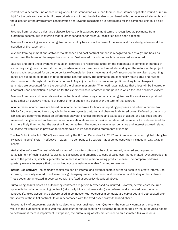constitutes a separate unit of accounting when it has standalone value and there is no customer-negotiated refund or return right for the delivered elements. If these criteria are not met, the deliverable is combined with the undelivered elements and the allocation of the arrangement consideration and revenue recognition are determined for the combined unit as a single unit.

Revenue from hardware sales and software licenses with extended payment terms is recognized as payments from customers become due (assuming that all other conditions for revenue recognition have been satisfied).

Revenue for operating leases is recognized on a monthly basis over the term of the lease and for sales-type leases at the inception of the lease term.

Revenue from equipment and software maintenance and post-contract support is recognized on a straight-line basis as earned over the terms of the respective contracts. Cost related to such contracts is recognized as incurred.

Revenue and profit under systems integration contracts are recognized either on the percentage-of-completion method of accounting using the cost-to-cost method, or when services have been performed, depending on the nature of the project. For contracts accounted for on the percentage-of-completion basis, revenue and profit recognized in any given accounting period are based on estimates of total projected contract costs. The estimates are continually reevaluated and revised, when necessary, throughout the life of a contract. Any adjustments to revenue and profit resulting from changes in estimates are accounted for in the period of the change in estimate. When estimates indicate that a loss will be incurred on a contract upon completion, a provision for the expected loss is recorded in the period in which the loss becomes evident.

Revenue from time and materials service contracts and outsourcing contracts is recognized as the services are provided using either an objective measure of output or on a straight-line basis over the term of the contract.

**Income taxes** Income taxes are based on income before taxes for financial reporting purposes and reflect a current tax liability for the estimated taxes payable in the current-year tax returns and changes in deferred taxes. Deferred tax assets or liabilities are determined based on differences between financial reporting and tax bases of assets and liabilities and are measured using enacted tax laws and rates. A valuation allowance is provided on deferred tax assets if it is determined that it is more likely than not that the asset will not be realized. The company recognizes penalties and interest accrued related to income tax liabilities in provision for income taxes in its consolidated statements of income.

The Tax Cuts & Jobs Act ("TCJA") was enacted by the U.S. on December 22, 2017 and introduced a tax on "global intangible low-taxed income" ("GILTI") effective in 2018. The company will treat GILTI as a period cost when included in U.S. taxable income.

**Marketable software** The cost of development of computer software to be sold or leased, incurred subsequent to establishment of technological feasibility, is capitalized and amortized to cost of sales over the estimated revenue-producing lives of the products, which is generally not in excess of three years following product release. The company performs quarterly reviews to ensure that unamortized costs remain recoverable from future revenue.

**Internal-use software** The company capitalizes certain internal and external costs incurred to acquire or create internal-use software, principally related to software coding, designing system interfaces, and installation and testing of the software. These costs are amortized in accordance with the fixed asset policy described above.

**Outsourcing assets** Costs on outsourcing contracts are generally expensed as incurred. However, certain costs incurred upon initiation of an outsourcing contract (principally initial customer setup) are deferred and expensed over the initial contract life. Fixed assets and software used in connection with outsourcing contracts are capitalized and depreciated over the shorter of the initial contract life or in accordance with the fixed asset policy described above.

Recoverability of outsourcing assets is subject to various business risks. Quarterly, the company compares the carrying value of the outsourcing assets with the undiscounted future cash flows expected to be generated by the outsourcing assets to determine if there is impairment. If impaired, the outsourcing assets are reduced to an estimated fair value on a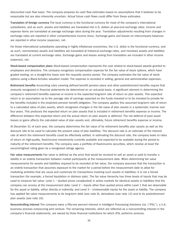discounted cash flow basis. The company prepares its cash flow estimates based on assumptions that it believes to be reasonable but are also inherently uncertain. Actual future cash flows could differ from these estimates.

**Translation of foreign currency** The local currency is the functional currency for most of the company's international subsidiaries, and as such, assets and liabilities are translated into U.S. dollars at year-end exchange rates. Income and expense items are translated at average exchange rates during the year. Translation adjustments resulting from changes in exchange rates are reported in other comprehensive income (loss). Exchange gains and losses on intercompany balances are reported in other income (expense), net.

For those international subsidiaries operating in highly inflationary economies, the U.S. dollar is the functional currency, and as such, nonmonetary assets and liabilities are translated at historical exchange rates, and monetary assets and liabilities are translated at current exchange rates. Exchange gains and losses arising from translation are included in other income (expense), net.

**Stock-based compensation plans** Stock-based compensation represents the cost related to stock-based awards granted to employees and directors. The company recognizes compensation expense for the fair value of stock options, which have graded vesting, on a straight-line basis over the requisite service period. The company estimates the fair value of stock options using a Black-Scholes valuation model. The expense is recorded in selling, general and administrative expenses.

**Retirement benefits** Accounting rules covering defined benefit pension plans and other postretirement benefits require that amounts recognized in financial statements be determined on an actuarial basis. A significant element in determining the company's retirement benefits expense or income is the expected long-term rate of return on plan assets. This expected return is an assumption as to the average rate of earnings expected on the funds invested or to be invested to provide for the benefits included in the projected pension benefit obligation. The company applies this assumed long-term rate of return to a calculated value of plan assets, which recognizes changes in the fair value of plan assets in a systematic manner over four years. This produces the expected return on plan assets that is included in retirement benefits expense or income. The difference between this expected return and the actual return on plan assets is deferred. The net deferral of past asset losses or gains affects the calculated value of plan assets and, ultimately, future retirement benefits expense or income.

At December 31 of each year, the company determines the fair value of its retirement benefits plan assets as well as the discount rate to be used to calculate the present value of plan liabilities. The discount rate is an estimate of the interest rate at which the retirement benefits could be effectively settled. In estimating the discount rate, the company looks to rates of return on high-quality, fixed-income investments currently available and expected to be available during the period to maturity of the retirement benefits. The company uses a portfolio of fixed-income securities, which receive at least the second-highest rating given by a recognized ratings agency.

**Fair value measurements** Fair value is defined as the price that would be received to sell an asset or paid to transfer a liability in an orderly transaction between market participants at the measurement date. When determining fair value measurements for assets and liabilities required to be recorded at fair value, the company assumes that the transaction is an orderly transaction that assumes exposure to the market for a period before the measurement date to allow for marketing activities that are usual and customary for transactions involving such assets or liabilities; it is not a forced transaction (for example, a forced liquidation or distress sale). The fair value hierarchy has three levels of inputs that may be used to measure fair value: Level 1 – Quoted prices (unadjusted) in active markets for identical assets or liabilities that the company can access at the measurement date; Level 2 – Inputs other than quoted prices within Level 1 that are observable for the asset or liability, either directly or indirectly; and Level 3 – Unobservable inputs for the asset or liability. The company has applied fair value measurements to its long-term debt (see note 9), derivatives (see note 12) and to its postretirement plan assets (see note 16).

**Noncontrolling interest** The company owns a fifty-one percent interest in Intelligent Processing Solutions Ltd. ("iPSL"), a U.K. business process outsourcing joint venture. The remaining interests, which are reflected as a noncontrolling interest in the company's financial statements, are owned by three financial institutions for which iPSL performs services.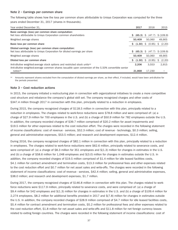#### **Note 2 – Earnings per common share**

The following table shows how the loss per common share attributable to Unisys Corporation was computed for the three years ended December 31, 2017 (shares in thousands).

Year ended December 31, **2017** 2016 2015

| TCAL CHUCU DCCCHIDCLOI.                                                                                                | <u>___</u>        | ∠∪⊥∪                              | ∠∪⊥∪      |
|------------------------------------------------------------------------------------------------------------------------|-------------------|-----------------------------------|-----------|
| Basic earnings (loss) per common share computation:<br>Net loss attributable to Unisys Corporation common shareholders | S.                | $(65.3)$ \$ $(47.7)$ \$ $(109.9)$ |           |
|                                                                                                                        |                   |                                   |           |
| Weighted average shares                                                                                                | 50,409            | 50,060                            | 49,905    |
| Basic loss per common share                                                                                            | S.                | $(1.30)$ \$ $(0.95)$ \$ $(2.20)$  |           |
| Diluted earnings (loss) per common share computation:                                                                  |                   |                                   |           |
| Net loss attributable to Unisys Corporation for diluted earnings per share                                             |                   | $$$ (65.3) $$$ (47.7) $$$ (109.9) |           |
| Weighted average shares                                                                                                | 50,409            | 50,060                            | 49.905    |
| Diluted loss per common share                                                                                          | $(1.30)$ \$<br>S. | (0.95)                            | \$ (2.20) |
| Anti-dilutive weighted-average stock options and restricted stock units <sup>(a)</sup>                                 | 2.206             | 3,553                             | 2.915     |
| Anti-dilutive weighted-average common shares issuable upon conversion of the 5.50% convertible senior                  |                   |                                   |           |
| $notes^{(a)}$                                                                                                          | 21,868            | 17.230                            |           |

Amounts represent shares excluded from the computation of diluted earnings per share, as their effect, if included, would have been anti-dilutive for the periods presented.

#### **Note 3 – Cost reduction actions**

In 2015, the company initiated a restructuring plan in connection with organizational initiatives to create a more competitive cost structure and rebalance the company's global skill set. The company recognized charges and other costs of \$347.4 million through 2017 in connection with this plan, principally related to a reduction in employees.

During 2015, the company recognized charges of \$118.5 million in connection with this plan, principally related to a reduction in employees. The charges related to work-force reductions were \$78.8 million and were comprised of: (a) a charge of \$27.9 million for 700 employees in the U.S. and (b) a charge of \$50.9 million for 782 employees outside the U.S. In addition, the company recorded charges of \$39.7 million comprised of \$20.2 million for asset impairments and \$19.5 million for other expenses related to the cost reduction effort. The charges were recorded in the following statement of income classifications: cost of revenue - services, \$52.3 million; cost of revenue - technology, \$0.3 million; selling, general and administrative expenses, \$53.5 million; and research and development expenses, \$12.4 million.

During 2016, the company recognized charges of \$82.1 million in connection with this plan, principally related to a reduction in employees. The charges related to work-force reductions were \$62.6 million, principally related to severance costs, and were comprised of: (a) a charge of \$8.3 million for 351 employees and \$(1.3) million for changes in estimates in the U.S. and (b) a charge of \$58.6 million for 1,048 employees and \$(3.0) million for changes in estimates outside the U.S. In addition, the company recorded charges of \$19.5 million comprised of \$1.4 million for idle leased facilities costs, \$4.1 million for contract amendment and termination costs, \$13.3 million for professional fees and other expenses related to the cost reduction effort and \$0.7 million for net asset sales and write-offs. The charges were recorded in the following statement of income classifications: cost of revenue - services, \$42.4 million; selling, general and administrative expenses, \$38.0 million; and research and development expenses, \$1.7 million.

During 2017, the company recognized charges of \$146.8 million in connection with this plan. The charges related to workforce reductions were \$117.9 million, principally related to severance costs, and were comprised of: (a) a charge of \$9.4 million for 542 employees and \$(1.3) million for changes in estimates in the U.S. and (b) a charge of \$109.4 million for 2,274 employees, \$8.2 million for additional benefits provided in 2017 and \$(7.8) million for changes in estimates outside the U.S. In addition, the company recorded charges of \$28.9 million comprised of \$4.7 million for idle leased facilities costs, \$5.4 million for contract amendment and termination costs, \$5.2 million for professional fees and other expenses related to the cost reduction effort, \$1.8 million for net asset sales and write-offs and \$11.8 million for net foreign currency losses related to exiting foreign countries. The charges were recorded in the following statement of income classifications: cost of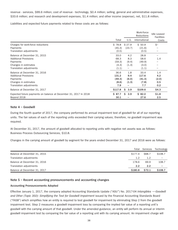revenue - services, \$99.6 million; cost of revenue - technology, \$0.4 million; selling, general and administrative expenses, \$33.6 million; and research and development expenses, \$1.4 million; and other income (expense), net, \$11.8 million.

Liabilities and expected future payments related to these costs are as follows:

|                                                                                                                             |                                          |                                   | Work-Force<br>Reductions                 | Idle Leased<br><b>Facilities</b>  |
|-----------------------------------------------------------------------------------------------------------------------------|------------------------------------------|-----------------------------------|------------------------------------------|-----------------------------------|
|                                                                                                                             | Total                                    | U.S.                              | International                            | Costs                             |
| Charges for work-force reductions<br>Payments<br>Translation adjustments                                                    | \$78.8<br>(45.3)<br>(0.5)                | \$27.9<br>(23.7)                  | \$50.9<br>(21.6)<br>(0.5)                | $S-$                              |
| Balance at December 31, 2015<br><b>Additional Provisions</b><br>Payments<br>Changes in estimates<br>Translation adjustments | 33.0<br>68.3<br>(59.3)<br>(4.3)<br>(1.1) | 4.2<br>8.3<br>(9.4)<br>(1.3)<br>- | 28.8<br>58.6<br>(49.9)<br>(3.0)<br>(1.1) | 1.4                               |
| Balance at December 31, 2016<br><b>Additional Provisions</b><br>Payments<br>Changes in estimates<br>Translation adjustments | 36.6<br>131.2<br>(49.3)<br>(8.6)<br>7.9  | 1.8<br>9.4<br>(6.0)<br>(1.3)<br>- | 33.4<br>117.6<br>(41.3)<br>(7.8)<br>7.7  | 1.4<br>4.2<br>(2.0)<br>0.5<br>0.2 |
| Balance at December 31, 2017                                                                                                | \$117.8                                  | Ŝ<br>3.9                          | \$109.6                                  | \$4.3                             |
| Expected future payments on balance at December 31, 2017 In 2018<br>Beyond 2018                                             | \$87.7<br>30.1                           | 3.9<br>S                          | \$82.0<br>27.6                           | \$1.8<br>2.5                      |

#### **Note 4 – Goodwill**

During the fourth quarter of 2017, the company performed its annual impairment test of goodwill for all of our reporting units. The fair values of each of the reporting units exceeded their carrying values; therefore, no goodwill impairment was required.

At December 31, 2017, the amount of goodwill allocated to reporting units with negative net assets was as follows: Business Process Outsourcing Services, \$10.8.

Changes in the carrying amount of goodwill by segment for the years ended December 31, 2017 and 2016 were as follows:

|                              | Total   | Services     | Technology |
|------------------------------|---------|--------------|------------|
| Balance at December 31, 2015 | \$177.4 | <b>S68.7</b> | \$108.7    |
| Translation adjustments      | 1.2     | 1.2          |            |
| Balance at December 31, 2016 | 178.6   | 69.9         | 108.7      |
| Translation adjustments      | 2.2     | 2.2          |            |
| Balance at December 31, 2017 | \$180.8 | <b>S72.1</b> | \$108.7    |

#### **Note 5 – Recent accounting pronouncements and accounting changes**

#### **Accounting Pronouncements Adopted**

Effective January 1, 2017, the company adopted Accounting Standards Update ("ASU") No. 2017-04 *Intangibles —Goodwill and Other (Topic 350): Simplifying the Test for Goodwill Impairment* issued by the Financial Accounting Standards Board ("FASB") which simplifies how an entity is required to test goodwill for impairment by eliminating Step 2 from the goodwill impairment test. Step 2 measures a goodwill impairment loss by comparing the implied fair value of a reporting unit's goodwill with the carrying amount of that goodwill. Under the amended guidance, an entity will perform its annual or interim goodwill impairment test by comparing the fair value of a reporting unit with its carrying amount. An impairment charge will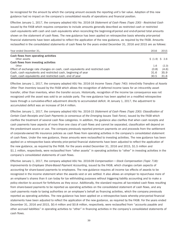be recognized for the amount by which the carrying amount exceeds the reporting unit's fair value. Adoption of this new guidance had no impact on the company's consolidated results of operations and financial position.

Effective January 1, 2017, the company adopted ASU No. 2016-18 *Statement of Cash Flows (Topic 230) - Restricted Cash* issued by the FASB which requires companies to include amounts generally described as restricted cash or restricted cash equivalents with cash and cash equivalents when reconciling the beginning-of-period and end-of-period total amounts shown on the statement of cash flows. The new guidance has been applied on retrospective basis whereby prior-period financial statements have been adjusted to reflect the application of the new guidance, as required by the FASB. Amounts reclassified in the consolidated statements of cash flows for the years ended December 31, 2016 and 2015 are as follows:

| Year ended December 31,                                                       | 2016  | 2015            |
|-------------------------------------------------------------------------------|-------|-----------------|
| Cash flows from operating activities                                          |       |                 |
| Other assets                                                                  |       | \$(1.9) \$2.6\$ |
| Cash flows from investing activities                                          |       |                 |
| Other                                                                         | 1.6   | (2.3)           |
| Effect of exchange rate changes on cash, cash equivalents and restricted cash | (0.8) | (4.6)           |
| Cash, cash equivalents and restricted cash, beginning of year                 | 31.6  | 35.9            |
| Cash, cash equivalents and restricted cash, end of year                       | 30.5  | 31.6            |

Effective January 1, 2017, the company adopted ASU No. 2016-16 *Income Taxes (Topic 740): Intra-Entity Transfers of Assets Other Than Inventory* issued by the FASB which allows the recognition of deferred income taxes for an intra-entity asset transfer, other than inventory, when the transfer occurs. Historically, recognition of the income tax consequence was not recognized until the asset was sold to an outside party. The new guidance has been applied on a modified retrospective basis through a cumulative-effect adjustment directly to accumulated deficit. At January 1, 2017, the adjustment to accumulated deficit was an increase of \$4.4 million.

Effective January 1, 2017, the company adopted ASU No. 2016-15 *Statement of Cash Flows (Topic 230): Classification of Certain Cash Receipts and Cash Payments (a consensus of the Emerging Issues Task Force)*, issued by the FASB which clarifies the treatment of several cash flow categories. In addition, the guidance also clarifies that when cash receipts and cash payments have aspects of more than one class of cash flows and cannot be separated, classification will depend on the predominant source or use. The company previously reported premium payments on and proceeds from the settlement of corporate-owned life insurance policies as cash flows from operating activities in the company's consolidated statement of cash flows. Under the new guidance, these amounts were reclassified to investing activities. The new guidance has been applied on a retrospective basis whereby prior-period financial statements have been adjusted to reflect the application of the new guidance, as required by the FASB. For the years ended December 31, 2016 and 2015, \$1.5 million and \$1.1 million, respectively, were reclassified from "other assets" in operating activities to "other" in investing activities in the company's consolidated statements of cash flows.

Effective January 1, 2017, the company adopted ASU No. 2016-09 *Compensation—Stock Compensation (Topic 718): Improvements to Employee Share-Based Payment Accounting*, issued by the FASB, which changes certain aspects of accounting for share-based payments to employees. The new guidance requires all income tax effects of awards to be recognized in the income statement when the awards vest or are settled. It also allows an employer to repurchase more of an employee's shares than it can today for tax withholding purposes without triggering liability accounting and to make a policy election to account for forfeitures as they occur. Additionally, the standard requires all tax-related cash flows resulting from share-based payments to be reported as operating activities on the consolidated statement of cash flows, and any cash payments made to taxing authorities on an employee's behalf as financing activities, which the company previously reported as operating activities. The new guidance has been applied on a retrospective basis whereby prior-period financial statements have been adjusted to reflect the application of the new guidance, as required by the FASB. For the years ended December 31, 2016 and 2015, \$0.4 million and \$0.8 million, respectively, were reclassified from "accounts payable and other accrued liabilities" in operating activities to "other" in financing activities in the company's consolidated statements of cash flows.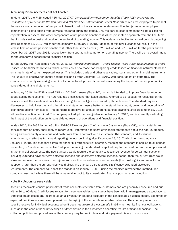#### **Accounting Pronouncements Not Yet Adopted**

In March 2017, the FASB issued ASU No. 2017-07 *Compensation—Retirement Benefits (Topic 715): Improving the Presentation of Net Periodic Pension Cost and Net Periodic Postretirement Benefit Cost*, which requires employers to present the service cost component of net periodic benefit cost in the same income statement line item(s) as other employee compensation costs arising from services rendered during the period. Only the service cost component will be eligible for capitalization in assets. The other components of net periodic benefit cost will be presented separately from the line items that include service cost and outside the subtotal of operating income. This update is effective for annual periods beginning after December 15, 2017, which for the company is January 1, 2018. Adoption of this new guidance will result in the reclassification of net periodic benefit cost, other than service costs (\$92.5 million and \$81.6 million for the years ended December 31, 2017 and 2016, respectively), from operating income to non-operating income. There will be no overall impact on the company's consolidated financial position.

In June 2016, the FASB issued ASU No. 2016-13 *Financial Instruments—Credit Losses (Topic 326): Measurement of Credit Losses on Financial Instruments*, which introduces a new model for recognizing credit losses on financial instruments based on an estimate of current expected losses. This includes trade and other receivables, loans and other financial instruments. This update is effective for annual periods beginning after December 15, 2019, with earlier adoption permitted. The company is currently assessing when it will choose to adopt, and is currently evaluating the impact of the adoption on its consolidated financial statements.

In February 2016, the FASB issued ASU No. 2016-02 *Leases (Topic 842)*, which is intended to improve financial reporting about leasing transactions. The ASU requires organizations that lease assets, referred to as lessees, to recognize on the balance sheet the assets and liabilities for the rights and obligations created by those leases. The standard requires disclosures to help investors and other financial statement users better understand the amount, timing and uncertainty of cash flows arising from leases. The standard is effective for annual reporting periods beginning after December 15, 2018, with earlier adoption permitted. The company will adopt the new guidance on January 1, 2019, and is currently evaluating the impact of the adoption on its consolidated results of operations and financial position.

In May 2014, the FASB issued ASU No. 2014-09 *Revenue from Contracts with Customers (Topic 606)*, which establishes principles that an entity shall apply to report useful information to users of financial statements about the nature, amount, timing and uncertainty of revenue and cash flows from a contract with a customer. The standard, and its various amendments, is effective for annual reporting periods beginning after December 15, 2017, which for the company is January 1, 2018. The standard allows for either "full retrospective" adoption, meaning the standard is applied to all periods presented, or "modified retrospective" adoption, meaning the standard is applied only to the most current period presented in the financial statements. The new standard would require the company to recognize revenue for certain transactions, including extended payment term software licenses and short-term software licenses, sooner than the current rules would allow and require the company to recognize software license extensions and renewals (the most significant impact upon adoption), later than the current rules would allow. The standard also requires significantly expanded disclosure requirements. The company will adopt the standard on January 1, 2018 using the modified retrospective method. The company does not believe there will be a material impact to its consolidated financial position upon adoption.

#### **Note 6 – Accounts receivable**

Accounts receivable consist principally of trade accounts receivable from customers and are generally unsecured and due within 30 to 90 days. Credit losses relating to these receivables consistently have been within management's expectations. Expected credit losses are recorded as an allowance for doubtful accounts in the consolidated balance sheets. Estimates of expected credit losses are based primarily on the aging of the accounts receivable balances. The company records a specific reserve for individual accounts when it becomes aware of a customer's inability to meet its financial obligations, such as in the case of bankruptcy filings or deterioration in the customer's operating results or financial position. The collection policies and procedures of the company vary by credit class and prior payment history of customers.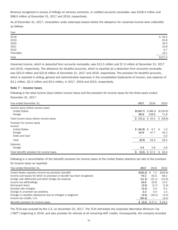Revenue recognized in excess of billings on services contracts, or unbilled accounts receivable, was \$109.4 million and \$98.0 million at December 31, 2017 and 2016, respectively.

As of December 31, 2017, receivables under sales-type leases before the allowance for unearned income were collectible as follows:

| <b>TEGI</b> |         |
|-------------|---------|
| 2018        | \$45.5  |
| 2019        | 25.8    |
| 2020        | 16.3    |
| 2021        | 10.8    |
| 2022        | 9.7     |
| Thereafter  | 19.1    |
| Total       | \$127.2 |

Unearned income, which is deducted from accounts receivable, was \$12.5 million and \$7.0 million at December 31, 2017 and 2016, respectively. The allowance for doubtful accounts, which is reported as a deduction from accounts receivable, was \$22.0 million and \$22.8 million at December 31, 2017 and 2016, respectively. The provision for doubtful accounts, which is reported in selling, general and administrative expenses in the consolidated statements of income, was expense of \$3.1 million, \$2.2 million and \$3.0 million, in 2017, 2016 and 2015, respectively.

#### **Note 7 – Income taxes**

 $\frac{1}{2}$ 

Following is the total income (loss) before income taxes and the provision for income taxes for the three years ended December 31, 2017.

| Year ended December 31,                                                              | 2017                        | 2016  | 2015                                    |
|--------------------------------------------------------------------------------------|-----------------------------|-------|-----------------------------------------|
| Income (loss) before income taxes<br>United States<br>Foreign                        | 80.6                        | 108.8 | $\$(152.7) \$ (88.3) \$(130.6)$<br>71.8 |
| Total income (loss) before income taxes                                              | $$$ (72.1) $$$ 20.5         |       | \$ (58.8)                               |
| Provision for income taxes<br>Current<br>United States<br>Foreign<br>State and local | \$ (42.8) \$ 6.7 \$<br>33.9 | 47.7  | 1.0<br>42.2<br>0.3                      |
| Total                                                                                | (8.9)                       | 54.4  | 43.5                                    |
| Deferred<br>Foreign                                                                  | 3.4                         | 2.8   | 0.9                                     |
| Total (benefit) provision for income taxes                                           | $$$ (5.5) $$$ 57.2          |       | Ŝ.<br>44.4                              |

Following is a reconciliation of the (benefit) provision for income taxes at the United States statutory tax rate to the provision for income taxes as reported:

| Year ended December 31,                                                 | 2017              | 2016      | 2015     |
|-------------------------------------------------------------------------|-------------------|-----------|----------|
| United States statutory income tax provision (benefit)                  | \$(25.2)          | Ŝ.<br>7.2 | \$(20.6) |
| Income and losses for which no provision or benefit has been recognized | 70.3              | 65.5      | 69.1     |
| Foreign rate differential and other foreign tax expense                 | (11.3)            | (21.1)    | (15.9)   |
| Income tax withholdings                                                 | 16.8              | 22.8      | 12.5     |
| Permanent items                                                         | (3.0)             | (4.7)     | (1.9)    |
| Enacted rate changes                                                    | (0.4)             | 3.5       | 9.1      |
| Change in uncertain tax positions                                       | 2.3               | 0.4       | 1.5      |
| Change in valuation allowances due to changes in judgment               | (4.6)             | (16.4)    | (5.4)    |
| Income tax credits, U.S.                                                | (50.4)            | —         | (4.0)    |
| (Benefit) provision for income taxes                                    | \$ (5.5) \$57.2\$ |           | S 44.4   |

The TCJA was enacted by the U.S. on December 22, 2017. The TCJA eliminates the corporate Alternative Minimum Tax ("AMT") beginning in 2018, and also provides for refunds of all remaining AMT credits. Consequently, the company recorded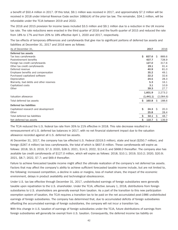a benefit of \$50.4 million in 2017. Of this total, \$9.1 million was received in 2017, and approximately \$7.2 million will be received in 2018 under Internal Revenue Code section 168(k)(4) of the prior tax law. The remainder, \$34.1 million, will be refundable under the TCJA between 2019 and 2022.

The 2016 and 2015 provision for income taxes included \$3.5 million and \$9.1 million due to a reduction in the UK income tax rate. The rate reductions were enacted in the third quarter of 2016 and the fourth quarter of 2015 and reduced the rate from 18% to 17% and from 20% to 18% effective April 1, 2020 and 2017, respectively.

The tax effects of temporary differences and carryforwards that give rise to significant portions of deferred tax assets and liabilities at December 31, 2017 and 2016 were as follows:

| As of December 31,                     | 2017        |    | 2016      |
|----------------------------------------|-------------|----|-----------|
| Deferred tax assets                    |             |    |           |
| Tax loss carryforwards                 | Ŝ.<br>837.6 | Ŝ  | 889.6     |
| Postretirement benefits                | 437.7       |    | 728.9     |
| Foreign tax credit carryforwards       | 127.0       |    | 317.6     |
| Other tax credit carryforwards         | 29.1        |    | 91.4      |
| Deferred revenue                       | 40.9        |    | 81.0      |
| Employee benefits and compensation     | 35.2        |    | 49.1      |
| Purchased capitalized software         | 22.2        |    | 32.6      |
| Depreciation                           | 24.5        |    | 28.3      |
| Warranty, bad debts and other reserves | 5.3         |    | 16.1      |
| Capitalized costs                      | 3.1         |    | 10.9      |
| Other                                  | 39.3        |    | 27.7      |
|                                        | 1,601.9     |    | 2,273.2   |
| Valuation allowance                    | (1,441.1)   |    | (2,084.6) |
| Total deferred tax assets              | 160.8<br>Ŝ. | Ŝ. | 188.6     |
| Deferred tax liabilities               |             |    |           |
| Capitalized research and development   | \$<br>24.3  | Ŝ. | 20.3      |
| Other                                  | 25.8        |    | 28.4      |
| Total deferred tax liabilities         | \$<br>50.1  | S. | 48.7      |
| Net deferred tax assets                | \$<br>110.7 | Ŝ  | 139.9     |

The TCJA reduced the U.S. federal tax rate from 35% to 21% effective in 2018. This rate decrease resulted in a remeasurement of U.S. deferred tax balances in 2017, with no net financial statement impact due to the valuation allowance recorded against all U.S. deferred tax assets.

At December 31, 2017, the company has tax effected U.S. Federal (\$319.5 million), state and local (\$250.7 million), and foreign (\$267.4 million) tax loss carryforwards, the total of which is \$837.6 million. These carryforwards will expire as follows: 2018, \$5.3; 2019, \$7.3; 2020, \$28.5; 2021, \$14.5; 2022, \$114.0; and \$668.0 thereafter. The company also has available tax credit carryforwards of \$127.0 million, which will expire as follows: 2018, \$10.1; 2019, \$10.2; 2020, \$20.9; 2021, \$8.7; 2022, \$7.7; and \$69.4 thereafter.

Failure to achieve forecasted taxable income might affect the ultimate realization of the company's net deferred tax assets. Factors that may affect the company's ability to achieve sufficient forecasted taxable income include, but are not limited to, the following: increased competition, a decline in sales or margins, loss of market share, the impact of the economic environment, delays in product availability and technological obsolescence.

Under U.S. tax law effective through December 31, 2017, undistributed earnings of foreign subsidiaries were generally taxable upon repatriation to the U.S. shareholder. Under the TCJA, effective January 1, 2018, distributions from foreign subsidiaries to U.S. shareholders are generally exempt from taxation. As a part of the transition to this new participation exemption system of taxation, the TCJA requires a transition tax to be paid on the net accumulated post-1986 undistributed earnings of foreign subsidiaries. The company has determined that, due to accumulated deficits of foreign subsidiaries offsetting the accumulated earnings of foreign subsidiaries, the company will not incur a transition tax.

With this change in U.S. taxation of earnings of foreign subsidiaries under the TCJA, future distributions of earnings from foreign subsidiaries will generally be exempt from U.S. taxation. Consequently, the deferred income tax liability on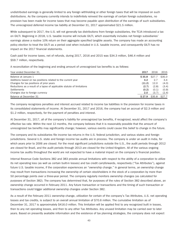undistributed earnings is generally limited to any foreign withholding or other foreign taxes that will be imposed on such distributions. As the company currently intends to indefinitely reinvest the earnings of certain foreign subsidiaries, no provision has been made for income taxes that may become payable upon distribution of the earnings of such subsidiaries. The unrecognized deferred income tax liability at December 31, 2017 approximated \$21.5 million.

While subsequent to 2017, the U.S. will not generally tax distributions from foreign subsidiaries, the TCJA introduced a tax on GILTI. Beginning in 2018, U.S. taxable income will include GILTI, which essentially includes net foreign subsidiaries' earnings above a routine 10% return on their aggregate specified tangible assets. The company has made an accounting policy election to treat the GILTI as a period cost when included in U.S. taxable income, and consequently GILTI has no impact on the 2017 financial statements.

Cash paid for income taxes, net of refunds, during 2017, 2016 and 2015 was \$34.3 million, \$46.4 million and \$59.7 million, respectively.

A reconciliation of the beginning and ending amount of unrecognized tax benefits is as follows:

| Year ended December 31,                                                | 2017           | 2016   | 2015         |
|------------------------------------------------------------------------|----------------|--------|--------------|
| Balance at January 1                                                   | $$35.8$ \$27.7 |        | \$35.0       |
| Additions based on tax positions related to the current year           | 4.2            | 2.7    | 3.4          |
| Changes for tax positions of prior years                               | (11.2)         | 12.0   | (4.0)        |
| Reductions as a result of a lapse of applicable statute of limitations | (2.7)          | (2.8)  | (3.4)        |
| <b>Settlements</b>                                                     | (0.2)          | (0.1)  | (0.9)        |
| Changes due to foreign currency                                        | 2.0            | (3.7   | (2.4)        |
| Balance at December 31                                                 | S 27.9         | \$35.8 | <b>S27.7</b> |

The company recognizes penalties and interest accrued related to income tax liabilities in the provision for income taxes in its consolidated statements of income. At December 31, 2017 and 2016, the company had an accrual of \$2.3 million and \$1.2 million, respectively, for the payment of penalties and interest.

At December 31, 2017, all of the company's liability for unrecognized tax benefits, if recognized, would affect the company's effective tax rate. Within the next 12 months, the company believes that it is reasonably possible that the amount of unrecognized tax benefits may significantly change; however, various events could cause this belief to change in the future.

The company and its subsidiaries file income tax returns in the U.S. federal jurisdiction, and various states and foreign jurisdictions. Several U.S. state and foreign income tax audits are in process. The company is under an audit in India, for which years prior to 2006 are closed. For the most significant jurisdictions outside the U.S., the audit periods through 2012 are closed for Brazil, and the audit periods through 2013 are closed for the United Kingdom. All of the various ongoing income tax audits throughout the world are not expected to have a material impact on the company's financial position.

Internal Revenue Code Sections 382 and 383 provide annual limitations with respect to the ability of a corporation to utilize its net operating loss (as well as certain built-in losses) and tax credit carryforwards, respectively ("Tax Attributes"), against future U.S. taxable income, if the corporation experiences an "ownership change." In general terms, an ownership change may result from transactions increasing the ownership of certain stockholders in the stock of a corporation by more than 50 percentage points over a three-year period. The company regularly monitors ownership changes (as calculated for purposes of Section 382). The company has determined that, for purposes of the rules of Section 382 described above, an ownership change occurred in February 2011. Any future transaction or transactions and the timing of such transaction or transactions could trigger additional ownership changes under Section 382.

As a result of the February 2011 ownership change, utilization for certain of the company's Tax Attributes, U.S. net operating losses and tax credits, is subject to an overall annual limitation of \$70.6 million. The cumulative limitation as of December 31, 2017 is approximately \$416.0 million. This limitation will be applied first to any recognized built in losses, then to any net operating losses, and then to any other Tax Attributes. Any unused limitation may be carried over to later years. Based on presently available information and the existence of tax planning strategies, the company does not expect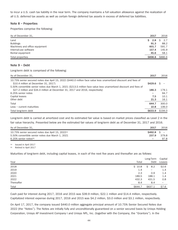to incur a U.S. cash tax liability in the near term. The company maintains a full valuation allowance against the realization of all U.S. deferred tax assets as well as certain foreign deferred tax assets in excess of deferred tax liabilities.

#### **Note 8 – Properties**

Properties comprise the following:

| As of December 31.             | 2017     | 2016     |
|--------------------------------|----------|----------|
| Land                           | 2.8<br>S | 2.7<br>S |
| <b>Buildings</b>               | 91.3     | 88.2     |
| Machinery and office equipment | 601.7    | 591.7    |
| Internal-use software          | 157.4    | 145.9    |
| Rental equipment               | 45.6     | 58.1     |
| Total properties               | \$898.8  | \$886.6  |

#### **Note 9 – Debt**

Long-term debt is comprised of the following:

| As of December 31,                                                                                                                                                                                                                                                             | 2017    | 2016    |
|--------------------------------------------------------------------------------------------------------------------------------------------------------------------------------------------------------------------------------------------------------------------------------|---------|---------|
| 10.75% senior secured notes due April 15, 2022 (\$440.0 million face value less unamortized discount and fees of<br>\$10.4 million at December 31, 2017)<br>5.50% convertible senior notes due March 1, 2021 (\$213.5 million face value less unamortized discount and fees of | S429.6  |         |
| \$27.2 million and \$34.4 million at December 31, 2017 and 2016, respectively)                                                                                                                                                                                                 | 186.3   | 179.1   |
| 6.25% senior notes                                                                                                                                                                                                                                                             |         | 94.7    |
| Capital leases                                                                                                                                                                                                                                                                 | 7.5     | 10.1    |
| Other debt                                                                                                                                                                                                                                                                     | 21.3    | 16.1    |
| Total                                                                                                                                                                                                                                                                          | 644.7   | 300.0   |
| $\text{Less}$ – current maturities                                                                                                                                                                                                                                             | 10.8    | 106.0   |
| Total long-term debt                                                                                                                                                                                                                                                           | \$633.9 | \$194.0 |

Long-term debt is carried at amortized cost and its estimated fair value is based on market prices classified as Level 2 in the fair value hierarchy. Presented below are the estimated fair values of long-term debt as of December 31, 2017 and 2016.

| As of December 31.                                            | 2017                     | 2016  |
|---------------------------------------------------------------|--------------------------|-------|
| 10.75% senior secured notes due April 15, 2022 <sup>(a)</sup> | $$492.8 \text{ } $-$$    |       |
| 5.50% convertible senior notes due March 1, 2021              | 237.9                    | 379.8 |
| 6.25% senior notes <sup>(b)</sup>                             | $\overline{\phantom{0}}$ | 97.8  |

(a) Issued in April 2017 (b) Retired in April 2017

Maturities of long-term debt, including capital leases, in each of the next five years and thereafter are as follows:

|            |         | Long-Term | Capital                  |
|------------|---------|-----------|--------------------------|
| Year       | Total   | Debt      | Leases                   |
| 2018       | \$10.8  | 8.2<br>\$ | \$2.6                    |
| 2019       | 1.4     | —         | 1.4                      |
| 2020       | 2.3     | 0.9       | 1.4                      |
| 2021       | 189.5   | 188.1     | 1.4                      |
| 2022       | 432.3   | 431.5     | 0.8                      |
| Thereafter | 8.4     | 8.4       | $\overline{\phantom{m}}$ |
| Total      | \$644.7 | \$637.1   | \$7.6                    |

Cash paid for interest during 2017, 2016 and 2015 was \$39.9 million, \$22.1 million and \$14.4 million, respectively. Capitalized interest expense during 2017, 2016 and 2015 was \$4.2 million, \$3.0 million and \$3.1 million, respectively.

On April 17, 2017, the company issued \$440.0 million aggregate principal amount of 10.75% Senior Secured Notes due 2022 (the "Notes"). The Notes are initially fully and unconditionally guaranteed on a senior secured basis by Unisys Holding Corporation, Unisys AP Investment Company I and Unisys NPL, Inc. (together with the Company, the "Grantors"). In the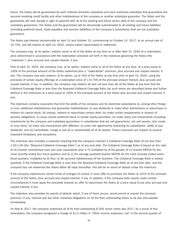future, the Notes will be guaranteed by each material domestic subsidiary and each restricted subsidiary that guarantees the secured revolving credit facility and other indebtedness of the company or another subsidiary guarantor. The Notes and the guarantees will rank equally in right of payment with all of the existing and future senior debt of the company and the subsidiary guarantors. The Notes and the guarantees will be structurally subordinated to all existing and future liabilities (including preferred stock, trade payables and pension liabilities) of the company's subsidiaries that are not subsidiary guarantors.

The Notes pay interest semiannually on April 15 and October 15, commencing on October 15, 2017, at an annual rate of 10.75%, and will mature on April 15, 2022, unless earlier repurchased or redeemed.

The company may, at its option, redeem some or all of the Notes at any time on or after April 15, 2020 at a redemption price determined in accordance with the redemption schedule set forth in the indenture governing the Notes (the "indenture"), plus accrued and unpaid interest, if any.

Prior to April 15, 2020, the company may, at its option, redeem some or all of the Notes at any time, at a price equal to 100% of the principal amount of the Notes redeemed plus a "make-whole" premium, plus accrued and unpaid interest, if any. The company may also redeem, at its option, up to 35% of the Notes at any time prior to April 15, 2020, using the proceeds of certain equity offerings at a redemption price of 110.75% of the principal amount thereof, plus accrued and unpaid interest, if any. In addition, the company may redeem all (but not less than all) of the Notes at any time that the Collateral Coverage Ratio is less than the Required Collateral Coverage Ratio (as such terms are described below and further defined in the indenture) at a price equal to 100% of the principal amount of the Notes plus accrued and unpaid interest, if any.

The indenture contains covenants that limit the ability of the company and its restricted subsidiaries to, among other things: (i) incur additional indebtedness and guarantee indebtedness; (ii) pay dividends or make other distributions or repurchase or redeem its capital stock; (iii) prepay, redeem or repurchase certain debt; (iv) make certain prepayments in respect of pension obligations; (v) issue certain preferred stock or similar equity securities; (vi) make loans and investments (including investments by the company and subsidiary guarantors in subsidiaries that are not guarantors); (vii) sell assets; (viii) create or incur liens; (ix) enter into transactions with affiliates; (x) enter into agreements restricting its subsidiaries' ability to pay dividends; and (xi) consolidate, merge or sell all or substantially all of its assets. These covenants are subject to several important limitations and exceptions.

The indenture also includes a covenant requiring that the company maintain a Collateral Coverage Ratio of not less than 1.50:1.00 (the "Required Collateral Coverage Ratio") as of any test date. The Collateral Coverage Ratio is based on the ratio of (A) Grantor unrestricted cash and cash equivalents plus 4.75 multiplied by of the greater of (x) Grantor EBITDA for the most recently ended four fiscal quarters and (y) (i) the average quarterly Grantor EBITDA for the most recently ended seven fiscal quarters, multiplied by (ii) four, to (B) secured indebtedness of the Grantors. The Collateral Coverage Ratio is tested quarterly. If the Collateral Coverage Ratio is less than the Required Collateral Coverage Ratio as of any test date, and the company has not redeemed the Notes within 90 days thereafter, this will be an event of default under the indenture.

If the company experiences certain kinds of changes of control, it must offer to purchase the Notes at 101% of the principal amount of the Notes, plus accrued and unpaid interest, if any. In addition, if the company sells assets under certain circumstances it must apply the proceeds towards an offer to repurchase the Notes at a price equal to par plus accrued and unpaid interest, if any.

The indenture also provides for events of default, which, if any of them occurs, would permit or require the principal, premium, if any, interest and any other monetary obligations on all the then outstanding Notes to be due and payable immediately.

On May 8, 2017, the company redeemed all of its then outstanding 6.25% senior notes due 2017. As a result of this redemption, the company recognized a charge of \$1.5 million in "Other income (expense), net" in the second quarter of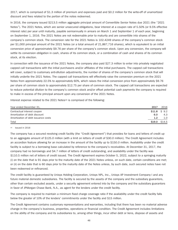2017, which is comprised of \$1.3 million of premium and expenses paid and \$0.2 million for the write-off of unamortized discount and fees related to the portion of the notes redeemed.

In 2016, the company issued \$213.5 million aggregate principal amount of Convertible Senior Notes due 2021 (the "2021 Notes"). The 2021 Notes, which are senior unsecured obligations, bear interest at a coupon rate of 5.50% (or 9.5% effective interest rate) per year until maturity, payable semiannually in arrears on March 1 and September 1 of each year, beginning on September 1, 2016. The 2021 Notes are not redeemable prior to maturity and are convertible into shares of the company's common stock. The conversion rate for the 2021 Notes is 102.4249 shares of the company's common stock per \$1,000 principal amount of the 2021 Notes (or a total amount of 21,867,716 shares), which is equivalent to an initial conversion price of approximately \$9.76 per share of the company's common stock. Upon any conversion, the company will settle its conversion obligation in cash, shares of its common stock, or a combination of cash and shares of its common stock, at its election.

In connection with the issuance of the 2021 Notes, the company also paid \$27.3 million to enter into privately negotiated capped call transactions with the initial purchasers and/or affiliates of the initial purchasers. The capped call transactions will cover, subject to customary anti-dilution adjustments, the number of shares of the company's common stock that will initially underlie the 2021 Notes. The capped call transactions will effectively raise the conversion premium on the 2021 Notes from approximately 22.5% to approximately 60%, which raises the initial conversion price from approximately \$9.76 per share of common stock to approximately \$12.75 per share of common stock. The capped call transactions are expected to reduce potential dilution to the company's common stock and/or offset potential cash payments the company is required to make in excess of the principal amount upon any conversion of the 2021 Notes.

Interest expense related to the 2021 Notes<sup>(a)</sup> is comprised of the following:

| Year ended December 31,             | 2017   | 2016           |
|-------------------------------------|--------|----------------|
| Contractual interest coupon         |        | $$11.8 \t$9.2$ |
| Amortization of debt discount       | 6.0    | 4.3            |
| Amortization of debt issuance costs | 1.2    | 1.0            |
| Total                               | \$19.0 | \$14.5         |

#### (a) Issued in 2016

The company has a secured revolving credit facility (the "Credit Agreement") that provides for loans and letters of credit up to an aggregate amount of \$125.0 million (with a limit on letters of credit of \$30.0 million). The Credit Agreement includes an accordion feature allowing for an increase in the amount of the facility up to \$150.0 million. Availability under the credit facility is subject to a borrowing base calculated by reference to the company's receivables. At December 31, 2017, the company had no borrowings and \$4.7 million of letters of credit outstanding, and availability under the facility was \$110.5 million net of letters of credit issued. The Credit Agreement expires October 5, 2022, subject to a springing maturity (i) on the date that is 91 days prior to the maturity date of the 2021 Notes unless, on such date, certain conditions are met; or (ii) on the date that is 60 days prior to the maturity date of the Notes unless, by such date, such secured notes have not been redeemed or refinanced.

The credit facility is guaranteed by Unisys Holding Corporation, Unisys NPL, Inc., Unisys AP Investment Company I and any future material domestic subsidiaries. The facility is secured by the assets of the company and the subsidiary guarantors, other than certain excluded assets, under a security agreement entered into by the company and the subsidiary guarantors in favor of JPMorgan Chase Bank, N.A., as agent for the lenders under the credit facility.

The company is required to maintain a minimum fixed charge coverage ratio if the availability under the credit facility falls below the greater of 10% of the lenders' commitments under the facility and \$15 million.

The Credit Agreement contains customary representations and warranties, including that there has been no material adverse change in the company's business, properties, operations or financial condition. The Credit Agreement includes limitations on the ability of the company and its subsidiaries to, among other things, incur other debt or liens, dispose of assets and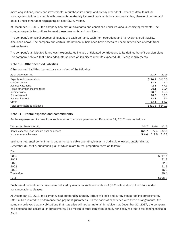make acquisitions, loans and investments, repurchase its equity, and prepay other debt. Events of default include non-payment, failure to comply with covenants, materially incorrect representations and warranties, change of control and default under other debt aggregating at least \$50.0 million.

At December 31, 2017, the company has met all covenants and conditions under its various lending agreements. The company expects to continue to meet these covenants and conditions.

The company's principal sources of liquidity are cash on hand, cash from operations and its revolving credit facility, discussed above. The company and certain international subsidiaries have access to uncommitted lines of credit from various banks.

The company's anticipated future cash expenditures include anticipated contributions to its defined benefit pension plans. The company believes that it has adequate sources of liquidity to meet its expected 2018 cash requirements.

#### **Note 10 – Other accrued liabilities**

Other accrued liabilities (current) are comprised of the following:

| As of December 31.              | 2017    | 2016    |
|---------------------------------|---------|---------|
| Payrolls and commissions        | \$120.2 | \$110.6 |
| Cost reduction                  | 87.7    | 21.2    |
| Accrued vacations               | 42.8    | 47.1    |
| Taxes other than income taxes   | 29.1    | 25.4    |
| Income taxes                    | 26.0    | 35.3    |
| Postretirement                  | 18.5    | 19.3    |
| Accrued interest                | 13.8    | 6.1     |
| Other                           | 53.4    | 84.2    |
| Total other accrued liabilities | \$391.5 | \$349.2 |

#### **Note 11 – Rental expense and commitments**

Rental expense and income from subleases for the three years ended December 31, 2017 were as follows:

| Year ended December 31,                    | 2017 | 2016                 | 2015 |
|--------------------------------------------|------|----------------------|------|
| Rental expense, less income from subleases |      | \$71.7 \$77.4 \$80.6 |      |
| Income from subleases                      |      | $$4.4$ \$ 7.8 \$ 9.1 |      |

Minimum net rental commitments under noncancelable operating leases, including idle leases, outstanding at

December 31, 2017, substantially all of which relate to real properties, were as follows:

| Year       |         |
|------------|---------|
| 2018       | \$47.4  |
| 2019       | 41.3    |
| 2020       | 32.9    |
| 2021       | 21.5    |
| 2022       | 16.2    |
| Thereafter | 39.4    |
| Total      | \$198.7 |

Such rental commitments have been reduced by minimum sublease rentals of \$7.2 million, due in the future under noncancelable subleases.

At December 31, 2017, the company had outstanding standby letters of credit and surety bonds totaling approximately \$318 million related to performance and payment guarantees. On the basis of experience with these arrangements, the company believes that any obligations that may arise will not be material. In addition, at December 31, 2017, the company had deposits and collateral of approximately \$14 million in other long-term assets, principally related to tax contingencies in Brazil.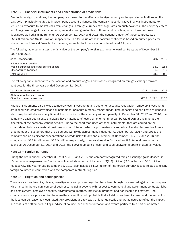#### **Note 12 – Financial instruments and concentration of credit risks**

Due to its foreign operations, the company is exposed to the effects of foreign currency exchange rate fluctuations on the U.S. dollar, principally related to intercompany account balances. The company uses derivative financial instruments to reduce its exposure to market risks from changes in foreign currency exchange rates on such balances. The company enters into foreign exchange forward contracts, generally having maturities of three months or less, which have not been designated as hedging instruments. At December 31, 2017 and 2016, the notional amount of these contracts was \$514.0 million and \$428.9 million, respectively. The fair value of these forward contracts is based on quoted prices for similar but not identical financial instruments; as such, the inputs are considered Level 2 inputs.

The following table summarizes the fair value of the company's foreign exchange forward contracts as of December 31, 2017 and 2016.

| As of December 31,                        | 2017        | 2016  |
|-------------------------------------------|-------------|-------|
| <b>Balance Sheet Location</b>             |             |       |
| Prepaid expenses and other current assets | <b>S4.9</b> | \$2.4 |
| Other accrued liabilities                 | 1.6         | 1.9   |
| Total fair value                          | \$3.3       | \$0.5 |

The following table summarizes the location and amount of gains and losses recognized on foreign exchange forward contracts for the three years ended December 31, 2017.

| Year Ended December 31.      | 2017 | 2016 2015                 |  |
|------------------------------|------|---------------------------|--|
| Statement of Income Location |      |                           |  |
| Other income (expense), net  |      | $$27.5$ $$(29.1)$ $$15.6$ |  |

Financial instruments also include temporary cash investments and customer accounts receivable. Temporary investments are placed with creditworthy financial institutions, primarily in money market funds, time deposits and certificate of deposits which may be withdrawn at any time at the discretion of the company without penalty. At December 31, 2017 and 2016, the company's cash equivalents principally have maturities of less than one month or can be withdrawn at any time at the discretion of the company without penalty. Due to the short maturities of these instruments, they are carried on the consolidated balance sheets at cost plus accrued interest, which approximates market value. Receivables are due from a large number of customers that are dispersed worldwide across many industries. At December 31, 2017 and 2016, the company had no significant concentrations of credit risk with any one customer. At December 31, 2017 and 2016, the company had \$75.8 million and \$74.0 million, respectively, of receivables due from various U.S. federal governmental agencies. At December 31, 2017 and 2016, the carrying amount of cash and cash equivalents approximated fair value.

#### **Note 13 – Foreign currency**

During the years ended December 31, 2017, 2016 and 2015, the company recognized foreign exchange gains (losses) in "Other income (expense), net" in its consolidated statements of income of \$(9.9) million, \$2.3 million and \$8.1 million, respectively. The year ended December 31, 2017 also includes \$11.8 million of net foreign currency losses related to exiting foreign countries in connection with the company's restructuring plan.

#### **Note 14 – Litigation and contingencies**

There are various lawsuits, claims, investigations and proceedings that have been brought or asserted against the company, which arise in the ordinary course of business, including actions with respect to commercial and government contracts, labor and employment, employee benefits, environmental matters, intellectual property, and non-income tax matters. The company records a provision for these matters when it is both probable that a liability has been incurred and the amount of the loss can be reasonably estimated. Any provisions are reviewed at least quarterly and are adjusted to reflect the impact and status of settlements, rulings, advice of counsel and other information and events pertinent to a particular matter.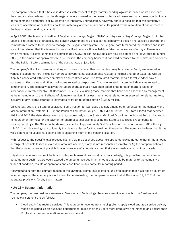The company believes that it has valid defenses with respect to legal matters pending against it. Based on its experience, the company also believes that the damage amounts claimed in the lawsuits disclosed below are not a meaningful indicator of the company's potential liability. Litigation is inherently unpredictable, however, and it is possible that the company's results of operations or cash flows could be materially affected in any particular period by the resolution of one or more of the legal matters pending against it.

In April 2007, the Ministry of Justice of Belgium sued Unisys Belgium SA-NV, a Unisys subsidiary ("Unisys Belgium"), in the Court of First Instance of Brussels. The Belgian government had engaged the company to design and develop software for a computerized system to be used to manage the Belgian court system. The Belgian State terminated the contract and in its lawsuit has alleged that the termination was justified because Unisys Belgium failed to deliver satisfactory software in a timely manner. It claims damages of approximately €28.0 million. Unisys Belgium filed its defense and counterclaim in April 2008, in the amount of approximately  $E18.5$  million. The company believes it has valid defenses to the claims and contends that the Belgian State's termination of the contract was unjustified.

The company's Brazilian operations, along with those of many other companies doing business in Brazil, are involved in various litigation matters, including numerous governmental assessments related to indirect and other taxes, as well as disputes associated with former employees and contract labor. The tax-related matters pertain to value added taxes, customs, duties, sales and other non-income related tax exposures. The labor-related matters include claims related to compensation. The company believes that appropriate accruals have been established for such matters based on information currently available. At December 31, 2017, excluding those matters that have been assessed by management as being remote as to the likelihood of ultimately resulting in a loss, the amount related to unreserved tax-related matters, inclusive of any related interest, is estimated to be up to approximately \$135.0 million.

On June 26, 2014, the State of Louisiana filed a Petition for Damages against, among other defendants, the company and Molina Information Systems, LLC, in the Parish of East Baton Rouge, 19th Judicial District. The State alleged that between 1989 and 2012 the defendants, each acting successively as the State's Medicaid fiscal intermediary, utilized an incorrect reimbursement formula for the payment of pharmaceutical claims causing the State to pay excessive amounts for prescription drugs. The State contends overpayments of approximately \$68.0 million for the period January 2002 through July 2011 and is seeking data to identify the claims at issue for the remaining time period. The company believes that it has valid defenses to Louisiana's claims and is asserting them in the pending litigation.

With respect to the specific legal proceedings and claims described above, except as otherwise noted, either (i) the amount or range of possible losses in excess of amounts accrued, if any, is not reasonably estimable or (ii) the company believes that the amount or range of possible losses in excess of amounts accrued that are estimable would not be material.

Litigation is inherently unpredictable and unfavorable resolutions could occur. Accordingly, it is possible that an adverse outcome from such matters could exceed the amounts accrued in an amount that could be material to the company's financial condition, results of operations and cash flows in any particular reporting period.

Notwithstanding that the ultimate results of the lawsuits, claims, investigations and proceedings that have been brought or asserted against the company are not currently determinable, the company believes that at December 31, 2017, it has adequate provisions for any such matters.

#### **Note 15 – Segment information**

The company has two business segments: Services and Technology. Revenue classifications within the Services and Technology segment are as follows:

• Cloud and infrastructure services. This represents revenue from helping clients apply cloud and as-a-service delivery models to capitalize on business opportunities, make their end users more productive and manage and secure their IT infrastructure and operations more economically.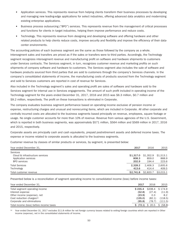- Application services. This represents revenue from helping clients transform their business processes by developing and managing new leading-edge applications for select industries, offering advanced data analytics and modernizing existing enterprise applications.
- Business process outsourcing ("BPO") services. This represents revenue from the management of critical processes and functions for clients in target industries, helping them improve performance and reduce costs.
- Technology. This represents revenue from designing and developing software and offering hardware and other related products to help clients reduce costs, improve security and flexibility and improve the efficiency of their datacenter environments.

The accounting policies of each business segment are the same as those followed by the company as a whole. Intersegment sales and transfers are priced as if the sales or transfers were to third parties. Accordingly, the Technology segment recognizes intersegment revenue and manufacturing profit on software and hardware shipments to customers under Services contracts. The Services segment, in turn, recognizes customer revenue and marketing profits on such shipments of company software and hardware to customers. The Services segment also includes the sale of software and hardware products sourced from third parties that are sold to customers through the company's Services channels. In the company's consolidated statements of income, the manufacturing costs of products sourced from the Technology segment and sold to Services customers are reported in cost of revenue for Services.

Also included in the Technology segment's sales and operating profit are sales of software and hardware sold to the Services segment for internal use in Services engagements. The amount of such profit included in operating income of the Technology segment for the years ended December 31, 2017, 2016 and 2015 was \$6.3 million, \$0.7 million and \$9.2 million, respectively. The profit on these transactions is eliminated in Corporate.

The company evaluates business segment performance based on operating income exclusive of pension income or expense, restructuring charges and unusual and nonrecurring items, which are included in Corporate. All other corporate and centrally incurred costs are allocated to the business segments based principally on revenue, employees, square footage or usage. No single customer accounts for more than 10% of revenue. Revenue from various agencies of the U.S. Government, which is reported in both business segments, was approximately \$571 million, \$564 million and \$569 million in 2017, 2016 and 2015, respectively.

Corporate assets are principally cash and cash equivalents, prepaid postretirement assets and deferred income taxes. The expense or income related to corporate assets is allocated to the business segments.

Customer revenue by classes of similar products or services, by segment, is presented below:

| Year ended December 31,                                                                    | 2017                        | 2016                        | 2015                        |
|--------------------------------------------------------------------------------------------|-----------------------------|-----------------------------|-----------------------------|
| Services<br>Cloud & infrastructure services<br>Application services<br><b>BPO</b> services | \$1,317.0<br>808.3<br>202.9 | \$1,352.9<br>859.0<br>194.4 | \$1,513.1<br>868.9<br>223.6 |
| <b>Total Services</b><br>Technology                                                        | 2.328.2<br>413.6            | 2.406.3<br>414.4            | 2,605.6<br>409.5            |
| Total customer revenue                                                                     | \$2,741.8                   | \$2,820.7                   | \$3,015.1                   |

Presented below is a reconciliation of segment operating income to consolidated income (loss) before income taxes:

| Year ended December 31,                 | 2017              | 2016                | 2015      |
|-----------------------------------------|-------------------|---------------------|-----------|
| Total segment operating income          | $$235.4$ $$208.4$ |                     | S 174.9   |
| Interest expense                        | (52.8)            | (27.4)              | (11.9)    |
| Other income (expense), net             | (23.9)            | 0.3                 | 8.2       |
| Cost reduction charges <sup>(a)</sup>   | (135.0)           | (82.1)              | (118.5)   |
| Corporate and eliminations              | (95.8)            | (78.7)              | (111.5)   |
| Total income (loss) before income taxes |                   | $$$ (72.1) $$$ 20.5 | \$ (58.8) |

Year ended December 31, 2017 excludes \$11.8 million for net foreign currency losses related to exiting foreign countries which are reported in Other income (expense), net in the consolidated statements of income.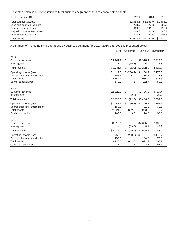Presented below is a reconciliation of total business segment assets to consolidated assets:

| As of December 31,            | 2017      | 2016      | 2015      |
|-------------------------------|-----------|-----------|-----------|
| Total segment assets          | \$1,364.5 | \$1,339.0 | \$1,486.0 |
| Cash and cash equivalents     | 733.9     | 370.6     | 365.2     |
| Deferred income taxes         | 119.9     | 146.1     | 127.4     |
| Prepaid postretirement assets | 148.3     | 33.3      | 45.1      |
| Other corporate assets        | 175.8     | 132.6     | 106.3     |
| Total assets                  | \$2,542.4 | \$2,021.6 | \$2,130.0 |

A summary of the company's operations by business segment for 2017, 2016 and 2015 is presented below:

|                               | Total        | Corporate     | Services   | Technology |
|-------------------------------|--------------|---------------|------------|------------|
| 2017                          |              |               |            |            |
| Customer revenue              | \$2,741.8    | -Ŝ            | \$2,328.2  | \$413.6    |
| Intersegment                  |              | (25.9)        |            | 25.9       |
| Total revenue                 | \$2,741.8    | \$.<br>(25.9) | \$2,328.2  | \$439.5    |
| Operating income (loss)       | Ś.<br>4.6    | \$ (230.8) \$ | 64.8       | \$170.6    |
| Depreciation and amortization | 156.5        |               | 84.6       | 71.9       |
| Total assets                  | 2,542.4      | 1,177.9       | 985.9      | 378.6      |
| Capital expenditures          | 176.5        | 4.3           | 102.7      | 69.5       |
| 2016                          |              |               |            |            |
| Customer revenue              | \$2,820.7    | Ŝ<br>—        | \$2,406.3  | \$414.4    |
| Intersegment                  |              | (22.6)        |            | 22.6       |
| Total revenue                 | \$2,820.7    | \$<br>(22.6)  | \$2,406.3  | \$437.0    |
| Operating income (loss)       | \$<br>47.6   | \$ (160.8)    | Ŝ.<br>46.9 | \$161.5    |
| Depreciation and amortization | 155.6        |               | 81.8       | 73.8       |
| Total assets                  | 2,021.6      | 682.6         | 963.3      | 375.7      |
| Capital expenditures          | 147.1        | 3.0           | 74.8       | 69.3       |
| 2015                          |              |               |            |            |
| Customer revenue              | \$3,015.1    | Ŝ.            | \$2,605.6  | \$409.5    |
| Intersegment                  |              | (49.0)        | 0.1        | 48.9       |
| Total revenue                 | \$3,015.1    | Ŝ.<br>(49.0)  | \$2,605.7  | \$458.4    |
| Operating income (loss)       | \$<br>(55.1) | \$ (230.0)    | \$<br>61.2 | \$113.7    |
| Depreciation and amortization | 180.1        |               | 104.8      | 75.3       |
| Total assets                  | 2,130.0      | 644.0         | 1,081.7    | 404.3      |
| Capital expenditures          | 213.7        | 1.9           | 143.3      | 68.5       |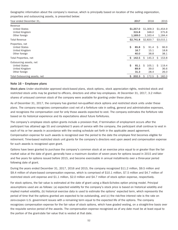Geographic information about the company's revenue, which is principally based on location of the selling organization, properties and outsourcing assets, is presented below:

| Year ended December 31,                                                     | 2017                          | 2016                                 | 2015                          |
|-----------------------------------------------------------------------------|-------------------------------|--------------------------------------|-------------------------------|
| Revenue<br>United States<br>United Kingdom<br>Other foreign                 | \$1,257.0<br>315.8<br>1,169.0 | \$1,309.3<br>348.0<br>1,163.4        | \$1,454.9<br>375.8<br>1,184.4 |
| <b>Total Revenue</b>                                                        | \$2,741.8                     | \$2,820.7                            | \$3,015.1                     |
| Properties, net<br>United States<br>United Kingdom<br>Other foreign         | Ś.<br>85.8<br>16.7<br>40.0    | Ŝ.<br>$91.4 \quad $$<br>15.1<br>38.8 | 96.9<br>18.8<br>38.1          |
| Total Properties, net                                                       | 142.5<br>Ŝ.                   | Ŝ.<br>145.3                          | 153.8<br>S.                   |
| Outsourcing assets, net<br>United States<br>United Kingdom<br>Other foreign | Ś.<br>81.1<br>89.9<br>31.3    | Ś<br>105.1<br>39.0<br>28.4           | 119.4<br>Ŝ<br>36.6<br>26.0    |
| Total Outsourcing assets, net                                               | 202.3<br>Ŝ.                   | 172.5<br>S                           | 182.0<br>S                    |

#### **Note 16 – Employee plans**

**Stock plans** Under stockholder approved stock-based plans, stock options, stock appreciation rights, restricted stock and restricted stock units may be granted to officers, directors and other key employees. At December 31, 2017, 3.2 million shares of unissued common stock of the company were available for granting under these plans.

As of December 31, 2017, the company has granted non-qualified stock options and restricted stock units under these plans. The company recognizes compensation cost net of a forfeiture rate in selling, general and administrative expenses, and recognizes the compensation cost for only those awards expected to vest. The company estimates the forfeiture rate based on its historical experience and its expectations about future forfeitures.

The company's employee stock option grants include a provision that, if termination of employment occurs after the participant has attained age 55 and completed 5 years of service with the company, the participant shall continue to vest in each of his or her awards in accordance with the vesting schedule set forth in the applicable award agreement. Compensation expense for such awards is recognized over the period to the date the employee first becomes eligible for retirement. Time-based restricted stock unit grants for the company's directors vest upon award and compensation expense for such awards is recognized upon grant.

Options have been granted to purchase the company's common stock at an exercise price equal to or greater than the fair market value at the date of grant, generally have a maximum duration of seven years for options issued in 2015 and later and five years for options issued before 2015, and become exercisable in annual installments over a three-year period following date of grant.

During the years ended December 31, 2017, 2016 and 2015, the company recognized \$11.2 million, \$9.5 million and \$9.4 million of share-based compensation expense, which is comprised of \$10.1 million, \$7.5 million and \$4.7 million of restricted stock unit expense and \$1.1 million, \$2.0 million and \$4.7 million of stock option expense, respectively.

For stock options, the fair value is estimated at the date of grant using a Black-Scholes option pricing model. Principal assumptions used are as follows: (a) expected volatility for the company's stock price is based on historical volatility and implied market volatility, (b) historical exercise data is used to estimate the options' expected term, which represents the period of time that the options granted are expected to be outstanding, and (c) the risk-free interest rate is the rate on zero-coupon U.S. government issues with a remaining term equal to the expected life of the options. The company recognizes compensation expense for the fair value of stock options, which have graded vesting, on a straight-line basis over the requisite service period of the awards. The compensation expense recognized as of any date must be at least equal to the portion of the grant-date fair value that is vested at that date.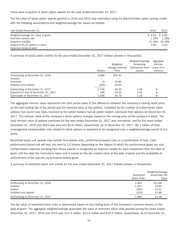There were no grants of stock option awards for the year ended December 31, 2017.

The fair value of stock option awards granted in 2016 and 2015 was estimated using the Black-Scholes option pricing model with the following assumptions and weighted-average fair values as follows:

| Year Ended December 31,              | 2016            | 2015                     |
|--------------------------------------|-----------------|--------------------------|
| Weighted-average fair value of grant | $$4.53$ $$8.92$ |                          |
| Risk-free interest rate              | 1.29%           | 1.28%                    |
| Expected volatility                  |                 | 51.30% 45.46%            |
| Expected life of options in years    | 4.90            | 4.92                     |
| Expected dividend yield              |                 | $\overline{\phantom{0}}$ |

A summary of stock option activity for the year ended December 31, 2017 follows (shares in thousands):

|                                       | <b>Shares</b> | Weighted-<br>Average Exercise<br>Price | Weighted-Average<br>Remaining<br>Contractual Term<br>(years) | Aggregate<br>Intrinsic<br>Value (\$ in<br>millions) |
|---------------------------------------|---------------|----------------------------------------|--------------------------------------------------------------|-----------------------------------------------------|
| Outstanding at December 31, 2016      | 2.099         | \$25.41                                |                                                              |                                                     |
| Granted                               |               |                                        |                                                              |                                                     |
| Exercised                             | (1)           | 10.65                                  |                                                              |                                                     |
| Forfeited and expired                 | (340)         | 20.59                                  |                                                              |                                                     |
| Outstanding at December 31, 2017      | 1.758         | 26.35                                  | 1.56                                                         | \$-                                                 |
| Expected to vest at December 31, 2017 | 198           | 23.20                                  | 3.42                                                         | S-                                                  |
| Exercisable at December 31, 2017      | 1,558         | 26.76                                  | 1.33                                                         | S–                                                  |

The aggregate intrinsic value represents the total pretax value of the difference between the company's closing stock price on the last trading day of the period and the exercise price of the options, multiplied by the number of in-the-money stock options that would have been received by the option holders had all option holders exercised their options on December 31, 2017. The intrinsic value of the company's stock options changes based on the closing price of the company's stock. The total intrinsic value of options exercised for the year ended December 31, 2017 was immaterial, and for the years ended December 31, 2016 and 2015 was zero and \$0.6 million, respectively. As of December 31, 2017, \$0.1 million of total unrecognized compensation cost related to stock options is expected to be recognized over a weighted-average period of 0.5 years.

Restricted stock unit awards may contain time-based units, performance-based units or a combination of both. Each performance-based unit will vest into zero to 2.0 shares depending on the degree to which the performance goals are met. Compensation expense resulting from these awards is recognized as expense ratably for each installment from the date of grant until the date the restrictions lapse and is based on the fair market value at the date of grant and the probability of achievement of the specific performance-related goals.

A summary of restricted stock unit activity for the year ended December 31, 2017 follows (shares in thousands):

|                                  | Restricted<br><b>Stock Units</b> | Weighted-Average<br>Grant-Date Fair<br>Value |
|----------------------------------|----------------------------------|----------------------------------------------|
| Outstanding at December 31, 2016 | 1,454                            | \$12.68                                      |
| Granted                          | 1,042                            | 13.85                                        |
| Vested                           | (555)                            | 13.31                                        |
| Forfeited and expired            | (253)                            | 11.88                                        |
| Outstanding at December 31, 2017 | 1,688                            | 13.39                                        |

The fair value of restricted stock units is determined based on the trading price of the company's common shares on the date of grant. The aggregate weighted-average grant-date fair value of restricted stock units granted during the years ended December 31, 2017, 2016 and 2015 was \$14.4 million, \$12.9 million and \$10.2 million, respectively. As of December 31,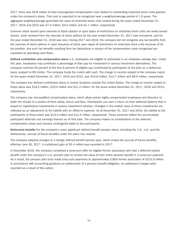2017, there was \$9.8 million of total unrecognized compensation cost related to outstanding restricted stock units granted under the company's plans. That cost is expected to be recognized over a weighted-average period of 1.9 years. The aggregate weighted-average grant-date fair value of restricted stock units vested during the years ended December 31, 2017, 2016 and 2015 was \$7.4 million, \$3.5 million and \$2.1 million, respectively.

Common stock issued upon exercise of stock options or upon lapse of restrictions on restricted stock units are newly issued shares. Cash received from the exercise of stock options for the year ended December 31, 2017 was immaterial, and for the year ended December 31, 2016 was zero. During 2017 and 2016, the company did not recognize any tax benefits from the exercise of stock options or upon issuance of stock upon lapse of restrictions on restricted stock units because of its tax position. Any such tax benefits resulting from tax deductions in excess of the compensation costs recognized are classified as operating cash flows.

**Defined contribution and compensation plans** U.S. employees are eligible to participate in an employee savings plan. Under this plan, employees may contribute a percentage of their pay for investment in various investment alternatives. The company matches 50 percent of the first 6 percent of eligible pay contributed by participants to the plan on a before-tax basis (subject to IRS limits). The company funds the match with cash. The charge to income related to the company match for the years ended December 31, 2017, 2016 and 2015, was \$10.8 million, \$10.7 million and \$9.9 million, respectively.

The company has defined contribution plans in certain locations outside the United States. The charge to income related to these plans was \$18.5 million, \$19.0 million and \$21.4 million, for the years ended December 31, 2017, 2016 and 2015, respectively.

The company has non-qualified compensation plans, which allow certain highly compensated employees and directors to defer the receipt of a portion of their salary, bonus and fees. Participants can earn a return on their deferred balance that is based on hypothetical investments in various investment vehicles. Changes in the market value of these investments are reflected as an adjustment to the liability with an offset to expense. As of December 31, 2017 and 2016, the liability to the participants of these plans was \$13.4 million and \$12.3 million, respectively. These amounts reflect the accumulated participant deferrals and earnings thereon as of that date. The company makes no contributions to the deferred compensation plans and remains contingently liable to the participants.

**Retirement benefits** For the company's more significant defined benefit pension plans, including the U.S., U.K. and the Netherlands, accrual of future benefits under the plans has ceased.

The company adopted changes to a foreign defined benefit pension plan, which ended the accrual of future benefits, effective June 30, 2017. A curtailment gain of \$5.4 million was recorded in 2017.

In December 2016, the company completed a lump-sum offer for eligible former associates who had a deferred vested benefit under the company's U.S. pension plan to receive the value of their entire pension benefit in a lump-sum payment. As a result, the pension plan trust made lump sum payments to approximately 5,800 former associates of \$215.9 million. In accordance with accounting guidance on settlements of a pension benefit obligation, no settlement charges were recorded as a result of this action.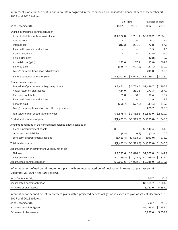Retirement plans' funded status and amounts recognized in the company's consolidated balance sheets at December 31, 2017 and 2016 follows:

|                                                                   | U.S. Plans        |                                               | <b>International Plans</b> |            |  |
|-------------------------------------------------------------------|-------------------|-----------------------------------------------|----------------------------|------------|--|
| As of December 31,                                                |                   | 2016                                          | 2017                       | 2016       |  |
| Change in projected benefit obligation                            |                   |                                               |                            |            |  |
| Benefit obligation at beginning of year                           | \$4,972.0         | \$5,231.4                                     | \$3,076.2                  | \$2,987.8  |  |
| Service cost                                                      |                   |                                               | 5.1                        | 7.4        |  |
| Interest cost                                                     | 211.3             | 231.3                                         | 72.8                       | 87.8       |  |
| Plan participants' contributions                                  |                   |                                               | 1.9                        | 2.3        |  |
| Plan amendment                                                    |                   |                                               | (52.5)                     |            |  |
| Plan curtailment                                                  |                   |                                               | (2.2)                      | (3.7)      |  |
| Actuarial loss (gain)                                             | 177.0             | 87.2                                          | (93.8)                     | 502.2      |  |
| Benefits paid                                                     | (358.7)           | (577.9)                                       | (117.1)                    | (110.0)    |  |
| Foreign currency translation adjustments                          | —                 |                                               | 299.3                      | (397.6)    |  |
| Benefit obligation at end of year                                 | \$5,001.6         | \$4,972.0                                     | \$3,189.7                  | \$3,076.2  |  |
| Change in plan assets                                             |                   |                                               |                            |            |  |
| Fair value of plan assets at beginning of year                    | \$3,452.1         | \$3,759.4                                     | \$2,429.7                  | \$2,496.8  |  |
| Actual return on plan assets                                      | 424.0             | 211.8                                         | 172.3                      | 287.7      |  |
| Employer contribution                                             | 61.0              | 58.8                                          | 77.4                       | 73.7       |  |
| Plan participants' contributions                                  |                   |                                               | 1.9                        | 2.3        |  |
| Benefits paid                                                     | (358.7)           | (577.9)                                       | (117.1)                    | (110.0)    |  |
| Foreign currency translation and other adjustments                |                   |                                               | 269.7                      | (320.8)    |  |
| Fair value of plan assets at end of year                          | \$3,578.4         | \$3,452.1                                     | \$2,833.9                  | \$2,429.7  |  |
| Funded status at end of year                                      |                   | $\$(1,423.2) \$(1,519.9) \$ (355.8)$          |                            | \$ (646.5) |  |
| Amounts recognized in the consolidated balance sheets consist of: |                   |                                               |                            |            |  |
| Prepaid postretirement assets                                     | \$                | \$                                            | Ś<br>147.4                 | Ŝ.<br>31.9 |  |
| Other accrued liabilities                                         | (6.8)             | (6.7)                                         | (0.2)                      | (0.2)      |  |
| Long-term postretirement liabilities                              | (1,416.4)         | (1,513.2)                                     | (503.0)                    | (678.2)    |  |
| Total funded status                                               |                   | $\$(1,423.2) \$(1,519.9) \$(355.8) \$(646.5)$ |                            |            |  |
| Accumulated other comprehensive loss, net of tax                  |                   |                                               |                            |            |  |
| Net loss                                                          |                   | $$2,690.6$ $$2,828.8$                         | \$1,067.8                  | \$1,144.7  |  |
| Prior service credit                                              | $(39.8)$ \$<br>\$ |                                               | $(42.4)$ \$ $(69.8)$ \$    | (27.7)     |  |
| Accumulated benefit obligation                                    |                   | $$5,001.6$ $$4,972.0$ $$3,188.0$              |                            | \$3,072.1  |  |

Information for defined benefit retirement plans with an accumulated benefit obligation in excess of plan assets at December 31, 2017 and 2016 follows:

| As of December 31,             | 2017    | 2016                |
|--------------------------------|---------|---------------------|
| Accumulated benefit obligation |         | \$7,151.7 \$7,551.8 |
| Fair value of plan assets      | 5.227.0 | 5,357.2             |

Information for defined benefit retirement plans with a projected benefit obligation in excess of plan assets at December 31, 2017 and 2016 follows:

| As of December 31,           | 2017    | 2016                |
|------------------------------|---------|---------------------|
| Projected benefit obligation |         | \$7,153.4 \$7,555.2 |
| Fair value of plan assets    | 5.227.0 | 5.357.2             |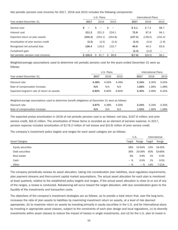Net periodic pension cost (income) for 2017, 2016 and 2015 includes the following components:

|                                      |         | U.S. Plans               |            |         | <b>International Plans</b> |         |
|--------------------------------------|---------|--------------------------|------------|---------|----------------------------|---------|
| Year ended December 31,              | 2017    | 2016                     | 2015       | 2017    | 2016                       | 2015    |
| Service cost                         | S.<br>- | $\overline{\phantom{0}}$ | S          | \$5.1   | \$7.4                      | \$8.7   |
| Interest cost                        | 211.3   | 231.3                    | 224.1      | 72.8    | 87.8                       | 94.1    |
| Expected return on plan assets       | (235.2) | (253.1)                  | (254.8)    | (127.5) | (139.5)                    | (155.4) |
| Amortization of prior service credit | (2.5)   | (2.5)                    | (2.4)      | (2.4)   | (3.0)                      | (1.9)   |
| Recognized net actuarial loss        | 126.4   | 116.0                    | 132.7      | 49.8    | 40.3                       | 63.6    |
| Curtailment gain                     |         |                          |            | (5.4)   | (2.0)                      |         |
| Net periodic pension cost (income)   | \$100.0 | 91.7<br>S                | S.<br>99.6 | \$(7.6) | \$(9.0)                    | \$9.1   |

Weighted-average assumptions used to determine net periodic pension cost for the years ended December 31 were as follows:

|                                             |       | U.S. Plans |       |       | International Plans |       |  |
|---------------------------------------------|-------|------------|-------|-------|---------------------|-------|--|
| Year ended December 31,                     | 2017  | 2016       | 2015  | 2017  | 2016                | 2015  |  |
| Discount rate                               | 4.38% | 4.56%      | 4.09% | 2.34% | 3.30%               | 3.05% |  |
| Rate of compensation increase               | N/A   | N/A        | N/A   | 1.66% | 1.66%               | 1.68% |  |
| Expected long-term rate of return on assets | 6.80% | 6.80%      | 6.80% | 5.30% | 5.99%               | 6.45% |  |

Weighted-average assumptions used to determine benefit obligations at December 31 were as follows:

| Discount rate                 | 3.87% | 4.38% | 4.56% | 2.24% | 2.34% | 3.30% |
|-------------------------------|-------|-------|-------|-------|-------|-------|
| Rate of compensation increase | N/A   | N/A   | N/A   | 1.55% | 66%   | .68%  |

The expected pretax amortization in 2018 of net periodic pension cost is as follows: net loss, \$167.6 million; and prior service credit, \$(6.3) million. The amortization of these items is recorded as an element of pension expense. In 2017, pension expense included amortization of \$176.2 million of net losses and \$(4.9) million of prior service credit.

The company's investment policy targets and ranges for each asset category are as follows:

|                       |        | U.S.     |        | International |
|-----------------------|--------|----------|--------|---------------|
| <b>Asset Category</b> | Target | Range    | Target | Range         |
| Equity securities     | 58%    | 52-64%   | 24%    | 18-30%        |
| Debt securities       | 36%    | 33-39%   | 60%    | 53-66%        |
| Real estate           | 6%     | $3-9%$   | 1%     | $0 - 3%$      |
| Cash                  | $-$ %  | $0 - 5%$ | 1%     | $0 - 5%$      |
| Other                 | $-$ %  | $-$ %    | 14%    | 7-21%         |

The company periodically reviews its asset allocation, taking into consideration plan liabilities, local regulatory requirements, plan payment streams and then-current capital market assumptions. The actual asset allocation for each plan is monitored at least quarterly, relative to the established policy targets and ranges. If the actual asset allocation is close to or out of any of the ranges, a review is conducted. Rebalancing will occur toward the target allocation, with due consideration given to the liquidity of the investments and transaction costs.

The objectives of the company's investment strategies are as follows: (a) to provide a total return that, over the long term, increases the ratio of plan assets to liabilities by maximizing investment return on assets, at a level of risk deemed appropriate, (b) to maximize return on assets by investing primarily in equity securities in the U.S. and for international plans by investing in appropriate asset classes, subject to the constraints of each plan design and local regulations, (c) to diversify investments within asset classes to reduce the impact of losses in single investments, and (d) for the U.S. plan to invest in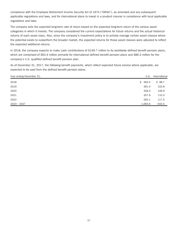compliance with the Employee Retirement Income Security Act of 1974 ("ERISA"), as amended and any subsequent applicable regulations and laws, and for international plans to invest in a prudent manner in compliance with local applicable regulations and laws.

The company sets the expected long-term rate of return based on the expected long-term return of the various asset categories in which it invests. The company considered the current expectations for future returns and the actual historical returns of each asset class. Also, since the company's investment policy is to actively manage certain asset classes where the potential exists to outperform the broader market, the expected returns for those asset classes were adjusted to reflect the expected additional returns.

In 2018, the company expects to make cash contributions of \$149.7 million to its worldwide defined benefit pension plans, which are comprised of \$63.4 million primarily for international defined benefit pension plans and \$86.3 million for the company's U.S. qualified defined benefit pension plan.

As of December 31, 2017, the following benefit payments, which reflect expected future service where applicable, are expected to be paid from the defined benefit pension plans:

| Year ending December 31, | U.S.    | International |
|--------------------------|---------|---------------|
| 2018                     | \$364.4 | \$98.7        |
| 2019                     | 361.4   | 102.8         |
| 2020                     | 359.3   | 106.9         |
| 2021                     | 357.6   | 110.3         |
| 2022                     | 355.1   | 117.5         |
| $2023 - 2027$            | 1,693.6 | 642.5         |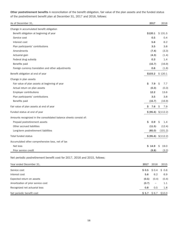**Other postretirement benefits** A reconciliation of the benefit obligation, fair value of the plan assets and the funded status of the postretirement benefit plan at December 31, 2017 and 2016, follows:

| As of December 31,                                                         | 2017         | 2016                 |
|----------------------------------------------------------------------------|--------------|----------------------|
| Change in accumulated benefit obligation                                   |              |                      |
| Benefit obligation at beginning of year                                    | \$120.1      | \$131.5              |
| Service cost                                                               | 0.5          | 0.4                  |
| Interest cost                                                              | 5.6          | 6.2                  |
| Plan participants' contributions                                           | 3.5          | 3.8                  |
| Amendments                                                                 | (7.4)        | (3.3)                |
| Actuarial gain                                                             | (4.3)        | (1.4)                |
| Federal drug subsidy                                                       | 0.3          | 1.4                  |
| Benefits paid                                                              | (15.7)       | (16.9)               |
| Foreign currency translation and other adjustments                         | 0.6          | (1.6)                |
| Benefit obligation at end of year                                          | \$103.2      | \$120.1              |
| Change in plan assets                                                      |              |                      |
| Fair value of plan assets at beginning of year                             | \$<br>7.9 S  | 7.7                  |
| Actual return on plan assets                                               | (0.3)        | (0.3)                |
| Employer contributions                                                     | 12.2         | 13.6                 |
| Plan participants' contributions                                           | 3.5          | 3.8                  |
| Benefits paid                                                              | (15.7)       | (16.9)               |
| Fair value of plan assets at end of year                                   | \$.<br>7.6   | \$<br>7.9            |
| Funded status at end of year                                               |              | \$ (95.6) \$ (112.2) |
| Amounts recognized in the consolidated balance sheets consist of:          |              |                      |
| Prepaid postretirement assets                                              | \$<br>0.9    | \$<br>1.4            |
| Other accrued liabilities                                                  | (11.5)       | (12.4)               |
| Long-term postretirement liabilities                                       | (85.0)       | (101.2)              |
| Total funded status                                                        |              | \$ (95.6) \$ (112.2) |
| Accumulated other comprehensive loss, net of tax                           |              |                      |
| Net loss                                                                   | \$14.9       | Ŝ.<br>19.0           |
| Prior service credit                                                       | (9.8)        | (3.2)                |
| Net periodic postretirement benefit cost for 2017, 2016 and 2015, follows: |              |                      |
| Year ended December 31,                                                    | 2017<br>2016 | 2015                 |

| TCAI CHUCU DCCCHIDCI UI.           | <u>____</u> | ∠∪⊥∪                     | ້∠ບ⊥ບ |
|------------------------------------|-------------|--------------------------|-------|
| Service cost                       |             | $$0.5$ $$0.4$ $$0.6$     |       |
| Interest cost                      | 5.6         | 6.2                      | 6.9   |
| Expected return on assets          | (0.5)       | (0.4)                    | (0.4) |
| Amortization of prior service cost | (0.7)       | $\overline{\phantom{m}}$ | 1.1   |
| Recognized net actuarial loss      | 0.8         | 0.5                      | 1.8   |
| Net periodic benefit cost          |             | $$5.7$ $$6.7$ $$10.0$    |       |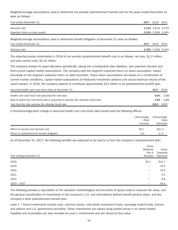Weighted-average assumptions used to determine net periodic postretirement benefit cost for the years ended December 31 were as follows:

| Year ended December 31,        | 2017 2016 2015    |  |
|--------------------------------|-------------------|--|
| Discount rate                  | 5.53% 5.61% 5.27% |  |
| Expected return on plan assets | 5.50% 5.50% 5.50% |  |
|                                |                   |  |

Weighted-average assumptions used to determine benefit obligation at December 31 were as follows:

| Year<br>Jecember<br>ende.<br>┑ <i>へ^</i><br>. | ־ו∩ר<br>--- | 201L | ാവ സ<br>∠∪⊥ |
|-----------------------------------------------|-------------|------|-------------|
|                                               |             |      |             |

| 30%،د<br>Discount rate<br>J.JJ70<br>U.∪⊥/∪ |
|--------------------------------------------|
|--------------------------------------------|

The expected pretax amortization in 2018 of net periodic postretirement benefit cost is as follows: net loss, \$1.2 million; and prior service cost, \$(1.6) million.

The company reviews its asset allocation periodically, taking into consideration plan liabilities, plan payment streams and then-current capital market assumptions. The company sets the long-term expected return on asset assumption, based principally on the long-term expected return on debt securities. These return assumptions are based on a combination of current market conditions, capital market expectations of third-party investment advisors and actual historical returns of the asset classes. In 2018, the company expects to contribute approximately \$12 million to its postretirement benefit plan.

| Assumed health care cost trend rates at December 31,                              | 2017      | 2016      |
|-----------------------------------------------------------------------------------|-----------|-----------|
| Health care cost trend rate assumed for next year                                 |           | 6.6% 5.8% |
| Rate to which the cost trend rate is assumed to decline (the ultimate trend rate) |           | 4.8% 4.8% |
| Year that the rate reaches the ultimate trend rate                                | 2023 2023 |           |

A one-percentage-point change in assumed health care cost trend rates would have the following effects:

|                                             | 1-Percentage-<br>Point<br>Increase | 1-Percentage-<br>Point<br>Decrease |
|---------------------------------------------|------------------------------------|------------------------------------|
| Effect on service and interest cost         | \$0.1                              | \$(0.1)                            |
| Effect on postretirement benefit obligation | 2.0                                | (1.7)                              |

As of December 31, 2017, the following benefits are expected to be paid to or from the company's postretirement plan:

| Year ending December 31, | Gross<br>Medicare<br>Part D<br>Receipts | Gross<br>Expected<br>Payments |
|--------------------------|-----------------------------------------|-------------------------------|
| 2018                     | \$0.1                                   | \$12.7                        |
| 2019                     | $\overline{\phantom{0}}$                | 10.5                          |
| 2020                     | $\overline{\phantom{0}}$                | 10.0                          |
| 2021                     | —                                       | 9.4                           |
| 2022                     | -                                       | 8.8                           |
| $2023 - 2027$            | -                                       | 34.4                          |

The following provides a description of the valuation methodologies and the levels of inputs used to measure fair value, and the general classification of investments in the company's U.S. and international defined benefit pension plans, and the company's other postretirement benefit plan.

Level 1 – These investments include cash, common stocks, real estate investment trusts, exchange traded funds, futures and options and U.S. government securities. These investments are valued using quoted prices in an active market. Payables and receivables are also included as Level 1 investments and are valued at face value.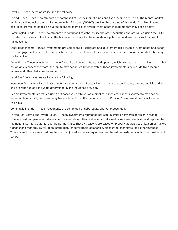Level 2 – These investments include the following:

Pooled Funds – These investments are comprised of money market funds and fixed income securities. The money market funds are valued using the readily determinable fair value ("RDFV") provided by trustees of the funds. The fixed income securities are valued based on quoted prices for identical or similar investments in markets that may not be active.

Commingled Funds – These investments are comprised of debt, equity and other securities and are valued using the RDFV provided by trustees of the funds. The fair value per share for these funds are published and are the basis for current transactions.

Other Fixed Income – These investments are comprised of corporate and government fixed income investments and asset and mortgage backed securities for which there are quoted prices for identical or similar investments in markets that may not be active.

Derivatives – These investments include forward exchange contracts and options, which are traded on an active market, but not on an exchange; therefore, the inputs may not be readily observable. These investments also include fixed income futures and other derivative instruments.

Level 3 – These investments include the following:

Insurance Contracts – These investments are insurance contracts which are carried at book value, are not publicly traded and are reported at a fair value determined by the insurance provider.

Certain investments are valued using net asset value ("NAV") as a practical expedient. These investments may not be redeemable on a daily basis and may have redemption notice periods of up to 90 days. These investments include the following:

Commingled Funds – These investments are comprised of debt, equity and other securities.

Private Real Estate and Private Equity – These investments represent interests in limited partnerships which invest in privately held companies or privately held real estate or other real assets. Net asset values are developed and reported by the general partners that manage the partnerships. These valuations are based on property appraisals, utilization of market transactions that provide valuation information for comparable companies, discounted cash flows, and other methods. These valuations are reported quarterly and adjusted as necessary at year end based on cash flows within the most recent period.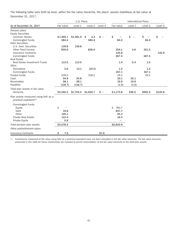The following table sets forth by level, within the fair value hierarchy, the plans' assets (liabilities) at fair value at December 31, 2017.

|                                     |                   | U.S. Plans |           |                      | <b>International Plans</b> |         |                    |         |  |  |
|-------------------------------------|-------------------|------------|-----------|----------------------|----------------------------|---------|--------------------|---------|--|--|
| As of December 31, 2017             | <b>Fair Value</b> | Level 1    |           | Level 2 Level 3      | Fair Value                 | Level 1 | Level <sub>2</sub> | Level 3 |  |  |
| Pension plans                       |                   |            |           |                      |                            |         |                    |         |  |  |
| <b>Equity Securities</b>            |                   |            |           |                      |                            |         |                    |         |  |  |
| Common Stocks                       | \$1,465.1         | \$1,461.9  | Ŝ.<br>3.2 | $\dot{\mathbf{S}}$ – | \$                         | \$      | \$                 | \$      |  |  |
| Commingled Funds                    | 584.4             |            | 584.4     |                      | 84.0                       |         | 84.0               |         |  |  |
| <b>Debt Securities</b>              |                   |            |           |                      |                            |         |                    |         |  |  |
| U.S. Govt. Securities               | 139.8             | 139.8      |           |                      |                            |         |                    |         |  |  |
| Other Fixed Income                  | 830.6             |            | 830.6     |                      | 254.1                      | 2.6     | 251.5              |         |  |  |
| <b>Insurance Contracts</b>          |                   |            |           |                      | 135.8                      |         |                    | 135.8   |  |  |
| Commingled Funds                    |                   |            |           |                      | 267.5                      |         | 267.5              |         |  |  |
| <b>Real Estate</b>                  |                   |            |           |                      |                            |         |                    |         |  |  |
| Real Estate Investment Trusts       | 113.5             | 113.5      |           |                      | 1.4                        | 0.4     | 1.0                |         |  |  |
| Other                               |                   |            |           |                      |                            |         |                    |         |  |  |
| <b>Derivatives</b>                  | 2.6               | 13.1       | (10.5)    |                      | 1.2                        |         | 1.2                |         |  |  |
| Commingled Funds                    |                   |            |           |                      | 357.1                      |         | 357.1              |         |  |  |
| Pooled Funds                        | 228.0             |            | 228.0     |                      | 29.2                       |         | 29.2               |         |  |  |
| Cash                                | 34.8              | 34.8       |           |                      | 25.1                       | 25.1    |                    |         |  |  |
| Receivables                         | 58.1              | 58.1       |           |                      | 19.9                       | 19.9    |                    |         |  |  |
| Payables                            | (116.7)           | (116.7)    |           |                      | (1.5)                      | (1.5)   |                    |         |  |  |
| Total plan assets in fair value     |                   |            |           |                      |                            |         |                    |         |  |  |
| hierarchy                           | \$3,340.2         | \$1,704.5  | \$1,635.7 | $\dot{\mathsf{S}}$ – | \$1,173.8                  | \$46.5  | \$991.5            | \$135.8 |  |  |
| Plan assets measured using NAV as a |                   |            |           |                      |                            |         |                    |         |  |  |
| practical expedient <sup>(a):</sup> |                   |            |           |                      |                            |         |                    |         |  |  |
| Commingled Funds                    |                   |            |           |                      |                            |         |                    |         |  |  |
| Equity                              | \$                |            |           |                      | 780.7<br>Ś.                |         |                    |         |  |  |
| Debt                                | 19.8              |            |           |                      | 837.7                      |         |                    |         |  |  |
| Other                               | 105.1             |            |           |                      | 25.2                       |         |                    |         |  |  |
| <b>Private Real Estate</b>          | 112.4             |            |           |                      | 16.5                       |         |                    |         |  |  |
| Private Equity                      | 0.9               |            |           |                      |                            |         |                    |         |  |  |
| Total pension plan assets           | \$3,578.4         |            |           |                      | \$2,833.9                  |         |                    |         |  |  |
| Other postretirement plans          |                   |            |           |                      |                            |         |                    |         |  |  |
| <b>Insurance Contracts</b>          | 7.6<br>\$         |            |           | \$7.6                |                            |         |                    |         |  |  |

*(a) Investments measured at fair value using NAV as a practical expedient have not been classified in the fair value hierarchy. The fair value amounts presented in this table for these investments are included to permit reconciliation of the fair value hierarchy to the total plan assets.*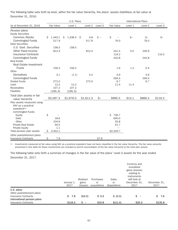|                            |     | U.S. Plans |    |           |    |                 |            | <b>International Plans</b> |    |                   |         |         |         |
|----------------------------|-----|------------|----|-----------|----|-----------------|------------|----------------------------|----|-------------------|---------|---------|---------|
| As of December 31, 2016    |     | Fair Value |    | Level 1   |    | Level 2 Level 3 |            |                            |    | Fair Value        | Level 1 | Level 2 | Level 3 |
| Pension plans              |     |            |    |           |    |                 |            |                            |    |                   |         |         |         |
| <b>Equity Securities</b>   |     |            |    |           |    |                 |            |                            |    |                   |         |         |         |
| <b>Common Stocks</b>       | \$. | 1,443.1    | Ŝ. | 1,438.3   | Ŝ. | 4.8             | $\sin 5 -$ |                            | \$ |                   | $S-$    | $S-$    | $S-$    |
| Commingled Funds           |     | 517.9      |    |           |    | 517.9           |            |                            |    | 76.0              |         | 76.0    |         |
| <b>Debt Securities</b>     |     |            |    |           |    |                 |            |                            |    |                   |         |         |         |
| U.S. Govt. Securities      |     | 158.5      |    | 158.5     |    |                 |            |                            |    |                   |         |         |         |
| Other Fixed Income         |     | 812.4      |    |           |    | 812.4           |            |                            |    | 241.4             | 0.5     | 240.9   |         |
| <b>Insurance Contracts</b> |     |            |    |           |    |                 |            |                            |    | 116.2             |         |         | 116.2   |
| Commingled Funds           |     |            |    |           |    |                 |            |                            |    | 242.8             |         | 242.8   |         |
| <b>Real Estate</b>         |     |            |    |           |    |                 |            |                            |    |                   |         |         |         |
| Real Estate Investment     |     |            |    |           |    |                 |            |                            |    |                   |         |         |         |
| <b>Trusts</b>              |     | 156.2      |    | 156.2     |    |                 |            |                            |    | 1.6               | 1.2     | 0.4     |         |
| Other                      |     |            |    |           |    |                 |            |                            |    |                   |         |         |         |
| Derivatives                |     | 3.1        |    | (1.1)     |    | 4.2             |            |                            |    | 4.9               |         | 4.9     |         |
| Commingled Funds           |     |            |    |           |    |                 |            |                            |    | 294.5             |         | 294.5   |         |
| Pooled Funds               |     | 272.0      |    |           |    | 272.0           |            |                            |    | 6.7               |         | 6.7     |         |
| Cash                       |     | 12.2       |    | 12.2      |    |                 |            |                            |    | 11.4              | 11.4    |         |         |
| Receivables                |     | 107.2      |    | 107.2     |    |                 |            |                            |    |                   |         |         |         |
| Payables                   |     | (195.3)    |    | (195.3)   |    |                 |            |                            |    |                   |         |         |         |
| Total plan assets in fair  |     |            |    |           |    |                 |            |                            |    |                   |         |         |         |
| value hierarchy            |     | \$3,287.3  |    | \$1,676.0 |    | \$1,611.3       | $\zeta$ -  |                            |    | \$995.5           | \$13.1  | \$866.2 | \$116.2 |
| Plan assets measured using |     |            |    |           |    |                 |            |                            |    |                   |         |         |         |
| NAV as a practical         |     |            |    |           |    |                 |            |                            |    |                   |         |         |         |
| expedient <sup>(a):</sup>  |     |            |    |           |    |                 |            |                            |    |                   |         |         |         |
| Commingled Funds           |     |            |    |           |    |                 |            |                            |    |                   |         |         |         |
| Equity<br>Debt             | \$  | 18.6       |    |           |    |                 |            |                            | S  | 726.7             |         |         |         |
| Other                      |     | 104.6      |    |           |    |                 |            |                            |    | 640.0<br>25.8     |         |         |         |
| <b>Private Real Estate</b> |     | 40.5       |    |           |    |                 |            |                            |    | 41.7              |         |         |         |
| Private Equity             |     | 1.1        |    |           |    |                 |            |                            |    | $\qquad \qquad -$ |         |         |         |
| Total pension plan assets  | S   | 3,452.1    |    |           |    |                 |            |                            |    | \$2,429.7         |         |         |         |
| Other postretirement plans |     |            |    |           |    |                 |            |                            |    |                   |         |         |         |
| Insurance Contracts        | \$  | 7.9        |    |           |    |                 | \$7.9      |                            |    |                   |         |         |         |

The following table sets forth by level, within the fair value hierarchy, the plans' assets (liabilities) at fair value at December 31, 2016.

(a) Investments measured at fair value using NAV as a practical expedient have not been classified in the fair value hierarchy. The fair value amounts presented in this table for these investments are included to permit reconciliation of the fair value hierarchy to the total plan assets.

The following table sets forth a summary of changes in the fair value of the plans' Level 3 assets for the year ended December 31, 2017.

|                                                    | January 1,<br>2017 | Realized<br>gains<br>(losses)  | Purchases<br>or<br>acquisitions | Sales<br>or<br>dispositions | Currency and<br>unrealized<br>gains (losses)<br>relating to<br>instruments<br>still held at<br>December 31,<br>2017 | December 31,<br>2017 |
|----------------------------------------------------|--------------------|--------------------------------|---------------------------------|-----------------------------|---------------------------------------------------------------------------------------------------------------------|----------------------|
| U.S. plans<br>Other postretirement plans           |                    |                                |                                 |                             |                                                                                                                     |                      |
| Insurance Contracts<br>International pension plans | \$7.9              | \$(0.2)                        | \$0.2                           | \$ (0.3)                    | Ŝ.                                                                                                                  | \$.<br>7.6           |
| Insurance Contracts                                | \$116.2            | \$<br>$\overline{\phantom{0}}$ | \$10.8                          | \$(11.4)                    | \$20.2                                                                                                              | \$135.8              |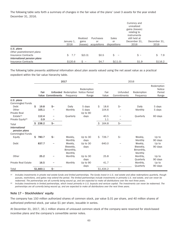The following table sets forth a summary of changes in the fair value of the plans' Level 3 assets for the year ended December 31, 2016.

|                             | January 1,<br>2016 | Realized<br>gains<br>(losses) | Purchases<br>or<br>acquisitions | Sales<br>or<br>dispositions | Currency and<br>unrealized<br>gains (losses)<br>relating to<br>instruments<br>still held at<br>December 31,<br>2016 | December 31,<br>2016 |
|-----------------------------|--------------------|-------------------------------|---------------------------------|-----------------------------|---------------------------------------------------------------------------------------------------------------------|----------------------|
| U.S. plans                  |                    |                               |                                 |                             |                                                                                                                     |                      |
| Other postretirement plans  |                    |                               |                                 |                             |                                                                                                                     |                      |
| Insurance Contracts         | Ŝ.<br>7.7          | \$(0.3)                       | \$0.5                           | Ś<br>$\qquad \qquad -$      | \$ -                                                                                                                | \$<br>7.9            |
| International pension plans |                    |                               |                                 |                             |                                                                                                                     |                      |
| Insurance Contracts         | \$120.6            | $S -$                         | \$4.7                           | \$(11.0)                    | \$1.9                                                                                                               | \$116.2              |

The following table presents additional information about plan assets valued using the net asset value as a practical expedient within the fair value hierarchy table.

|                                                                    | 2017 |               |                          |                                               |                                      |     | 2016          |                         |                                               |                                         |  |  |  |  |
|--------------------------------------------------------------------|------|---------------|--------------------------|-----------------------------------------------|--------------------------------------|-----|---------------|-------------------------|-----------------------------------------------|-----------------------------------------|--|--|--|--|
|                                                                    |      | Fair          | <b>Value Commitments</b> | Unfunded Redemption<br>Frequency              | Redemption<br>Notice Period<br>Range |     | Fair<br>Value | Unfunded<br>Commitments | Redemption<br>Frequency                       | Redemption<br>Notice<br>Period<br>Range |  |  |  |  |
| U.S. plans<br>Commingled Funds                                     |      |               |                          |                                               |                                      |     |               |                         |                                               |                                         |  |  |  |  |
| Debt<br>Other<br>Private Real                                      | Ś    | 19.8<br>105.1 | \$-                      | Daily<br>Monthly                              | 5 days<br>5 days<br>Up to 90         | \$  | 18.6<br>104.6 | $\zeta-$                | Daily<br>Monthly                              | 5 days<br>5 days                        |  |  |  |  |
| Estate <sup>(a)</sup><br>Private Equity(b)                         |      | 112.4<br>0.9  | -<br>-                   | Quarterly                                     | days                                 |     | 40.5<br>1.1   | $\qquad \qquad -$       | Quarterly                                     | 60 days                                 |  |  |  |  |
| Total<br><b>International</b><br>pension plans<br>Commingled Funds | Ŝ.   | 238.2         | \$-                      |                                               |                                      | Ŝ.  | 164.8         | \$-                     |                                               |                                         |  |  |  |  |
| Equity                                                             | Ś.   | 780.7         | \$-                      | Weekly,<br>Monthly                            | Up to 30<br>days                     | \$. | 726.7         | $S-$                    | Weekly,<br>Monthly                            | Up to<br>90 days                        |  |  |  |  |
| Debt                                                               |      | 837.7         |                          | Weekly,<br>Biweekly,<br>Bimonthly,<br>Monthly | Up to 30<br>days                     |     | 640.0         |                         | Weekly,<br>Biweekly,<br>Bimonthly,<br>Monthly | Up to<br>90 days                        |  |  |  |  |
| Other                                                              |      | 25.2          |                          | Monthly                                       | Up to 30<br>days                     |     | 25.8          |                         | Monthly,<br>Quarterly                         | Up to<br>90 days                        |  |  |  |  |
| <b>Private Real Estate</b>                                         |      | 16.5          |                          | Monthly                                       | Up to 90<br>days                     |     | 41.7          |                         | Monthly,<br>Quarterly                         | Up to<br>90 days                        |  |  |  |  |
| Total                                                              |      | \$1,660.1     | \$-                      |                                               |                                      |     | \$1,434.2     | $\zeta-$                |                                               |                                         |  |  |  |  |

*(a) Includes investments in private real estate funds and limited partnerships. The funds invest in U.S. real estate and allow redemptions quarterly, though queues, restrictions, and gates may extend the period. The limited partnerships include investments in primarily U.S. real estate, and can never be redeemed. The partnerships are all currently being wound up, and are expected to make all distributions over the next three years.*

*(b) Includes investments in limited partnerships, which invest primarily in U.S. buyouts and venture capital. The investments can never be redeemed. The partnerships are all currently being wound up, and are expected to make all distributions over the next three years.*

#### **Note 17 – Stockholders' equity**

The company has 150 million authorized shares of common stock, par value \$.01 per share, and 40 million shares of authorized preferred stock, par value \$1 per share, issuable in series.

At December 31, 2017, 35.1 million shares of unissued common stock of the company were reserved for stock-based incentive plans and the company's convertible senior notes.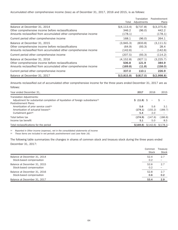Accumulated other comprehensive income (loss) as of December 31, 2017, 2016 and 2015, is as follows:

|                                                                                                                                                         | Total                             | Translation<br>Adjustments | Postretirement<br>Plans           |
|---------------------------------------------------------------------------------------------------------------------------------------------------------|-----------------------------------|----------------------------|-----------------------------------|
| Balance at December 31, 2014<br>Other comprehensive income before reclassifications<br>Amounts reclassified from accumulated other comprehensive income | $\$(4,113.4)$<br>346.2<br>(178.1) | \$(737.8)<br>(96.0)        | $$$ (3,375.6)<br>442.2<br>(178.1) |
| Current period other comprehensive income                                                                                                               | 168.1                             | (96.0)                     | 264.1                             |
| Balance at December 31, 2015<br>Other comprehensive income before reclassifications<br>Amounts reclassified from accumulated other comprehensive income | (3,945.3)<br>(64.9)<br>(142.6)    | (833.8)<br>(93.3)          | (3, 111.5)<br>28.4<br>(142.6)     |
| Current period other comprehensive income                                                                                                               | (207.5)                           | (93.3)                     | (114.2)                           |
| Balance at December 31, 2016<br>Other comprehensive income before reclassifications<br>Amounts reclassified from accumulated other comprehensive income | (4, 152.8)<br>506.8<br>(169.8)    | (927.1)<br>121.9<br>(11.8) | (3, 225.7)<br>384.9<br>(158.0)    |
| Current period other comprehensive income                                                                                                               | 337.0                             | 110.1                      | 226.9                             |
| Balance at December 31, 2017                                                                                                                            | \$(3,815.8)                       | \$ (817.0)                 | \$(2,998.8)                       |

Amounts reclassified out of accumulated other comprehensive income for the three years ended December 31, 2017 are as follows:

| Year ended December 31,                                                                     | 2017         | 2016                            | 2015    |
|---------------------------------------------------------------------------------------------|--------------|---------------------------------|---------|
| Translation Adjustments:                                                                    |              |                                 |         |
| Adjustment for substantial completion of liquidation of foreign subsidiaries <sup>(a)</sup> | \$ (11.8) \$ |                                 |         |
| Postretirement Plans:                                                                       |              |                                 |         |
| Amortization of prior service cost <sup>(b)</sup>                                           | 5.6          | 5.6                             | 3.1     |
| Amortization of actuarial losses <sup>(b)</sup>                                             | (174.1)      | (155.2)                         | (189.7) |
| Curtailment gain <sup>(b)</sup>                                                             | 5.4          | 2.0                             |         |
| Total before tax                                                                            | (174.9)      | (147.6)                         | (186.6) |
| Income tax benefit                                                                          | 5.1          | 5.0                             | 8.5     |
| Total reclassifications for the period                                                      |              | $\$(169.8) \$(142.6) \$(178.1)$ |         |

*(a) Reported in Other income (expense), net in the consolidated statements of income*

*(b) These items are included in net periodic postretirement cost (see Note 16).*

The following table summarizes the changes in shares of common stock and treasury stock during the three years ended December 31, 2017:

|                                                          | Common<br>Stock | Treasury<br><b>Stock</b>                 |
|----------------------------------------------------------|-----------------|------------------------------------------|
| Balance at December 31, 2014<br>Stock-based compensation | 52.4<br>0.2     | 2.7<br>$\overbrace{\phantom{123221111}}$ |
| Balance at December 31, 2015<br>Stock-based compensation | 52.6<br>0.2     | 2.7                                      |
| Balance at December 31, 2016<br>Stock-based compensation | 52.8<br>0.6     | 2.7<br>0.2                               |
| Balance at December 31, 2017                             | 53.4            | 2.9                                      |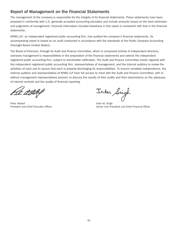## **Report of Management on the Financial Statements**

The management of the company is responsible for the integrity of its financial statements. These statements have been prepared in conformity with U.S. generally accepted accounting principles and include amounts based on the best estimates and judgments of management. Financial information included elsewhere in this report is consistent with that in the financial statements.

KPMG LLP, an independent registered public accounting firm, has audited the company's financial statements. Its accompanying report is based on an audit conducted in accordance with the standards of the Public Company Accounting Oversight Board (United States).

The Board of Directors, through its Audit and Finance Committee, which is composed entirely of independent directors, oversees management's responsibilities in the preparation of the financial statements and selects the independent registered public accounting firm, subject to stockholder ratification. The Audit and Finance Committee meets regularly with the independent registered public accounting firm, representatives of management, and the internal auditors to review the activities of each and to assure that each is properly discharging its responsibilities. To ensure complete independence, the internal auditors and representatives of KPMG LLP have full access to meet with the Audit and Finance Committee, with or without management representatives present, to discuss the results of their audits and their observations on the adequacy of internal controls and the quality of financial reporting.

It Atlett

Peter Altabef **Index** Index and The Index Index Index Index Index Index Index Index Index Index Index Index Index Index Index Index Index Index Index Index Index Index Index Index Index Index Index Index Index Index Index

Inder Singh

President and Chief Executive Officer Senior Senior Vice President and Chief Financial Officer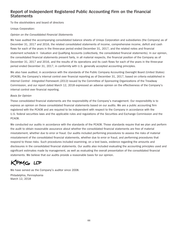## **Report of Independent Registered Public Accounting Firm on the Financial Statements**

To the stockholders and board of directors

#### Unisys Corporation:

#### *Opinion on the Consolidated Financial Statements*

We have audited the accompanying consolidated balance sheets of Unisys Corporation and subsidiaries (the Company) as of December 31, 2017 and 2016, the related consolidated statements of income, comprehensive income, deficit and cash flows for each of the years in the three-year period ended December 31, 2017, and the related notes and financial statement schedule II - Valuation and Qualifying Accounts (collectively, the consolidated financial statements). In our opinion, the consolidated financial statements present fairly, in all material respects, the financial position of the Company as of December 31, 2017 and 2016, and the results of its operations and its cash flows for each of the years in the three-year period ended December 31, 2017, in conformity with U.S. generally accepted accounting principles.

We also have audited, in accordance with the standards of the Public Company Accounting Oversight Board (United States) (PCAOB), the Company's internal control over financial reporting as of December 31, 2017, based on criteria established in *Internal Control - Integrated Framework (2013)* issued by the Committee of Sponsoring Organizations of the Treadway Commission, and our report dated March 12, 2018 expressed an adverse opinion on the effectiveness of the Company's internal control over financial reporting.

#### *Basis for Opinion*

These consolidated financial statements are the responsibility of the Company's management. Our responsibility is to express an opinion on these consolidated financial statements based on our audits. We are a public accounting firm registered with the PCAOB and are required to be independent with respect to the Company in accordance with the U.S. federal securities laws and the applicable rules and regulations of the Securities and Exchange Commission and the PCAOB.

We conducted our audits in accordance with the standards of the PCAOB. Those standards require that we plan and perform the audit to obtain reasonable assurance about whether the consolidated financial statements are free of material misstatement, whether due to error or fraud. Our audits included performing procedures to assess the risks of material misstatement of the consolidated financial statements, whether due to error or fraud, and performing procedures that respond to those risks. Such procedures included examining, on a test basis, evidence regarding the amounts and disclosures in the consolidated financial statements. Our audits also included evaluating the accounting principles used and significant estimates made by management, as well as evaluating the overall presentation of the consolidated financial statements. We believe that our audits provide a reasonable basis for our opinion.

KPMG LLP

We have served as the Company's auditor since 2008.

Philadelphia, Pennsylvania March 12, 2018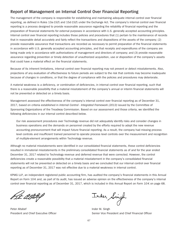## **Report of Management on Internal Control Over Financial Reporting**

The management of the company is responsible for establishing and maintaining adequate internal control over financial reporting, as defined in Rules 13a-15(f) and 15d-15(f) under the Exchange Act. The company's internal control over financial reporting is a process designed to provide reasonable assurance regarding the reliability of financial reporting and the preparation of financial statements for external purposes in accordance with U.S. generally accepted accounting principles. Internal control over financial reporting includes those policies and procedures that (1) pertain to the maintenance of records that in reasonable detail accurately and fairly reflect the transactions and dispositions of the assets of the company; (2) provide reasonable assurance that transactions are recorded as necessary to permit preparation of the financial statements in accordance with U.S. generally accepted accounting principles, and that receipts and expenditures of the company are being made only in accordance with authorizations of management and directors of company; and (3) provide reasonable assurance regarding prevention or timely detection of unauthorized acquisition, use or disposition of the company's assets that could have a material effect on the financial statements.

Because of its inherent limitations, internal control over financial reporting may not prevent or detect misstatements. Also, projections of any evaluation of effectiveness to future periods are subject to the risk that controls may become inadequate because of changes in conditions, or that the degree of compliance with the policies and procedures may deteriorate.

A material weakness is a deficiency, or combination of deficiencies, in internal control over financial reporting, such that there is a reasonable possibility that a material misstatement of the company's annual or interim financial statements will not be prevented or detected on a timely basis.

Management assessed the effectiveness of the company's internal control over financial reporting as of December 31, 2017, based on criteria established in *Internal Control - Integrated Framework (2013)* issued by the Committee of Sponsoring Organizations of the Treadway Commission. Based on our assessment and those criteria, we identified the following deficiencies in our internal control described below.

Our risk assessment procedures over Technology revenue did not adequately identify risks and consider changes in business operations and the demands on personnel created by the efforts required to adopt the new revenue accounting pronouncement that will impact future financial reporting. As a result, the company had missing process level controls and insufficient trained personnel to operate process level controls over the measurement and recognition of multiple-element arrangements within Technology revenue.

Although no material misstatements were identified in our consolidated financial statements, these control deficiencies resulted in immaterial misstatements in the preliminary consolidated financial statements as of and for the year ended December 31, 2017 related to Technology revenue and deferred revenue that were corrected. However, the control deficiencies create a reasonable possibility that a material misstatement in the company's consolidated financial statements will not be prevented or detected on a timely basis and we concluded that our internal control over financial reporting as of December 31, 2017 was not effective due to a material weakness in internal control.

KPMG LLP, an independent registered public accounting firm, has audited the company's financial statements in this Annual Report on Form 10-K and, as part of its audit, has issued an adverse opinion on the effectiveness of the company's internal control over financial reporting as of December 31, 2017, which is included in this Annual Report on Form 10-K on page 68.

Kit Atlety

Peter Altabef **Index** Index M. Singh

Inder Singh

President and Chief Executive Officer Senior Vice President and Chief Financial Officer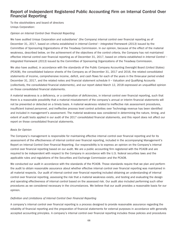## **Report of Independent Registered Public Accounting Firm on Internal Control Over Financial Reporting**

To the stockholders and board of directors Unisys Corporation:

#### *Opinion on Internal Control Over Financial Reporting*

We have audited Unisys Corporation and subsidiaries' (the Company) internal control over financial reporting as of December 31, 2017, based on criteria established in *Internal Control – Integrated Framework (2013)* issued by the Committee of Sponsoring Organizations of the Treadway Commission. In our opinion, because of the effect of the material weakness, described below, on the achievement of the objectives of the control criteria, the Company has not maintained effective internal control over financial reporting as of December 31, 2017, based on criteria established in *Internal Control – Integrated Framework (2013)* issued by the Committee of Sponsoring Organizations of the Treadway Commission.

We also have audited, in accordance with the standards of the Public Company Accounting Oversight Board (United States) (PCAOB), the consolidated balance sheets of the Company as of December 31, 2017 and 2016, the related consolidated statements of income, comprehensive income, deficit, and cash flows for each of the years in the three-year period ended December 31, 2017, and the related notes and financial statement schedule II – Valuation and Qualifying Accounts (collectively, the consolidated financial statements), and our report dated March 12, 2018 expressed an unqualified opinion on those consolidated financial statements.

A material weakness is a deficiency, or a combination of deficiencies, in internal control over financial reporting, such that there is a reasonable possibility that a material misstatement of the company's annual or interim financial statements will not be prevented or detected on a timely basis. A material weakness related to ineffective risk assessment procedures, insufficient trained personnel, and ineffective process level control activities over Technology revenue has been identified and included in management's assessment. The material weakness was considered in determining the nature, timing, and extent of audit tests applied in our audit of the 2017 consolidated financial statements, and this report does not affect our report on those consolidated financial statements.

#### *Basis for Opinion*

The Company's management is responsible for maintaining effective internal control over financial reporting and for its assessment of the effectiveness of internal control over financial reporting, included in the accompanying Management's Report on Internal Control Over Financial Reporting. Our responsibility is to express an opinion on the Company's internal control over financial reporting based on our audit. We are a public accounting firm registered with the PCAOB and are required to be independent with respect to the Company in accordance with the U.S. federal securities laws and the applicable rules and regulations of the Securities and Exchange Commission and the PCAOB.

We conducted our audit in accordance with the standards of the PCAOB. Those standards require that we plan and perform the audit to obtain reasonable assurance about whether effective internal control over financial reporting was maintained in all material respects. Our audit of internal control over financial reporting included obtaining an understanding of internal control over financial reporting, assessing the risk that a material weakness exists, and testing and evaluating the design and operating effectiveness of internal control based on the assessed risk. Our audit also included performing such other procedures as we considered necessary in the circumstances. We believe that our audit provides a reasonable basis for our opinion.

#### *Definition and Limitations of Internal Control Over Financial Reporting*

A company's internal control over financial reporting is a process designed to provide reasonable assurance regarding the reliability of financial reporting and the preparation of financial statements for external purposes in accordance with generally accepted accounting principles. A company's internal control over financial reporting includes those policies and procedures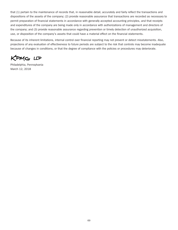that (1) pertain to the maintenance of records that, in reasonable detail, accurately and fairly reflect the transactions and dispositions of the assets of the company; (2) provide reasonable assurance that transactions are recorded as necessary to permit preparation of financial statements in accordance with generally accepted accounting principles, and that receipts and expenditures of the company are being made only in accordance with authorizations of management and directors of the company; and (3) provide reasonable assurance regarding prevention or timely detection of unauthorized acquisition, use, or disposition of the company's assets that could have a material effect on the financial statements.

Because of its inherent limitations, internal control over financial reporting may not prevent or detect misstatements. Also, projections of any evaluation of effectiveness to future periods are subject to the risk that controls may become inadequate because of changes in conditions, or that the degree of compliance with the policies or procedures may deteriorate.

KPMG LLP

Philadelphia, Pennsylvania March 12, 2018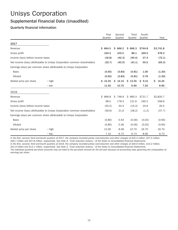# Unisys Corporation

# **Supplemental Financial Data (Unaudited)**

## **Quarterly financial information**

|                                                                          | First      | Second     | Third       | Fourth  |            |
|--------------------------------------------------------------------------|------------|------------|-------------|---------|------------|
|                                                                          | Quarter    | Quarter    | Quarter     | Quarter | Year       |
| 2017                                                                     |            |            |             |         |            |
| Revenue                                                                  | \$664.5    | \$666.2    | \$666.3     | \$744.8 | \$2,741.8  |
| Gross profit                                                             | 120.2      | 102.5      | 86.1        | 169.5   | 478.3      |
| Income (loss) before income taxes                                        | (16.8)     | (42.3)     | (40.4)      | 27.4    | (72.1)     |
| Net income (loss) attributable to Unisys Corporation common shareholders | (32.7)     | (42.0)     | (41.1)      | 50.5    | (65.3)     |
| Earnings (loss) per common share attributable to Unisys Corporation      |            |            |             |         |            |
| <b>Basic</b>                                                             | (0.65)     | (0.83)     | (0.81)      | 1.00    | (1.30)     |
| Diluted                                                                  | (0.65)     | (0.83)     | (0.81)      | 0.76    | (1.30)     |
| Market price per share<br>– high                                         | Ś<br>15.25 | 14.15<br>S | Ŝ.<br>13.25 | \$9.15  | Ŝ<br>15.25 |
| $-$ low                                                                  | 11.55      | 10.75      | 6.90        | 7.20    | 6.90       |
| 2016                                                                     |            |            |             |         |            |
| Revenue                                                                  | \$666.8    | \$748.9    | \$683.3     | \$721.7 | \$2,820.7  |
| Gross profit                                                             | 98.5       | 178.3      | 121.6       | 160.2   | 558.6      |
| Income (loss) before income taxes                                        | (33.2)     | 44.3       | (15.2)      | 24.6    | 20.5       |
| Net income (loss) attributable to Unisys Corporation common shareholders | (39.9)     | 21.6       | (28.2)      | (1.2)   | (47.7)     |
| Earnings (loss) per common share attributable to Unisys Corporation      |            |            |             |         |            |
| <b>Basic</b>                                                             | (0.80)     | 0.43       | (0.56)      | (0.02)  | (0.95)     |
| Diluted                                                                  | (0.80)     | 0.36       | (0.56)      | (0.02)  | (0.95)     |
| Market price per share<br>– high                                         | 12.00      | 8.58       | 10.70       | 16.70   | 16.70      |
| $-$ low                                                                  | 7.10       | 6.72       | 6.74        | 8.95    | 6.72       |

*In the first, second, third and fourth quarters of 2017, the company recorded pretax cost-reduction and other charges of \$25.4 million, \$27.5 million, \$46.1 million and \$47.8 million, respectively. See Note 3, "Cost reduction actions," of the Notes to Consolidated Financial Statements. In the first, second, third and fourth quarters of 2016, the company recorded pretax cost-reduction and other charges of \$26.9 million, \$10.2 million, \$31.9 million and \$13.1 million, respectively. See Note 3, "Cost reduction actions," of the Notes to Consolidated Financial Statements.*

*The individual quarterly per-share amounts may not total to the per-share amount for the full year because of accounting rules governing the computation of earnings per share.*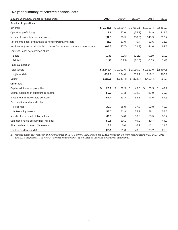### **Five-year summary of selected financial data**

| (Dollars in millions, except per share data)                             | $2017^{(a)}$ | $2016^{(a)}$ | $2015^{(a)}$ | 2014       | 2013       |
|--------------------------------------------------------------------------|--------------|--------------|--------------|------------|------------|
| Results of operations                                                    |              |              |              |            |            |
| Revenue                                                                  | \$2.741.8    | \$2,820.7    | \$3,015.1    | \$3,356.4  | \$3,456.5  |
| Operating profit (loss)                                                  | 4.6          | 47.6         | (55.1)       | 154.9      | 219.5      |
| Income (loss) before income taxes                                        | (72.1)       | 20.5         | (58.8)       | 145.5      | 219.4      |
| Net income (loss) attributable to noncontrolling interests               | (1.3)        | 11.0         | 6.7          | 12.6       | 11.6       |
| Net income (loss) attributable to Unisys Corporation common shareholders | (65.3)       | (47.7)       | (109.9)      | 44.0       | 92.3       |
| Earnings (loss) per common share                                         |              |              |              |            |            |
| <b>Basic</b>                                                             | (1.30)       | (0.95)       | (2.20)       | 0.89       | 2.10       |
| <b>Diluted</b>                                                           | (1.30)       | (0.95)       | (2.20)       | 0.89       | 2.08       |
| Financial position                                                       |              |              |              |            |            |
| <b>Total assets</b>                                                      | \$2,542.4    | \$2,021.6    | \$2,130.0    | \$2,321.0  | \$2,497.8  |
| Long-term debt                                                           | 633.9        | 194.0        | 233.7        | 219.2      | 205.9      |
| Deficit                                                                  | (1,326.5)    | (1,647.4)    | (1,378.6)    | (1,452.4)  | (663.9)    |
| Other data                                                               |              |              |              |            |            |
| Capital additions of properties                                          | Ś.<br>25.8   | 32.5<br>Ŝ.   | 49.6<br>Ŝ.   | Ŝ.<br>53.3 | -Ŝ<br>47.2 |
| Capital additions of outsourcing assets                                  | 86.3         | 51.3         | 102.0        | 85.9       | 39.9       |
| Investment in marketable software                                        | 64.4         | 63.3         | 62.1         | 73.6       | 64.3       |
| Depreciation and amortization                                            |              |              |              |            |            |
| Properties                                                               | 39.7         | 38.9         | 57.5         | 52.0       | 46.7       |
| Outsourcing assets                                                       | 53.7         | 51.9         | 55.7         | 58.1       | 53.5       |
| Amortization of marketable software                                      | 63.1         | 64.8         | 66.9         | 58.5       | 59.4       |
| Common shares outstanding (millions)                                     | 50.5         | 50.1         | 49.9         | 49.7       | 44.0       |
| Stockholders of record (thousands)                                       | 5.6          | 6.0          | 6.2          | 11.1       | 11.8       |
| Employees (thousands)                                                    | 20.5         | 21.0         | 23.0         | 23.2       | 22.8       |

*(a) Includes pretax cost reduction and other charges of \$146.8 million, \$82.1 million and \$118.5 million for the years ended December 31, 2017, 2016 and 2015, respectively. See Note 3, "Cost reduction actions," of the Notes to Consolidated Financial Statements.*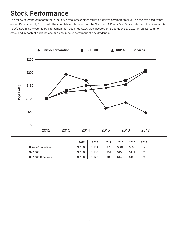# **Stock Performance**

The following graph compares the cumulative total stockholder return on Unisys common stock during the five fiscal years ended December 31, 2017, with the cumulative total return on the Standard & Poor's 500 Stock Index and the Standard & Poor's 500 IT Services Index. The comparison assumes \$100 was invested on December 31, 2012, in Unisys common stock and in each of such indices and assumes reinvestment of any dividends.



|                           | 2012  | 2013  | 2014  | 2015        | 2016  | 2017    |
|---------------------------|-------|-------|-------|-------------|-------|---------|
| <b>Unisys Corporation</b> | \$100 | S 194 | S 170 | \$64        | S 86  | 47<br>S |
| <b>S&amp;P 500</b>        | \$100 | \$132 | S 151 | \$153       | \$171 | \$208   |
| S&P 500 IT Services       | \$100 | \$126 | \$133 | <b>S142</b> | \$156 | \$205   |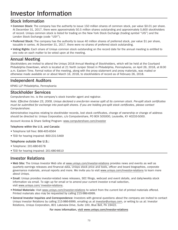## **Investor Information**

## **Stock Information**

- **Common Stock:** The company has the authority to issue 150 million shares of common stock, par value \$0.01 per share. At December 31, 2017, there were approximately 50.5 million shares outstanding and approximately 5,600 stockholders of record. Unisys common stock is listed for trading on the New York Stock Exchange (trading symbol "UIS") and the London Stock Exchange (code "USY").
- **Preferred Stock:** The company has the authority to issue 40 million shares of preferred stock, par value \$1 per share, issuable in series. At December 31, 2017, there were no shares of preferred stock outstanding.
- **Voting Rights:** Each share of Unisys common stock outstanding on the record date for the annual meeting is entitled to one vote on each matter to be voted upon at the meeting.

### **Annual Meeting**

Stockholders are invited to attend the Unisys 2018 Annual Meeting of Stockholders, which will be held at the Courtyard Philadelphia Downtown, which is located at 21 North Juniper Street in Philadelphia, Pennsylvania, on April 26, 2018, at 8:00 a.m. Eastern Time. Formal notice of the meeting, along with the proxy statement and proxy materials, was mailed or otherwise made available on or about March 16, 2018, to stockholders of record as of February 26, 2018.

#### **Independent Auditors**

KPMG LLP Philadelphia, Pennsylvania

#### **Stockholder Services**

Computershare Inc. is the company's stock transfer agent and registrar.

*Note: Effective October 23, 2009, Unisys declared a one-for-ten reverse split of its common stock. Pre-split stock certificates must be submitted for exchange into post-split shares. If you are holding pre-split stock certificates, please contact Computershare.*

Administrative inquiries relating to stockholder records, lost stock certificates, change of ownership or change of address should be directed to: Unisys Corporation, c/o Computershare, PO BOX 505000, Louisville, KY 40233-5000.

Account Access & Share Selling Program: www.computershare.com/investor

#### **Telephone within the U.S. and Canada:**

- Telephone toll free: 866-405-6564
- TDD for hearing impaired: 800-231-5469

#### **Telephone outside the U.S.:**

- Telephone: 201-680-6578
- TDD for hearing impaired: 201-680-6610

#### **Investor Relations**

- **Web Site:** The Unisys Investor Web site at www.unisys.com/investor-relations provides news and events as well as quarterly earnings releases and financial data, Unisys stock price and tools, officer and board biographies, corporate governance materials, annual reports and more. We invite you to visit www.unisys.com/investor-relations to learn more about Unisys.
- **Email:** Unisys provides investor-related news releases, SEC filings, webcast and event details, and daily/weekly stock information via email. To sign up for email or to amend your current investor e-mail selection, visit www.unisys.com/ investor-relations.
- **Printed Materials:** Visit www.unisys.com/investor-relations to select from the current list of printed materials offered. Printed materials also may be requested by calling 215-986-6999.
- **General Investor Inquiries and Correspondence:** Investors with general questions about the company are invited to contact Unisys Investor Relations by calling 215-986-6999, emailing us at investor@unisys.com, or writing to us at: Investor Relations, Unisys Corporation, 801 Lakeview Drive, Suite 100, Blue Bell, PA 19422.

**For more information, visit www.unisys.com/investor-relations**